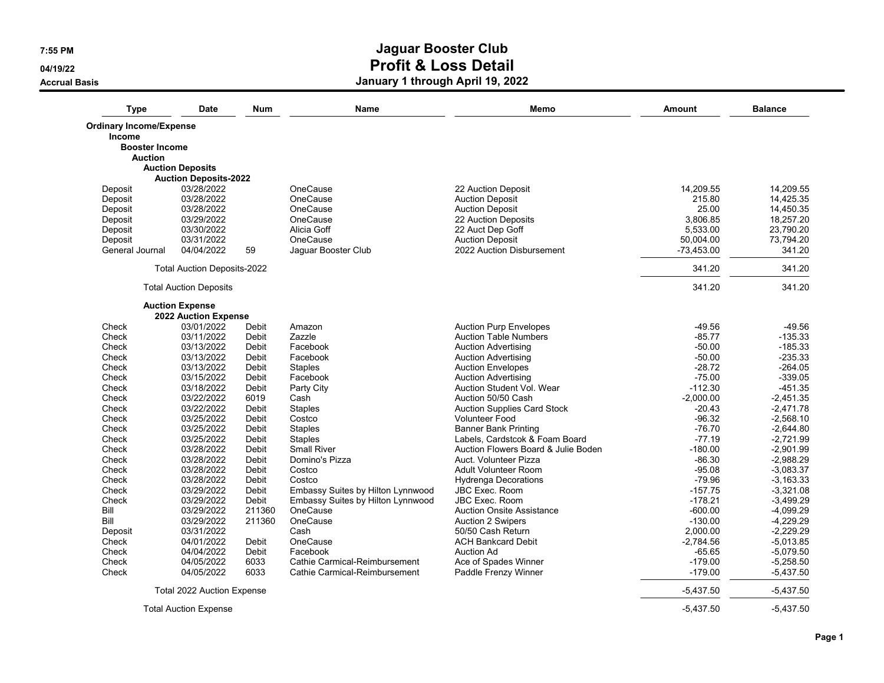**04/19/22**

**Accrual Basis**

| <b>Type</b>                    | <b>Date</b>                        | <b>Num</b>     | Name                              | Memo                                                   | Amount                | <b>Balance</b>         |
|--------------------------------|------------------------------------|----------------|-----------------------------------|--------------------------------------------------------|-----------------------|------------------------|
| <b>Ordinary Income/Expense</b> |                                    |                |                                   |                                                        |                       |                        |
| Income                         |                                    |                |                                   |                                                        |                       |                        |
| <b>Booster Income</b>          |                                    |                |                                   |                                                        |                       |                        |
| <b>Auction</b>                 |                                    |                |                                   |                                                        |                       |                        |
|                                | <b>Auction Deposits</b>            |                |                                   |                                                        |                       |                        |
|                                | <b>Auction Deposits-2022</b>       |                |                                   |                                                        |                       |                        |
| Deposit                        | 03/28/2022                         |                | OneCause                          | 22 Auction Deposit                                     | 14,209.55             | 14,209.55              |
| Deposit                        | 03/28/2022                         |                | OneCause                          | <b>Auction Deposit</b>                                 | 215.80                | 14,425.35              |
| Deposit                        | 03/28/2022                         |                | OneCause                          | <b>Auction Deposit</b>                                 | 25.00                 | 14,450.35              |
| Deposit                        | 03/29/2022                         |                | OneCause                          | 22 Auction Deposits                                    | 3,806.85              | 18,257.20              |
| Deposit                        | 03/30/2022                         |                | Alicia Goff<br>OneCause           | 22 Auct Dep Goff                                       | 5.533.00<br>50,004.00 | 23,790.20              |
| Deposit                        | 03/31/2022                         |                |                                   | <b>Auction Deposit</b>                                 |                       | 73,794.20              |
| General Journal                | 04/04/2022                         | 59             | Jaquar Booster Club               | 2022 Auction Disbursement                              | $-73.453.00$          | 341.20                 |
|                                | <b>Total Auction Deposits-2022</b> |                |                                   |                                                        | 341.20                | 341.20                 |
|                                | <b>Total Auction Deposits</b>      |                |                                   |                                                        | 341.20                | 341.20                 |
|                                | <b>Auction Expense</b>             |                |                                   |                                                        |                       |                        |
|                                | 2022 Auction Expense               |                |                                   |                                                        |                       |                        |
| Check                          | 03/01/2022                         | Debit          | Amazon                            | <b>Auction Purp Envelopes</b>                          | $-49.56$              | $-49.56$               |
| Check                          | 03/11/2022                         | Debit          | Zazzle                            | <b>Auction Table Numbers</b>                           | $-85.77$              | $-135.33$              |
| Check                          | 03/13/2022<br>03/13/2022           | Debit          | Facebook                          | <b>Auction Advertising</b>                             | $-50.00$<br>$-50.00$  | $-185.33$<br>$-235.33$ |
| Check<br>Check                 | 03/13/2022                         | Debit<br>Debit | Facebook                          | <b>Auction Advertising</b><br><b>Auction Envelopes</b> | $-28.72$              | $-264.05$              |
| Check                          | 03/15/2022                         | Debit          | <b>Staples</b><br>Facebook        | <b>Auction Advertising</b>                             | $-75.00$              | $-339.05$              |
| Check                          | 03/18/2022                         | Debit          | Party City                        | Auction Student Vol. Wear                              | $-112.30$             | $-451.35$              |
| Check                          | 03/22/2022                         | 6019           | Cash                              | Auction 50/50 Cash                                     | $-2,000.00$           | $-2,451.35$            |
| Check                          | 03/22/2022                         | Debit          | <b>Staples</b>                    | <b>Auction Supplies Card Stock</b>                     | $-20.43$              | $-2,471.78$            |
| Check                          | 03/25/2022                         | Debit          | Costco                            | <b>Volunteer Food</b>                                  | $-96.32$              | $-2,568.10$            |
| Check                          | 03/25/2022                         | Debit          | <b>Staples</b>                    | <b>Banner Bank Printing</b>                            | $-76.70$              | $-2,644.80$            |
| Check                          | 03/25/2022                         | Debit          | <b>Staples</b>                    | Labels, Cardstcok & Foam Board                         | $-77.19$              | $-2,721.99$            |
| Check                          | 03/28/2022                         | Debit          | <b>Small River</b>                | Auction Flowers Board & Julie Boden                    | $-180.00$             | $-2,901.99$            |
| Check                          | 03/28/2022                         | Debit          | Domino's Pizza                    | Auct. Volunteer Pizza                                  | $-86.30$              | $-2,988.29$            |
| Check                          | 03/28/2022                         | Debit          | Costco                            | Adult Volunteer Room                                   | $-95.08$              | $-3,083.37$            |
| Check                          | 03/28/2022                         | Debit          | Costco                            | <b>Hydrenga Decorations</b>                            | $-79.96$              | $-3.163.33$            |
| Check                          | 03/29/2022                         | Debit          | Embassy Suites by Hilton Lynnwood | <b>JBC Exec. Room</b>                                  | $-157.75$             | $-3,321.08$            |
| Check                          | 03/29/2022                         | Debit          | Embassy Suites by Hilton Lynnwood | <b>JBC Exec. Room</b>                                  | $-178.21$             | $-3,499.29$            |
| Bill                           | 03/29/2022                         | 211360         | OneCause                          | <b>Auction Onsite Assistance</b>                       | $-600.00$             | $-4,099.29$            |
| Bill                           | 03/29/2022                         | 211360         | OneCause                          | <b>Auction 2 Swipers</b>                               | $-130.00$             | $-4,229.29$            |
| Deposit                        | 03/31/2022                         |                | Cash                              | 50/50 Cash Return                                      | 2,000.00              | $-2,229.29$            |
| Check                          | 04/01/2022                         | Debit          | OneCause                          | <b>ACH Bankcard Debit</b>                              | $-2,784.56$           | $-5,013.85$            |
| Check                          | 04/04/2022                         | Debit          | Facebook                          | <b>Auction Ad</b>                                      | $-65.65$              | $-5,079.50$            |
| Check                          | 04/05/2022                         | 6033           | Cathie Carmical-Reimbursement     | Ace of Spades Winner                                   | $-179.00$             | $-5,258.50$            |
| Check                          | 04/05/2022                         | 6033           | Cathie Carmical-Reimbursement     | Paddle Frenzy Winner                                   | $-179.00$             | $-5,437.50$            |
|                                | Total 2022 Auction Expense         |                |                                   |                                                        | $-5,437.50$           | $-5,437.50$            |
|                                | <b>Total Auction Expense</b>       |                |                                   |                                                        | $-5.437.50$           | $-5.437.50$            |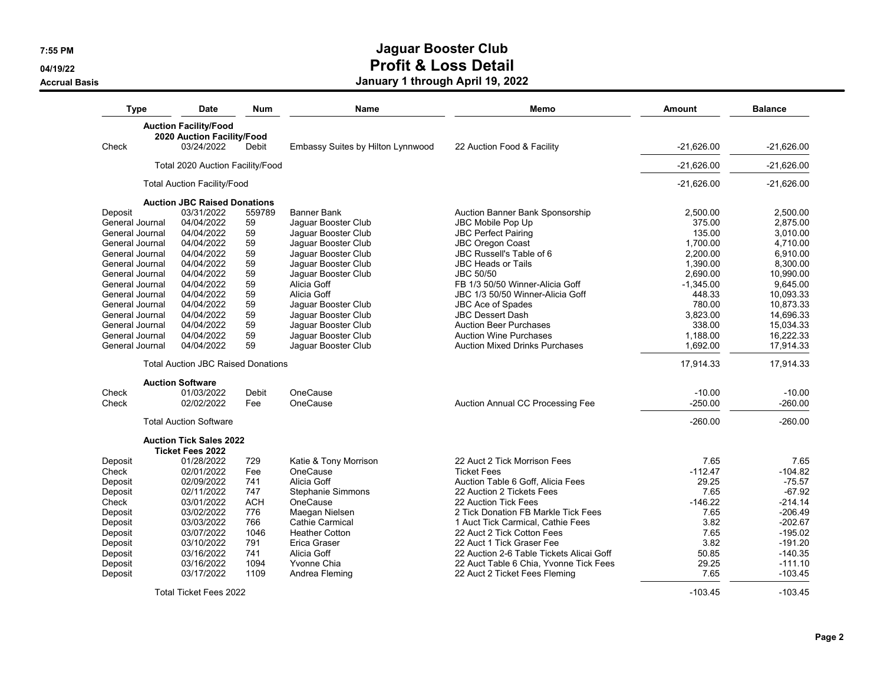**04/19/22**

**Accrual Basis**

| <b>Type</b><br>Date                       | <b>Num</b> | <b>Name</b>                       | Memo                                     | Amount       | <b>Balance</b> |
|-------------------------------------------|------------|-----------------------------------|------------------------------------------|--------------|----------------|
| <b>Auction Facility/Food</b>              |            |                                   |                                          |              |                |
| 2020 Auction Facility/Food                |            |                                   |                                          |              |                |
| Check<br>03/24/2022                       | Debit      | Embassy Suites by Hilton Lynnwood | 22 Auction Food & Facility               | $-21,626.00$ | $-21.626.00$   |
| Total 2020 Auction Facility/Food          |            |                                   |                                          | $-21,626.00$ | $-21.626.00$   |
| <b>Total Auction Facility/Food</b>        |            |                                   |                                          | $-21,626.00$ | $-21,626.00$   |
| <b>Auction JBC Raised Donations</b>       |            |                                   |                                          |              |                |
| Deposit<br>03/31/2022                     | 559789     | <b>Banner Bank</b>                | Auction Banner Bank Sponsorship          | 2,500.00     | 2,500.00       |
| 04/04/2022<br>General Journal             | 59         | Jaquar Booster Club               | JBC Mobile Pop Up                        | 375.00       | 2.875.00       |
| 04/04/2022<br>General Journal             | 59         | Jaguar Booster Club               | <b>JBC Perfect Pairing</b>               | 135.00       | 3,010.00       |
| General Journal<br>04/04/2022             | 59         | Jaquar Booster Club               | <b>JBC Oregon Coast</b>                  | 1,700.00     | 4,710.00       |
| General Journal<br>04/04/2022             | 59         | Jaguar Booster Club               | JBC Russell's Table of 6                 | 2.200.00     | 6.910.00       |
| General Journal<br>04/04/2022             | 59         | Jaquar Booster Club               | <b>JBC Heads or Tails</b>                | 1,390.00     | 8,300.00       |
| General Journal<br>04/04/2022             | 59         | Jaquar Booster Club               | JBC 50/50                                | 2.690.00     | 10.990.00      |
| 04/04/2022<br>General Journal             | 59         | Alicia Goff                       | FB 1/3 50/50 Winner-Alicia Goff          | $-1,345.00$  | 9,645.00       |
| General Journal<br>04/04/2022             | 59         | Alicia Goff                       | JBC 1/3 50/50 Winner-Alicia Goff         | 448.33       | 10,093.33      |
| 04/04/2022                                | 59         |                                   |                                          | 780.00       |                |
| General Journal                           |            | Jaguar Booster Club               | JBC Ace of Spades                        |              | 10,873.33      |
| General Journal<br>04/04/2022             | 59         | Jaquar Booster Club               | <b>JBC Dessert Dash</b>                  | 3.823.00     | 14,696.33      |
| 04/04/2022<br>General Journal             | 59         | Jaguar Booster Club               | <b>Auction Beer Purchases</b>            | 338.00       | 15,034.33      |
| 04/04/2022<br>General Journal             | 59         | Jaquar Booster Club               | <b>Auction Wine Purchases</b>            | 1,188.00     | 16,222.33      |
| General Journal<br>04/04/2022             | 59         | Jaguar Booster Club               | <b>Auction Mixed Drinks Purchases</b>    | 1,692.00     | 17,914.33      |
| <b>Total Auction JBC Raised Donations</b> |            |                                   |                                          | 17,914.33    | 17,914.33      |
| <b>Auction Software</b>                   |            |                                   |                                          |              |                |
| Check<br>01/03/2022                       | Debit      | OneCause                          |                                          | $-10.00$     | $-10.00$       |
| 02/02/2022<br>Check                       | Fee        | OneCause                          | Auction Annual CC Processing Fee         | $-250.00$    | $-260.00$      |
| <b>Total Auction Software</b>             |            |                                   |                                          | $-260.00$    | $-260.00$      |
| <b>Auction Tick Sales 2022</b>            |            |                                   |                                          |              |                |
| <b>Ticket Fees 2022</b>                   |            |                                   |                                          |              |                |
| 01/28/2022<br>Deposit                     | 729        | Katie & Tony Morrison             | 22 Auct 2 Tick Morrison Fees             | 7.65         | 7.65           |
| Check<br>02/01/2022                       | Fee        | OneCause                          | <b>Ticket Fees</b>                       | $-112.47$    | $-104.82$      |
| 02/09/2022<br>Deposit                     | 741        | Alicia Goff                       | Auction Table 6 Goff. Alicia Fees        | 29.25        | $-75.57$       |
| 02/11/2022<br>Deposit                     | 747        | Stephanie Simmons                 | 22 Auction 2 Tickets Fees                | 7.65         | $-67.92$       |
| Check<br>03/01/2022                       | <b>ACH</b> | OneCause                          | 22 Auction Tick Fees                     | $-146.22$    | $-214.14$      |
| 03/02/2022<br>Deposit                     | 776        | Maegan Nielsen                    | 2 Tick Donation FB Markle Tick Fees      | 7.65         | $-206.49$      |
| Deposit<br>03/03/2022                     | 766        | <b>Cathie Carmical</b>            | 1 Auct Tick Carmical, Cathie Fees        | 3.82         | $-202.67$      |
| Deposit<br>03/07/2022                     | 1046       | <b>Heather Cotton</b>             | 22 Auct 2 Tick Cotton Fees               | 7.65         | $-195.02$      |
| Deposit<br>03/10/2022                     | 791        | Erica Graser                      | 22 Auct 1 Tick Graser Fee                | 3.82         | $-191.20$      |
| Deposit<br>03/16/2022                     | 741        | Alicia Goff                       | 22 Auction 2-6 Table Tickets Alicai Goff | 50.85        | $-140.35$      |
| Deposit<br>03/16/2022                     | 1094       | Yvonne Chia                       | 22 Auct Table 6 Chia, Yvonne Tick Fees   | 29.25        | $-111.10$      |
|                                           | 1109       | Andrea Fleming                    | 22 Auct 2 Ticket Fees Fleming            | 7.65         | $-103.45$      |
| 03/17/2022<br>Deposit                     |            |                                   |                                          |              |                |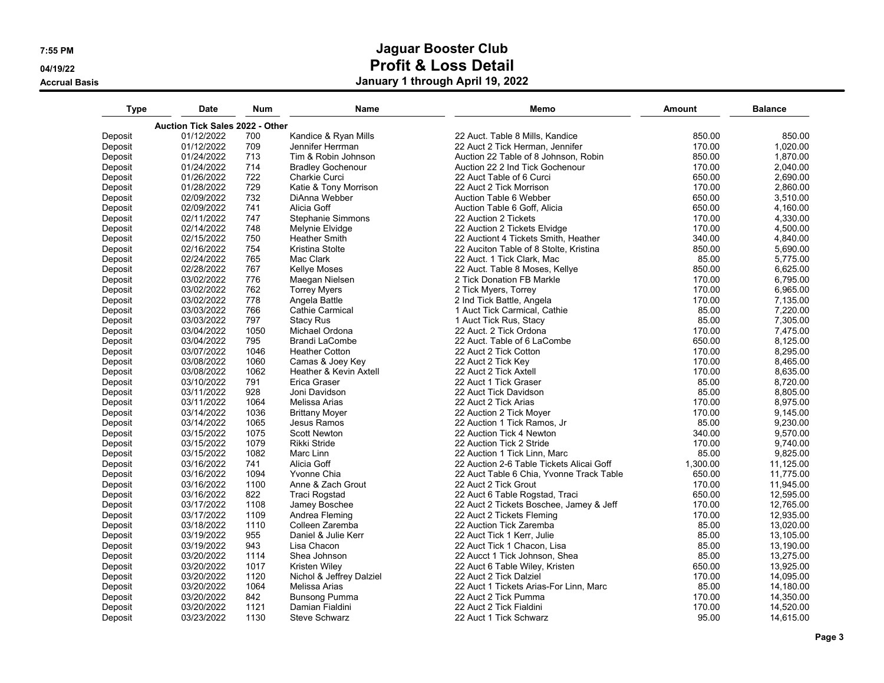**04/19/22**

**Accrual Basis**

| Type    | <b>Date</b>                            | <b>Num</b>   | <b>Name</b>              | Memo                                     | Amount           | <b>Balance</b> |
|---------|----------------------------------------|--------------|--------------------------|------------------------------------------|------------------|----------------|
|         | <b>Auction Tick Sales 2022 - Other</b> |              |                          |                                          |                  |                |
| Deposit | 01/12/2022                             | 700          | Kandice & Ryan Mills     | 22 Auct. Table 8 Mills, Kandice          | 850.00           | 850.00         |
| Deposit | 01/12/2022                             | 709          | Jennifer Herrman         | 22 Auct 2 Tick Herman, Jennifer          | 170.00           | 1,020.00       |
| Deposit | 01/24/2022                             | 713          | Tim & Robin Johnson      | Auction 22 Table of 8 Johnson, Robin     | 850.00           | 1,870.00       |
| Deposit | 01/24/2022                             | 714          | <b>Bradley Gochenour</b> | Auction 22 2 Ind Tick Gochenour          | 170.00           | 2,040.00       |
| Deposit | 01/26/2022                             | 722          | Charkie Curci            | 22 Auct Table of 6 Curci                 | 650.00           | 2,690.00       |
| Deposit | 01/28/2022                             | 729          | Katie & Tony Morrison    | 22 Auct 2 Tick Morrison                  | 170.00           | 2,860.00       |
| Deposit | 02/09/2022                             | 732          | DiAnna Webber            | Auction Table 6 Webber                   | 650.00           | 3,510.00       |
| Deposit | 02/09/2022                             | 741          | Alicia Goff              | Auction Table 6 Goff, Alicia             | 650.00           | 4,160.00       |
| Deposit | 02/11/2022                             | 747          | <b>Stephanie Simmons</b> | 22 Auction 2 Tickets                     | 170.00           | 4,330.00       |
| Deposit | 02/14/2022                             | 748          | Melynie Elvidge          | 22 Auction 2 Tickets Elvidge             | 170.00           | 4,500.00       |
| Deposit | 02/15/2022                             | 750          | <b>Heather Smith</b>     | 22 Auctiont 4 Tickets Smith, Heather     | 340.00           | 4,840.00       |
| Deposit | 02/16/2022                             | 754          | Kristina Stolte          | 22 Auciton Table of 8 Stolte, Kristina   | 850.00           | 5,690.00       |
| Deposit | 02/24/2022                             | 765          | Mac Clark                | 22 Auct. 1 Tick Clark, Mac               | 85.00            | 5,775.00       |
| Deposit | 02/28/2022                             | 767          | <b>Kellye Moses</b>      | 22 Auct. Table 8 Moses, Kellye           | 850.00           | 6,625.00       |
| Deposit | 03/02/2022                             | 776          | Maegan Nielsen           | 2 Tick Donation FB Markle                | 170.00           | 6,795.00       |
| Deposit | 03/02/2022                             | 762          | <b>Torrey Myers</b>      | 2 Tick Myers, Torrey                     | 170.00           | 6,965.00       |
| Deposit | 03/02/2022                             | 778          | Angela Battle            | 2 Ind Tick Battle, Angela                | 170.00           | 7,135.00       |
| Deposit | 03/03/2022                             | 766          | <b>Cathie Carmical</b>   | 1 Auct Tick Carmical, Cathie             | 85.00            | 7,220.00       |
| Deposit | 03/03/2022                             | 797          | <b>Stacy Rus</b>         | 1 Auct Tick Rus, Stacy                   | 85.00            | 7,305.00       |
| Deposit | 03/04/2022                             | 1050         | Michael Ordona           | 22 Auct. 2 Tick Ordona                   | 170.00           | 7,475.00       |
|         | 03/04/2022                             | 795          | Brandi LaCombe           | 22 Auct. Table of 6 LaCombe              | 650.00           |                |
| Deposit |                                        |              | <b>Heather Cotton</b>    | 22 Auct 2 Tick Cotton                    |                  | 8,125.00       |
| Deposit | 03/07/2022                             | 1046<br>1060 |                          |                                          | 170.00<br>170.00 | 8,295.00       |
| Deposit | 03/08/2022                             |              | Camas & Joey Key         | 22 Auct 2 Tick Key                       |                  | 8,465.00       |
| Deposit | 03/08/2022                             | 1062         | Heather & Kevin Axtell   | 22 Auct 2 Tick Axtell                    | 170.00           | 8,635.00       |
| Deposit | 03/10/2022                             | 791          | Erica Graser             | 22 Auct 1 Tick Graser                    | 85.00            | 8,720.00       |
| Deposit | 03/11/2022                             | 928          | Joni Davidson            | 22 Auct Tick Davidson                    | 85.00            | 8,805.00       |
| Deposit | 03/11/2022                             | 1064         | Melissa Arias            | 22 Auct 2 Tick Arias                     | 170.00           | 8,975.00       |
| Deposit | 03/14/2022                             | 1036         | <b>Brittany Moyer</b>    | 22 Auction 2 Tick Moyer                  | 170.00           | 9,145.00       |
| Deposit | 03/14/2022                             | 1065         | Jesus Ramos              | 22 Auction 1 Tick Ramos, Jr              | 85.00            | 9,230.00       |
| Deposit | 03/15/2022                             | 1075         | <b>Scott Newton</b>      | 22 Auction Tick 4 Newton                 | 340.00           | 9,570.00       |
| Deposit | 03/15/2022                             | 1079         | <b>Rikki Stride</b>      | 22 Auction Tick 2 Stride                 | 170.00           | 9,740.00       |
| Deposit | 03/15/2022                             | 1082         | Marc Linn                | 22 Auction 1 Tick Linn, Marc             | 85.00            | 9,825.00       |
| Deposit | 03/16/2022                             | 741          | Alicia Goff              | 22 Auction 2-6 Table Tickets Alicai Goff | 1,300.00         | 11,125.00      |
| Deposit | 03/16/2022                             | 1094         | Yvonne Chia              | 22 Auct Table 6 Chia, Yvonne Track Table | 650.00           | 11,775.00      |
| Deposit | 03/16/2022                             | 1100         | Anne & Zach Grout        | 22 Auct 2 Tick Grout                     | 170.00           | 11,945.00      |
| Deposit | 03/16/2022                             | 822          | <b>Traci Rogstad</b>     | 22 Auct 6 Table Rogstad, Traci           | 650.00           | 12,595.00      |
| Deposit | 03/17/2022                             | 1108         | Jamey Boschee            | 22 Auct 2 Tickets Boschee, Jamey & Jeff  | 170.00           | 12,765.00      |
| Deposit | 03/17/2022                             | 1109         | Andrea Fleming           | 22 Auct 2 Tickets Fleming                | 170.00           | 12,935.00      |
| Deposit | 03/18/2022                             | 1110         | Colleen Zaremba          | 22 Auction Tick Zaremba                  | 85.00            | 13,020.00      |
| Deposit | 03/19/2022                             | 955          | Daniel & Julie Kerr      | 22 Auct Tick 1 Kerr, Julie               | 85.00            | 13,105.00      |
| Deposit | 03/19/2022                             | 943          | Lisa Chacon              | 22 Auct Tick 1 Chacon, Lisa              | 85.00            | 13,190.00      |
| Deposit | 03/20/2022                             | 1114         | Shea Johnson             | 22 Aucct 1 Tick Johnson, Shea            | 85.00            | 13,275.00      |
| Deposit | 03/20/2022                             | 1017         | Kristen Wiley            | 22 Auct 6 Table Wiley, Kristen           | 650.00           | 13,925.00      |
| Deposit | 03/20/2022                             | 1120         | Nichol & Jeffrey Dalziel | 22 Auct 2 Tick Dalziel                   | 170.00           | 14,095.00      |
| Deposit | 03/20/2022                             | 1064         | Melissa Arias            | 22 Auct 1 Tickets Arias-For Linn, Marc   | 85.00            | 14,180.00      |
| Deposit | 03/20/2022                             | 842          | <b>Bunsong Pumma</b>     | 22 Auct 2 Tick Pumma                     | 170.00           | 14,350.00      |
| Deposit | 03/20/2022                             | 1121         | Damian Fialdini          | 22 Auct 2 Tick Fialdini                  | 170.00           | 14,520.00      |
| Deposit | 03/23/2022                             | 1130         | <b>Steve Schwarz</b>     | 22 Auct 1 Tick Schwarz                   | 95.00            | 14,615.00      |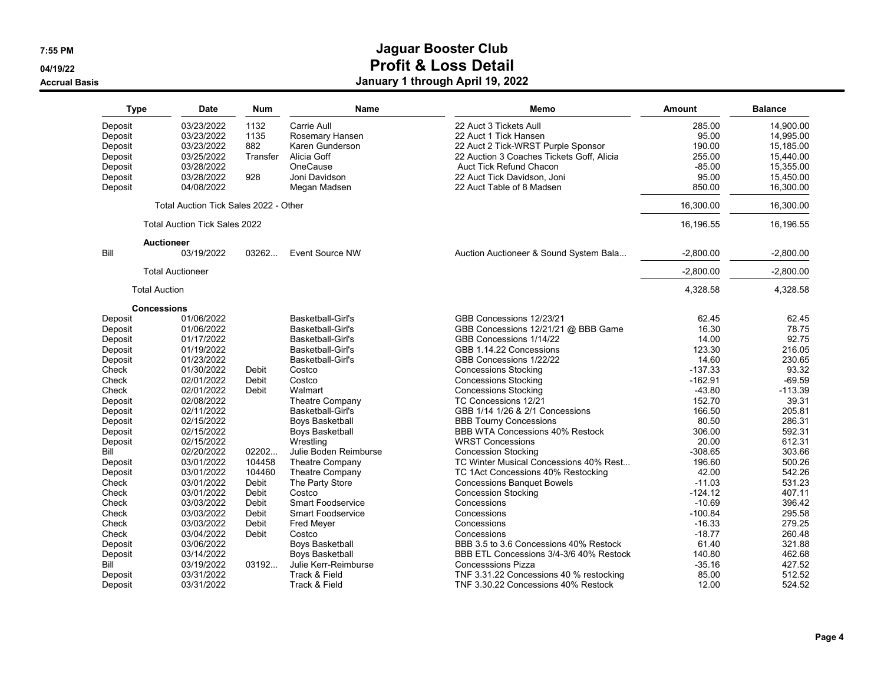#### **04/19/22**

**Accrual Basis**

| Type    | <b>Date</b>                           | <b>Num</b> | <b>Name</b>              | Memo                                      | Amount      | <b>Balance</b> |
|---------|---------------------------------------|------------|--------------------------|-------------------------------------------|-------------|----------------|
| Deposit | 03/23/2022                            | 1132       | Carrie Aull              | 22 Auct 3 Tickets Aull                    | 285.00      | 14,900.00      |
| Deposit | 03/23/2022                            | 1135       | Rosemary Hansen          | 22 Auct 1 Tick Hansen                     | 95.00       | 14.995.00      |
| Deposit | 03/23/2022                            | 882        | Karen Gunderson          | 22 Auct 2 Tick-WRST Purple Sponsor        | 190.00      | 15,185.00      |
| Deposit | 03/25/2022                            | Transfer   | Alicia Goff              | 22 Auction 3 Coaches Tickets Goff, Alicia | 255.00      | 15,440.00      |
| Deposit | 03/28/2022                            |            | OneCause                 | Auct Tick Refund Chacon                   | $-85.00$    | 15,355.00      |
| Deposit | 03/28/2022                            | 928        | Joni Davidson            | 22 Auct Tick Davidson, Joni               | 95.00       | 15,450.00      |
| Deposit | 04/08/2022                            |            | Megan Madsen             | 22 Auct Table of 8 Madsen                 | 850.00      | 16,300.00      |
|         | Total Auction Tick Sales 2022 - Other |            |                          |                                           | 16,300.00   | 16,300.00      |
|         | <b>Total Auction Tick Sales 2022</b>  |            |                          |                                           | 16,196.55   | 16,196.55      |
|         | <b>Auctioneer</b>                     |            |                          |                                           |             |                |
| Bill    | 03/19/2022                            | 03262      | <b>Event Source NW</b>   | Auction Auctioneer & Sound System Bala    | $-2,800.00$ | $-2,800.00$    |
|         | <b>Total Auctioneer</b>               |            |                          |                                           | $-2,800.00$ | $-2,800.00$    |
|         | <b>Total Auction</b>                  |            |                          |                                           | 4,328.58    | 4,328.58       |
|         | <b>Concessions</b>                    |            |                          |                                           |             |                |
| Deposit | 01/06/2022                            |            | <b>Basketball-Girl's</b> | GBB Concessions 12/23/21                  | 62.45       | 62.45          |
| Deposit | 01/06/2022                            |            | <b>Basketball-Girl's</b> | GBB Concessions 12/21/21 @ BBB Game       | 16.30       | 78.75          |
| Deposit | 01/17/2022                            |            | <b>Basketball-Girl's</b> | GBB Concessions 1/14/22                   | 14.00       | 92.75          |
| Deposit | 01/19/2022                            |            | Basketball-Girl's        | GBB 1.14.22 Concessions                   | 123.30      | 216.05         |
| Deposit | 01/23/2022                            |            | <b>Basketball-Girl's</b> | GBB Concessions 1/22/22                   | 14.60       | 230.65         |
| Check   | 01/30/2022                            | Debit      | Costco                   | <b>Concessions Stocking</b>               | $-137.33$   | 93.32          |
| Check   | 02/01/2022                            | Debit      | Costco                   | <b>Concessions Stocking</b>               | $-162.91$   | $-69.59$       |
| Check   | 02/01/2022                            | Debit      | Walmart                  | <b>Concessions Stocking</b>               | $-43.80$    | $-113.39$      |
| Deposit | 02/08/2022                            |            | <b>Theatre Company</b>   | TC Concessions 12/21                      | 152.70      | 39.31          |
| Deposit | 02/11/2022                            |            | <b>Basketball-Girl's</b> | GBB 1/14 1/26 & 2/1 Concessions           | 166.50      | 205.81         |
| Deposit | 02/15/2022                            |            | Boys Basketball          | <b>BBB Tourny Concessions</b>             | 80.50       | 286.31         |
| Deposit | 02/15/2022                            |            | Boys Basketball          | BBB WTA Concessions 40% Restock           | 306.00      | 592.31         |
| Deposit | 02/15/2022                            |            | Wrestling                | <b>WRST Concessions</b>                   | 20.00       | 612.31         |
| Bill    | 02/20/2022                            | 02202      | Julie Boden Reimburse    | <b>Concession Stocking</b>                | $-308.65$   | 303.66         |
| Deposit | 03/01/2022                            | 104458     | Theatre Company          | TC Winter Musical Concessions 40% Rest    | 196.60      | 500.26         |
| Deposit | 03/01/2022                            | 104460     | Theatre Company          | TC 1Act Concessions 40% Restocking        | 42.00       | 542.26         |
| Check   | 03/01/2022                            | Debit      | The Party Store          | <b>Concessions Banquet Bowels</b>         | $-11.03$    | 531.23         |
| Check   | 03/01/2022                            | Debit      | Costco                   | <b>Concession Stocking</b>                | $-124.12$   | 407.11         |
| Check   | 03/03/2022                            | Debit      | <b>Smart Foodservice</b> | Concessions                               | $-10.69$    | 396.42         |
| Check   | 03/03/2022                            | Debit      | <b>Smart Foodservice</b> | Concessions                               | $-100.84$   | 295.58         |
| Check   | 03/03/2022                            | Debit      | Fred Meyer               | Concessions                               | $-16.33$    | 279.25         |
| Check   | 03/04/2022                            | Debit      | Costco                   | Concessions                               | $-18.77$    | 260.48         |
| Deposit | 03/06/2022                            |            | Boys Basketball          | BBB 3.5 to 3.6 Concessions 40% Restock    | 61.40       | 321.88         |
| Deposit | 03/14/2022                            |            | Boys Basketball          | BBB ETL Concessions 3/4-3/6 40% Restock   | 140.80      | 462.68         |
| Bill    | 03/19/2022                            | 03192      | Julie Kerr-Reimburse     | <b>Concesssions Pizza</b>                 | $-35.16$    | 427.52         |
| Deposit | 03/31/2022                            |            | Track & Field            | TNF 3.31.22 Concessions 40 % restocking   | 85.00       | 512.52         |
| Deposit | 03/31/2022                            |            | Track & Field            | TNF 3.30.22 Concessions 40% Restock       | 12.00       | 524.52         |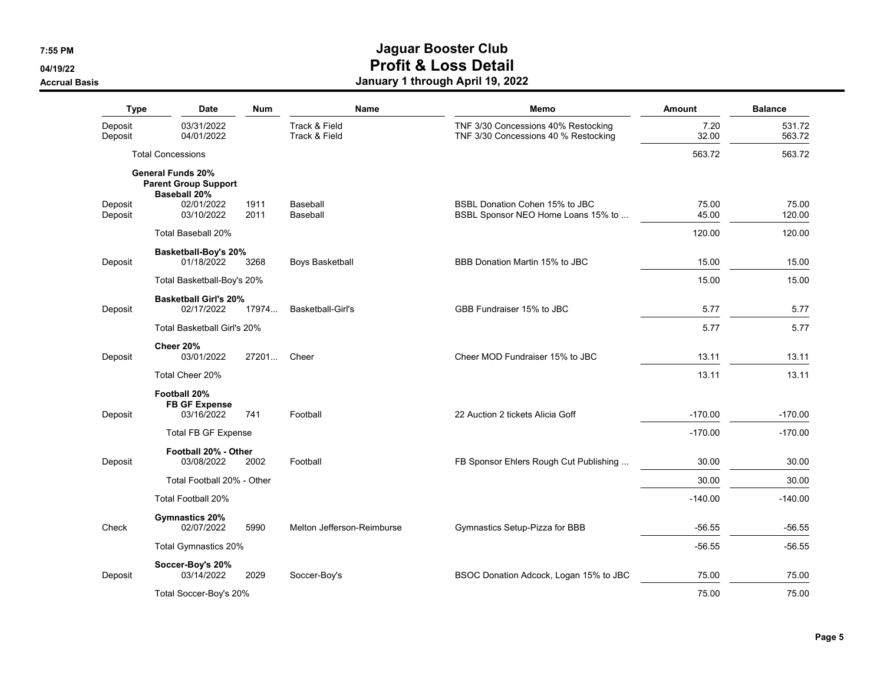#### **04/19/22**

**Accrual Basis**

| <b>Type</b>        | <b>Date</b>                                                                    | <b>Num</b>   | Name                           | Memo                                                                        | <b>Amount</b>  | <b>Balance</b>   |
|--------------------|--------------------------------------------------------------------------------|--------------|--------------------------------|-----------------------------------------------------------------------------|----------------|------------------|
| Deposit<br>Deposit | 03/31/2022<br>04/01/2022                                                       |              | Track & Field<br>Track & Field | TNF 3/30 Concessions 40% Restocking<br>TNF 3/30 Concessions 40 % Restocking | 7.20<br>32.00  | 531.72<br>563.72 |
|                    | <b>Total Concessions</b>                                                       |              |                                |                                                                             | 563.72         | 563.72           |
|                    | <b>General Funds 20%</b><br><b>Parent Group Support</b><br><b>Baseball 20%</b> |              |                                |                                                                             |                |                  |
| Deposit<br>Deposit | 02/01/2022<br>03/10/2022                                                       | 1911<br>2011 | Baseball<br>Baseball           | BSBL Donation Cohen 15% to JBC<br>BSBL Sponsor NEO Home Loans 15% to        | 75.00<br>45.00 | 75.00<br>120.00  |
|                    | Total Baseball 20%                                                             |              |                                |                                                                             | 120.00         | 120.00           |
| Deposit            | Basketball-Boy's 20%<br>01/18/2022                                             | 3268         | Boys Basketball                | BBB Donation Martin 15% to JBC                                              | 15.00          | 15.00            |
|                    | Total Basketball-Boy's 20%                                                     |              |                                |                                                                             | 15.00          | 15.00            |
| Deposit            | <b>Basketball Girl's 20%</b><br>02/17/2022                                     | 17974        | Basketball-Girl's              | GBB Fundraiser 15% to JBC                                                   | 5.77           | 5.77             |
|                    | <b>Total Basketball Girl's 20%</b>                                             |              |                                |                                                                             | 5.77           | 5.77             |
| Deposit            | Cheer 20%<br>03/01/2022                                                        | 27201        | Cheer                          | Cheer MOD Fundraiser 15% to JBC                                             | 13.11          | 13.11            |
|                    | Total Cheer 20%                                                                |              |                                |                                                                             | 13.11          | 13.11            |
| Deposit            | Football 20%<br><b>FB GF Expense</b><br>03/16/2022                             | 741          | Football                       | 22 Auction 2 tickets Alicia Goff                                            | $-170.00$      | $-170.00$        |
|                    | <b>Total FB GF Expense</b>                                                     |              |                                |                                                                             | $-170.00$      | $-170.00$        |
| Deposit            | Football 20% - Other<br>03/08/2022                                             | 2002         | Football                       | FB Sponsor Ehlers Rough Cut Publishing                                      | 30.00          | 30.00            |
|                    | Total Football 20% - Other                                                     |              |                                |                                                                             | 30.00          | 30.00            |
|                    | <b>Total Football 20%</b>                                                      |              |                                |                                                                             | $-140.00$      | $-140.00$        |
| Check              | Gymnastics 20%<br>02/07/2022                                                   | 5990         | Melton Jefferson-Reimburse     | Gymnastics Setup-Pizza for BBB                                              | $-56.55$       | $-56.55$         |
|                    | <b>Total Gymnastics 20%</b>                                                    |              |                                |                                                                             | $-56.55$       | $-56.55$         |
| Deposit            | Soccer-Boy's 20%<br>03/14/2022                                                 | 2029         | Soccer-Boy's                   | BSOC Donation Adcock, Logan 15% to JBC                                      | 75.00          | 75.00            |
|                    | Total Soccer-Boy's 20%                                                         |              |                                |                                                                             | 75.00          | 75.00            |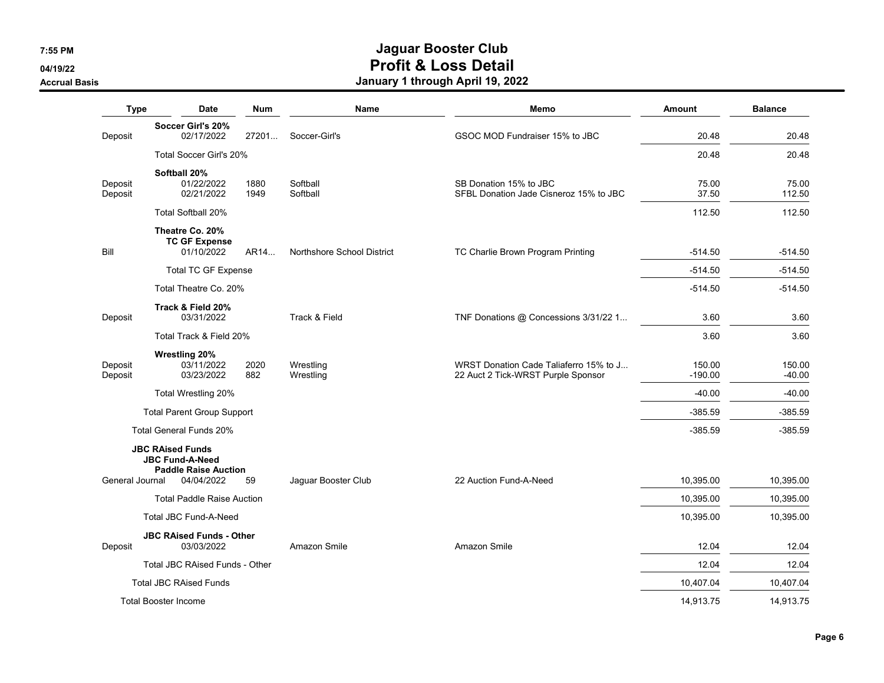**04/19/22**

**Accrual Basis**

| <b>Type</b>        | Date                                                                             | <b>Num</b>   | <b>Name</b>                | Memo                                                                         | <b>Amount</b>       | <b>Balance</b>     |
|--------------------|----------------------------------------------------------------------------------|--------------|----------------------------|------------------------------------------------------------------------------|---------------------|--------------------|
| Deposit            | Soccer Girl's 20%<br>02/17/2022                                                  | 27201        | Soccer-Girl's              | GSOC MOD Fundraiser 15% to JBC                                               | 20.48               | 20.48              |
|                    | Total Soccer Girl's 20%                                                          |              |                            |                                                                              | 20.48               | 20.48              |
| Deposit<br>Deposit | Softball 20%<br>01/22/2022<br>02/21/2022                                         | 1880<br>1949 | Softball<br>Softball       | SB Donation 15% to JBC<br>SFBL Donation Jade Cisneroz 15% to JBC             | 75.00<br>37.50      | 75.00<br>112.50    |
|                    | Total Softball 20%                                                               |              |                            |                                                                              | 112.50              | 112.50             |
| Bill               | Theatre Co. 20%<br><b>TC GF Expense</b><br>01/10/2022                            | AR14         | Northshore School District | TC Charlie Brown Program Printing                                            | $-514.50$           | $-514.50$          |
|                    | <b>Total TC GF Expense</b>                                                       |              |                            |                                                                              | $-514.50$           | $-514.50$          |
|                    | Total Theatre Co. 20%                                                            |              |                            |                                                                              | $-514.50$           | $-514.50$          |
| Deposit            | Track & Field 20%<br>03/31/2022                                                  |              | Track & Field              | TNF Donations @ Concessions 3/31/22 1                                        | 3.60                | 3.60               |
|                    | Total Track & Field 20%                                                          |              |                            |                                                                              | 3.60                | 3.60               |
| Deposit<br>Deposit | <b>Wrestling 20%</b><br>03/11/2022<br>03/23/2022                                 | 2020<br>882  | Wrestling<br>Wrestling     | WRST Donation Cade Taliaferro 15% to J<br>22 Auct 2 Tick-WRST Purple Sponsor | 150.00<br>$-190.00$ | 150.00<br>$-40.00$ |
|                    | Total Wrestling 20%                                                              |              |                            |                                                                              | $-40.00$            | $-40.00$           |
|                    | <b>Total Parent Group Support</b>                                                |              |                            |                                                                              | $-385.59$           | $-385.59$          |
|                    | Total General Funds 20%                                                          |              |                            |                                                                              | $-385.59$           | $-385.59$          |
|                    | <b>JBC RAised Funds</b><br><b>JBC Fund-A-Need</b><br><b>Paddle Raise Auction</b> |              |                            |                                                                              |                     |                    |
| General Journal    | 04/04/2022                                                                       | 59           | Jaguar Booster Club        | 22 Auction Fund-A-Need                                                       | 10,395.00           | 10,395.00          |
|                    | <b>Total Paddle Raise Auction</b>                                                |              |                            |                                                                              | 10,395.00           | 10,395.00          |
|                    | Total JBC Fund-A-Need                                                            |              |                            |                                                                              | 10,395.00           | 10,395.00          |
| Deposit            | <b>JBC RAised Funds - Other</b><br>03/03/2022                                    |              | Amazon Smile               | Amazon Smile                                                                 | 12.04               | 12.04              |
|                    | <b>Total JBC RAised Funds - Other</b>                                            |              |                            |                                                                              | 12.04               | 12.04              |
|                    | <b>Total JBC RAised Funds</b>                                                    |              |                            |                                                                              | 10,407.04           | 10,407.04          |
|                    | <b>Total Booster Income</b>                                                      |              |                            |                                                                              | 14,913.75           | 14,913.75          |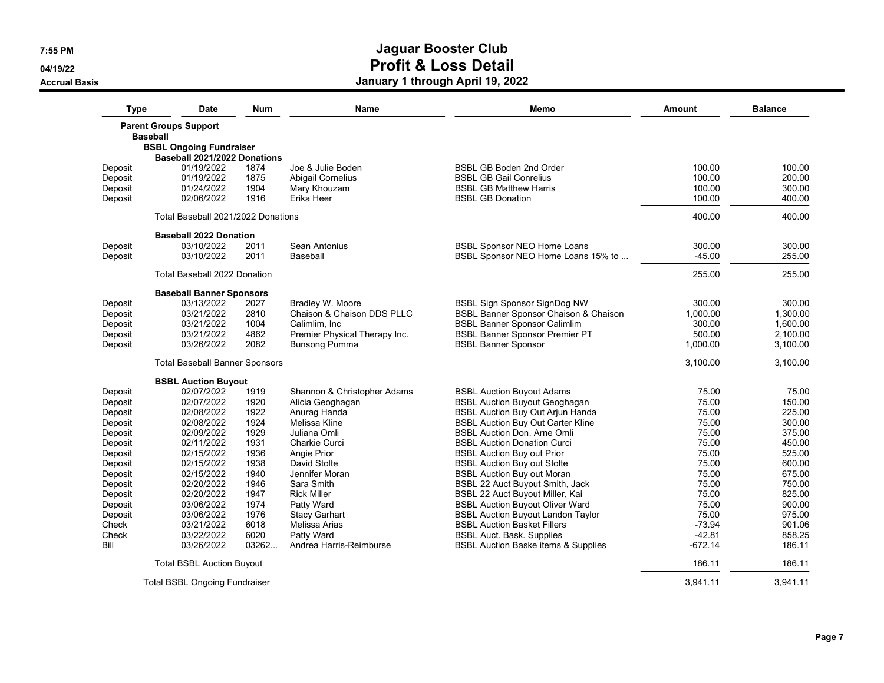**04/19/22**

**Accrual Basis**

| Type               | <b>Date</b>                           | <b>Num</b>   | <b>Name</b>                   | Memo                                                     | Amount           | <b>Balance</b>   |
|--------------------|---------------------------------------|--------------|-------------------------------|----------------------------------------------------------|------------------|------------------|
|                    | <b>Parent Groups Support</b>          |              |                               |                                                          |                  |                  |
| <b>Baseball</b>    |                                       |              |                               |                                                          |                  |                  |
|                    | <b>BSBL Ongoing Fundraiser</b>        |              |                               |                                                          |                  |                  |
|                    | Baseball 2021/2022 Donations          |              | Joe & Julie Boden             | <b>BSBL GB Boden 2nd Order</b>                           | 100.00           | 100.00           |
| Deposit            | 01/19/2022<br>01/19/2022              | 1874<br>1875 | Abigail Cornelius             | <b>BSBL GB Gail Conrelius</b>                            | 100.00           | 200.00           |
| Deposit            |                                       | 1904         |                               |                                                          |                  |                  |
| Deposit<br>Deposit | 01/24/2022<br>02/06/2022              | 1916         | Mary Khouzam<br>Erika Heer    | <b>BSBL GB Matthew Harris</b><br><b>BSBL GB Donation</b> | 100.00<br>100.00 | 300.00<br>400.00 |
|                    |                                       |              |                               |                                                          |                  |                  |
|                    | Total Baseball 2021/2022 Donations    |              |                               |                                                          | 400.00           | 400.00           |
|                    | <b>Baseball 2022 Donation</b>         |              |                               |                                                          |                  |                  |
| Deposit            | 03/10/2022                            | 2011         | Sean Antonius                 | <b>BSBL Sponsor NEO Home Loans</b>                       | 300.00           | 300.00           |
| Deposit            | 03/10/2022                            | 2011         | Baseball                      | BSBL Sponsor NEO Home Loans 15% to                       | $-45.00$         | 255.00           |
|                    | <b>Total Baseball 2022 Donation</b>   |              |                               |                                                          | 255.00           | 255.00           |
|                    | <b>Baseball Banner Sponsors</b>       |              |                               |                                                          |                  |                  |
| Deposit            | 03/13/2022                            | 2027         | Bradley W. Moore              | BSBL Sign Sponsor SignDog NW                             | 300.00           | 300.00           |
| Deposit            | 03/21/2022                            | 2810         | Chaison & Chaison DDS PLLC    | <b>BSBL Banner Sponsor Chaison &amp; Chaison</b>         | 1,000.00         | 1,300.00         |
| Deposit            | 03/21/2022                            | 1004         | Calimlim, Inc.                | <b>BSBL Banner Sponsor Calimlim</b>                      | 300.00           | 1,600.00         |
| Deposit            | 03/21/2022                            | 4862         | Premier Physical Therapy Inc. | <b>BSBL Banner Sponsor Premier PT</b>                    | 500.00           | 2,100.00         |
| Deposit            | 03/26/2022                            | 2082         | <b>Bunsong Pumma</b>          | <b>BSBL Banner Sponsor</b>                               | 1,000.00         | 3,100.00         |
|                    | <b>Total Baseball Banner Sponsors</b> |              |                               |                                                          | 3,100.00         | 3,100.00         |
|                    | <b>BSBL Auction Buyout</b>            |              |                               |                                                          |                  |                  |
| Deposit            | 02/07/2022                            | 1919         | Shannon & Christopher Adams   | <b>BSBL Auction Buyout Adams</b>                         | 75.00            | 75.00            |
| Deposit            | 02/07/2022                            | 1920         | Alicia Geoghagan              | <b>BSBL Auction Buyout Geoghagan</b>                     | 75.00            | 150.00           |
| Deposit            | 02/08/2022                            | 1922         | Anurag Handa                  | <b>BSBL Auction Buy Out Arjun Handa</b>                  | 75.00            | 225.00           |
| Deposit            | 02/08/2022                            | 1924         | Melissa Kline                 | <b>BSBL Auction Buy Out Carter Kline</b>                 | 75.00            | 300.00           |
| Deposit            | 02/09/2022                            | 1929         | Juliana Omli                  | <b>BSBL Auction Don. Arne Omli</b>                       | 75.00            | 375.00           |
| Deposit            | 02/11/2022                            | 1931         | Charkie Curci                 | <b>BSBL Auction Donation Curci</b>                       | 75.00            | 450.00           |
| Deposit            | 02/15/2022                            | 1936         | Angie Prior                   | <b>BSBL Auction Buy out Prior</b>                        | 75.00            | 525.00           |
| Deposit            | 02/15/2022                            | 1938         | David Stolte                  | <b>BSBL Auction Buy out Stolte</b>                       | 75.00            | 600.00           |
| Deposit            | 02/15/2022                            | 1940         | Jennifer Moran                | <b>BSBL Auction Buy out Moran</b>                        | 75.00            | 675.00           |
| Deposit            | 02/20/2022                            | 1946         | Sara Smith                    | BSBL 22 Auct Buyout Smith, Jack                          | 75.00            | 750.00           |
| Deposit            | 02/20/2022                            | 1947         | <b>Rick Miller</b>            | BSBL 22 Auct Buyout Miller, Kai                          | 75.00            | 825.00           |
| Deposit            | 03/06/2022                            | 1974         | Patty Ward                    | <b>BSBL Auction Buyout Oliver Ward</b>                   | 75.00            | 900.00           |
| Deposit            | 03/06/2022                            | 1976         | <b>Stacy Garhart</b>          | <b>BSBL Auction Buyout Landon Taylor</b>                 | 75.00            | 975.00           |
| Check              | 03/21/2022                            | 6018         | Melissa Arias                 | <b>BSBL Auction Basket Fillers</b>                       | $-73.94$         | 901.06           |
| Check              | 03/22/2022                            | 6020         | Patty Ward                    | <b>BSBL Auct. Bask. Supplies</b>                         | $-42.81$         | 858.25           |
| Bill               | 03/26/2022                            | 03262        | Andrea Harris-Reimburse       | <b>BSBL Auction Baske items &amp; Supplies</b>           | $-672.14$        | 186.11           |
|                    | <b>Total BSBL Auction Buyout</b>      |              |                               |                                                          | 186.11           | 186.11           |
|                    | <b>Total BSBL Ongoing Fundraiser</b>  |              |                               |                                                          | 3,941.11         | 3,941.11         |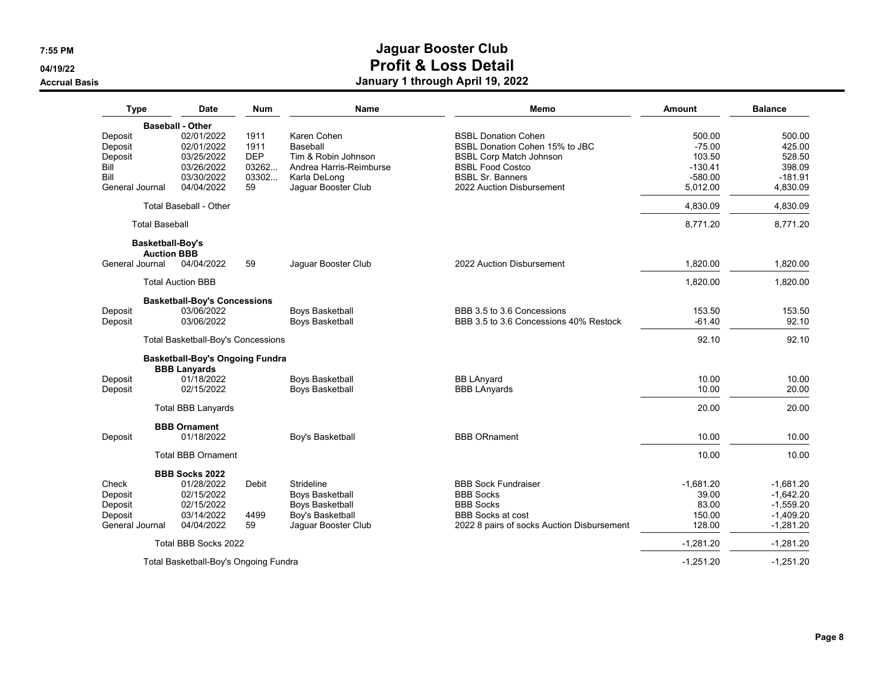**04/19/22**

#### **Accrual Basis**

| <b>Type</b>           | Date                                      | <b>Num</b> | <b>Name</b>                                      | Memo                                       | Amount         | <b>Balance</b> |
|-----------------------|-------------------------------------------|------------|--------------------------------------------------|--------------------------------------------|----------------|----------------|
|                       | <b>Baseball - Other</b>                   |            |                                                  |                                            |                |                |
| Deposit               | 02/01/2022                                | 1911       | Karen Cohen                                      | <b>BSBL Donation Cohen</b>                 | 500.00         | 500.00         |
| Deposit               | 02/01/2022                                | 1911       | Baseball                                         | BSBL Donation Cohen 15% to JBC             | $-75.00$       | 425.00         |
| Deposit               | 03/25/2022                                | <b>DEP</b> | Tim & Robin Johnson                              | <b>BSBL Corp Match Johnson</b>             | 103.50         | 528.50         |
| Bill                  | 03/26/2022                                | 03262      | Andrea Harris-Reimburse                          | <b>BSBL Food Costco</b>                    | $-130.41$      | 398.09         |
| Bill                  | 03/30/2022                                | 03302      | Karla DeLong                                     | <b>BSBL Sr. Banners</b>                    | $-580.00$      | $-181.91$      |
| General Journal       | 04/04/2022                                | 59         | Jaguar Booster Club                              | 2022 Auction Disbursement                  | 5,012.00       | 4,830.09       |
|                       | <b>Total Baseball - Other</b>             |            |                                                  |                                            | 4,830.09       | 4,830.09       |
| <b>Total Baseball</b> |                                           |            |                                                  |                                            | 8,771.20       | 8,771.20       |
| Basketball-Boy's      |                                           |            |                                                  |                                            |                |                |
| General Journal       | <b>Auction BBB</b><br>04/04/2022          | 59         | Jaguar Booster Club                              | 2022 Auction Disbursement                  | 1,820.00       | 1,820.00       |
|                       |                                           |            |                                                  |                                            |                |                |
|                       | <b>Total Auction BBB</b>                  |            |                                                  |                                            | 1,820.00       | 1,820.00       |
|                       | <b>Basketball-Boy's Concessions</b>       |            |                                                  |                                            |                |                |
| Deposit               | 03/06/2022                                |            | <b>Boys Basketball</b>                           | BBB 3.5 to 3.6 Concessions                 | 153.50         | 153.50         |
| Deposit               | 03/06/2022                                |            | Boys Basketball                                  | BBB 3.5 to 3.6 Concessions 40% Restock     | $-61.40$       | 92.10          |
|                       | <b>Total Basketball-Boy's Concessions</b> |            |                                                  |                                            | 92.10          | 92.10          |
|                       | <b>Basketball-Boy's Ongoing Fundra</b>    |            |                                                  |                                            |                |                |
|                       | <b>BBB Lanyards</b>                       |            |                                                  |                                            |                |                |
| Deposit<br>Deposit    | 01/18/2022<br>02/15/2022                  |            | <b>Boys Basketball</b><br><b>Boys Basketball</b> | <b>BB LAnyard</b><br><b>BBB LAnyards</b>   | 10.00<br>10.00 | 10.00<br>20.00 |
|                       |                                           |            |                                                  |                                            |                |                |
|                       | <b>Total BBB Lanyards</b>                 |            |                                                  |                                            | 20.00          | 20.00          |
|                       | <b>BBB Ornament</b>                       |            |                                                  |                                            |                |                |
| Deposit               | 01/18/2022                                |            | Boy's Basketball                                 | <b>BBB ORnament</b>                        | 10.00          | 10.00          |
|                       | <b>Total BBB Ornament</b>                 |            |                                                  |                                            | 10.00          | 10.00          |
|                       | <b>BBB Socks 2022</b>                     |            |                                                  |                                            |                |                |
| Check                 | 01/28/2022                                | Debit      | Strideline                                       | <b>BBB Sock Fundraiser</b>                 | $-1,681.20$    | $-1,681.20$    |
| Deposit               | 02/15/2022                                |            | <b>Boys Basketball</b>                           | <b>BBB Socks</b>                           | 39.00          | $-1,642.20$    |
| Deposit               | 02/15/2022                                |            | Boys Basketball                                  | <b>BBB Socks</b>                           | 83.00          | $-1,559.20$    |
| Deposit               | 03/14/2022                                | 4499       | Boy's Basketball                                 | <b>BBB Socks at cost</b>                   | 150.00         | $-1,409.20$    |
| General Journal       | 04/04/2022                                | 59         | Jaguar Booster Club                              | 2022 8 pairs of socks Auction Disbursement | 128.00         | $-1,281.20$    |
|                       | Total BBB Socks 2022                      |            |                                                  |                                            | $-1,281.20$    | $-1,281.20$    |
|                       | Total Basketball-Boy's Ongoing Fundra     |            |                                                  |                                            | $-1,251.20$    | $-1,251.20$    |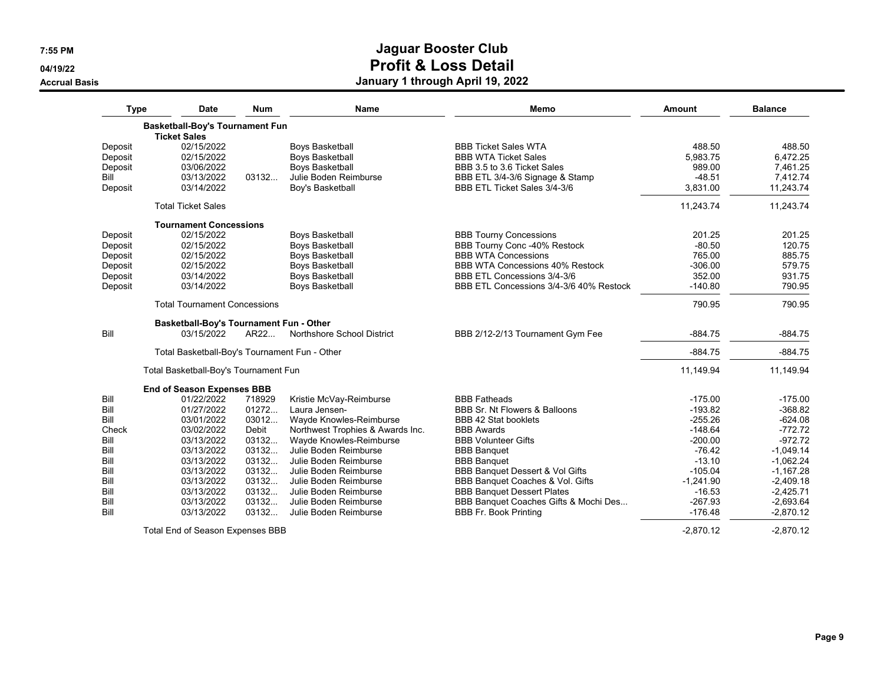**04/19/22**

#### **Accrual Basis**

| <b>Type</b> | Date                                                          | <b>Num</b> | <b>Name</b>                      | Memo                                    | Amount      | <b>Balance</b> |
|-------------|---------------------------------------------------------------|------------|----------------------------------|-----------------------------------------|-------------|----------------|
|             | <b>Basketball-Boy's Tournament Fun</b><br><b>Ticket Sales</b> |            |                                  |                                         |             |                |
| Deposit     | 02/15/2022                                                    |            | <b>Boys Basketball</b>           | <b>BBB Ticket Sales WTA</b>             | 488.50      | 488.50         |
| Deposit     | 02/15/2022                                                    |            | Boys Basketball                  | <b>BBB WTA Ticket Sales</b>             | 5,983.75    | 6,472.25       |
| Deposit     | 03/06/2022                                                    |            | <b>Boys Basketball</b>           | BBB 3.5 to 3.6 Ticket Sales             | 989.00      | 7,461.25       |
| Bill        | 03/13/2022                                                    | 03132      | Julie Boden Reimburse            | BBB ETL 3/4-3/6 Signage & Stamp         | $-48.51$    | 7,412.74       |
| Deposit     | 03/14/2022                                                    |            | Boy's Basketball                 | BBB ETL Ticket Sales 3/4-3/6            | 3,831.00    | 11,243.74      |
|             | <b>Total Ticket Sales</b>                                     |            |                                  |                                         | 11,243.74   | 11,243.74      |
|             | <b>Tournament Concessions</b>                                 |            |                                  |                                         |             |                |
| Deposit     | 02/15/2022                                                    |            | <b>Boys Basketball</b>           | <b>BBB Tourny Concessions</b>           | 201.25      | 201.25         |
| Deposit     | 02/15/2022                                                    |            | <b>Boys Basketball</b>           | BBB Tourny Conc -40% Restock            | $-80.50$    | 120.75         |
| Deposit     | 02/15/2022                                                    |            | Boys Basketball                  | <b>BBB WTA Concessions</b>              | 765.00      | 885.75         |
| Deposit     | 02/15/2022                                                    |            | <b>Boys Basketball</b>           | <b>BBB WTA Concessions 40% Restock</b>  | $-306.00$   | 579.75         |
| Deposit     | 03/14/2022                                                    |            | <b>Boys Basketball</b>           | BBB ETL Concessions 3/4-3/6             | 352.00      | 931.75         |
| Deposit     | 03/14/2022                                                    |            | <b>Boys Basketball</b>           | BBB ETL Concessions 3/4-3/6 40% Restock | $-140.80$   | 790.95         |
|             | <b>Total Tournament Concessions</b>                           |            |                                  |                                         | 790.95      | 790.95         |
|             | Basketball-Boy's Tournament Fun - Other                       |            |                                  |                                         |             |                |
| Bill        | 03/15/2022                                                    | AR22       | Northshore School District       | BBB 2/12-2/13 Tournament Gym Fee        | $-884.75$   | $-884.75$      |
|             | Total Basketball-Boy's Tournament Fun - Other                 |            |                                  |                                         | $-884.75$   | $-884.75$      |
|             | Total Basketball-Boy's Tournament Fun                         |            |                                  |                                         | 11,149.94   | 11,149.94      |
|             | <b>End of Season Expenses BBB</b>                             |            |                                  |                                         |             |                |
| Bill        | 01/22/2022                                                    | 718929     | Kristie McVay-Reimburse          | <b>BBB Fatheads</b>                     | $-175.00$   | $-175.00$      |
| Bill        | 01/27/2022                                                    | 01272      | Laura Jensen-                    | BBB Sr. Nt Flowers & Balloons           | $-193.82$   | $-368.82$      |
| Bill        | 03/01/2022                                                    | 03012      | Wayde Knowles-Reimburse          | <b>BBB 42 Stat booklets</b>             | $-255.26$   | $-624.08$      |
| Check       | 03/02/2022                                                    | Debit      | Northwest Trophies & Awards Inc. | <b>BBB Awards</b>                       | $-148.64$   | $-772.72$      |
| Bill        | 03/13/2022                                                    | 03132      | Wayde Knowles-Reimburse          | <b>BBB Volunteer Gifts</b>              | $-200.00$   | $-972.72$      |
| Bill        | 03/13/2022                                                    | 03132      | Julie Boden Reimburse            | <b>BBB Banquet</b>                      | $-76.42$    | $-1,049.14$    |
| Bill        | 03/13/2022                                                    | 03132      | Julie Boden Reimburse            | <b>BBB Banquet</b>                      | $-13.10$    | $-1,062.24$    |
| Bill        | 03/13/2022                                                    | 03132      | Julie Boden Reimburse            | BBB Banquet Dessert & Vol Gifts         | $-105.04$   | $-1,167.28$    |
| Bill        | 03/13/2022                                                    | 03132      | Julie Boden Reimburse            | BBB Banquet Coaches & Vol. Gifts        | $-1,241.90$ | $-2,409.18$    |
| Bill        | 03/13/2022                                                    | 03132      | Julie Boden Reimburse            | <b>BBB Banquet Dessert Plates</b>       | $-16.53$    | $-2,425.71$    |
| Bill        | 03/13/2022                                                    | 03132      | Julie Boden Reimburse            | BBB Banquet Coaches Gifts & Mochi Des   | $-267.93$   | $-2,693.64$    |
| Bill        | 03/13/2022                                                    | 03132      | Julie Boden Reimburse            | <b>BBB Fr. Book Printing</b>            | $-176.48$   | $-2,870.12$    |
|             | Total End of Season Expenses BBB                              |            |                                  |                                         | $-2,870.12$ | $-2,870.12$    |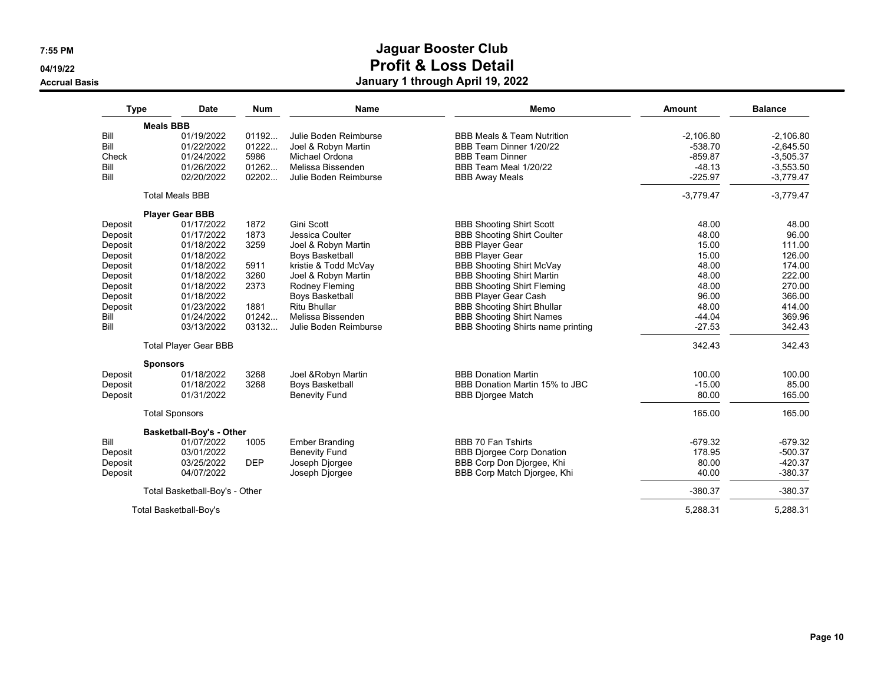**04/19/22**

#### **Accrual Basis**

| <b>Meals BBB</b><br>Bill<br>01/19/2022<br>01192<br>Julie Boden Reimburse<br><b>BBB Meals &amp; Team Nutrition</b><br>$-2.106.80$<br>$-2.106.80$<br>Bill<br>01222<br>$-538.70$<br>01/22/2022<br>Joel & Robyn Martin<br>BBB Team Dinner 1/20/22<br>$-2,645.50$<br>01/24/2022<br>5986<br>$-3,505.37$<br>Check<br>Michael Ordona<br><b>BBB Team Dinner</b><br>$-859.87$<br>Bill<br>Melissa Bissenden<br>01/26/2022<br>01262<br>BBB Team Meal 1/20/22<br>$-48.13$<br>$-3,553.50$<br>Bill<br>02/20/2022<br>02202<br>Julie Boden Reimburse<br>$-225.97$<br>$-3,779.47$<br><b>BBB Away Meals</b><br><b>Total Meals BBB</b><br>$-3,779.47$<br>$-3,779.47$<br><b>Player Gear BBB</b><br>01/17/2022<br>1872<br>Gini Scott<br>48.00<br>48.00<br><b>BBB Shooting Shirt Scott</b><br>Deposit<br>01/17/2022<br>48.00<br>96.00<br>Deposit<br>1873<br>Jessica Coulter<br><b>BBB Shooting Shirt Coulter</b><br>3259<br>15.00<br>111.00<br>01/18/2022<br>Joel & Robyn Martin<br><b>BBB Player Gear</b><br>Deposit<br>15.00<br>01/18/2022<br><b>Boys Basketball</b><br><b>BBB Player Gear</b><br>126.00<br>Deposit<br>48.00<br>01/18/2022<br>5911<br>kristie & Todd McVay<br><b>BBB Shooting Shirt McVay</b><br>174.00<br>Deposit<br>01/18/2022<br>3260<br>48.00<br>222.00<br>Deposit<br>Joel & Robyn Martin<br><b>BBB Shooting Shirt Martin</b><br>Rodney Fleming<br><b>BBB Shooting Shirt Fleming</b><br>48.00<br>270.00<br>Deposit<br>01/18/2022<br>2373<br>01/18/2022<br>96.00<br>366.00<br><b>Boys Basketball</b><br><b>BBB Player Gear Cash</b><br>Deposit<br><b>Ritu Bhullar</b><br>01/23/2022<br>1881<br><b>BBB Shooting Shirt Bhullar</b><br>48.00<br>414.00<br>Deposit<br>01242<br>Bill<br>01/24/2022<br>Melissa Bissenden<br><b>BBB Shooting Shirt Names</b><br>$-44.04$<br>369.96<br>Bill<br>03/13/2022<br>03132<br>BBB Shooting Shirts name printing<br>Julie Boden Reimburse<br>$-27.53$<br>342.43<br><b>Total Player Gear BBB</b><br>342.43<br>342.43<br><b>Sponsors</b><br>01/18/2022<br><b>BBB Donation Martin</b><br>3268<br>Joel & Robyn Martin<br>100.00<br>100.00<br>Deposit<br>01/18/2022<br>3268<br>Boys Basketball<br>BBB Donation Martin 15% to JBC<br>$-15.00$<br>85.00<br>Deposit<br>80.00<br>165.00<br>01/31/2022<br><b>Benevity Fund</b><br>Deposit<br><b>BBB Djorgee Match</b><br>165.00<br><b>Total Sponsors</b><br>165.00<br>Basketball-Boy's - Other<br><b>BBB 70 Fan Tshirts</b><br>$-679.32$<br>$-679.32$<br>Bill<br>01/07/2022<br>1005<br><b>Ember Branding</b><br>03/01/2022<br><b>Benevity Fund</b><br><b>BBB Djorgee Corp Donation</b><br>178.95<br>$-500.37$<br>Deposit<br>03/25/2022<br><b>DEP</b><br>BBB Corp Don Djorgee, Khi<br>80.00<br>$-420.37$<br>Joseph Djorgee<br>Deposit<br>04/07/2022<br>BBB Corp Match Djorgee, Khi<br>40.00<br>$-380.37$<br>Joseph Djorgee<br>Deposit<br>$-380.37$<br>$-380.37$<br>Total Basketball-Boy's - Other | <b>Type</b> | <b>Date</b>            | <b>Num</b> | <b>Name</b> | Memo | <b>Amount</b> | <b>Balance</b> |
|---------------------------------------------------------------------------------------------------------------------------------------------------------------------------------------------------------------------------------------------------------------------------------------------------------------------------------------------------------------------------------------------------------------------------------------------------------------------------------------------------------------------------------------------------------------------------------------------------------------------------------------------------------------------------------------------------------------------------------------------------------------------------------------------------------------------------------------------------------------------------------------------------------------------------------------------------------------------------------------------------------------------------------------------------------------------------------------------------------------------------------------------------------------------------------------------------------------------------------------------------------------------------------------------------------------------------------------------------------------------------------------------------------------------------------------------------------------------------------------------------------------------------------------------------------------------------------------------------------------------------------------------------------------------------------------------------------------------------------------------------------------------------------------------------------------------------------------------------------------------------------------------------------------------------------------------------------------------------------------------------------------------------------------------------------------------------------------------------------------------------------------------------------------------------------------------------------------------------------------------------------------------------------------------------------------------------------------------------------------------------------------------------------------------------------------------------------------------------------------------------------------------------------------------------------------------------------------------------------------------------------------------------------------------------------------------------------------------------------------------------------------------------------------------------------------------------------------------------------------------|-------------|------------------------|------------|-------------|------|---------------|----------------|
|                                                                                                                                                                                                                                                                                                                                                                                                                                                                                                                                                                                                                                                                                                                                                                                                                                                                                                                                                                                                                                                                                                                                                                                                                                                                                                                                                                                                                                                                                                                                                                                                                                                                                                                                                                                                                                                                                                                                                                                                                                                                                                                                                                                                                                                                                                                                                                                                                                                                                                                                                                                                                                                                                                                                                                                                                                                                     |             |                        |            |             |      |               |                |
|                                                                                                                                                                                                                                                                                                                                                                                                                                                                                                                                                                                                                                                                                                                                                                                                                                                                                                                                                                                                                                                                                                                                                                                                                                                                                                                                                                                                                                                                                                                                                                                                                                                                                                                                                                                                                                                                                                                                                                                                                                                                                                                                                                                                                                                                                                                                                                                                                                                                                                                                                                                                                                                                                                                                                                                                                                                                     |             |                        |            |             |      |               |                |
|                                                                                                                                                                                                                                                                                                                                                                                                                                                                                                                                                                                                                                                                                                                                                                                                                                                                                                                                                                                                                                                                                                                                                                                                                                                                                                                                                                                                                                                                                                                                                                                                                                                                                                                                                                                                                                                                                                                                                                                                                                                                                                                                                                                                                                                                                                                                                                                                                                                                                                                                                                                                                                                                                                                                                                                                                                                                     |             |                        |            |             |      |               |                |
|                                                                                                                                                                                                                                                                                                                                                                                                                                                                                                                                                                                                                                                                                                                                                                                                                                                                                                                                                                                                                                                                                                                                                                                                                                                                                                                                                                                                                                                                                                                                                                                                                                                                                                                                                                                                                                                                                                                                                                                                                                                                                                                                                                                                                                                                                                                                                                                                                                                                                                                                                                                                                                                                                                                                                                                                                                                                     |             |                        |            |             |      |               |                |
|                                                                                                                                                                                                                                                                                                                                                                                                                                                                                                                                                                                                                                                                                                                                                                                                                                                                                                                                                                                                                                                                                                                                                                                                                                                                                                                                                                                                                                                                                                                                                                                                                                                                                                                                                                                                                                                                                                                                                                                                                                                                                                                                                                                                                                                                                                                                                                                                                                                                                                                                                                                                                                                                                                                                                                                                                                                                     |             |                        |            |             |      |               |                |
|                                                                                                                                                                                                                                                                                                                                                                                                                                                                                                                                                                                                                                                                                                                                                                                                                                                                                                                                                                                                                                                                                                                                                                                                                                                                                                                                                                                                                                                                                                                                                                                                                                                                                                                                                                                                                                                                                                                                                                                                                                                                                                                                                                                                                                                                                                                                                                                                                                                                                                                                                                                                                                                                                                                                                                                                                                                                     |             |                        |            |             |      |               |                |
|                                                                                                                                                                                                                                                                                                                                                                                                                                                                                                                                                                                                                                                                                                                                                                                                                                                                                                                                                                                                                                                                                                                                                                                                                                                                                                                                                                                                                                                                                                                                                                                                                                                                                                                                                                                                                                                                                                                                                                                                                                                                                                                                                                                                                                                                                                                                                                                                                                                                                                                                                                                                                                                                                                                                                                                                                                                                     |             |                        |            |             |      |               |                |
|                                                                                                                                                                                                                                                                                                                                                                                                                                                                                                                                                                                                                                                                                                                                                                                                                                                                                                                                                                                                                                                                                                                                                                                                                                                                                                                                                                                                                                                                                                                                                                                                                                                                                                                                                                                                                                                                                                                                                                                                                                                                                                                                                                                                                                                                                                                                                                                                                                                                                                                                                                                                                                                                                                                                                                                                                                                                     |             |                        |            |             |      |               |                |
|                                                                                                                                                                                                                                                                                                                                                                                                                                                                                                                                                                                                                                                                                                                                                                                                                                                                                                                                                                                                                                                                                                                                                                                                                                                                                                                                                                                                                                                                                                                                                                                                                                                                                                                                                                                                                                                                                                                                                                                                                                                                                                                                                                                                                                                                                                                                                                                                                                                                                                                                                                                                                                                                                                                                                                                                                                                                     |             |                        |            |             |      |               |                |
|                                                                                                                                                                                                                                                                                                                                                                                                                                                                                                                                                                                                                                                                                                                                                                                                                                                                                                                                                                                                                                                                                                                                                                                                                                                                                                                                                                                                                                                                                                                                                                                                                                                                                                                                                                                                                                                                                                                                                                                                                                                                                                                                                                                                                                                                                                                                                                                                                                                                                                                                                                                                                                                                                                                                                                                                                                                                     |             |                        |            |             |      |               |                |
|                                                                                                                                                                                                                                                                                                                                                                                                                                                                                                                                                                                                                                                                                                                                                                                                                                                                                                                                                                                                                                                                                                                                                                                                                                                                                                                                                                                                                                                                                                                                                                                                                                                                                                                                                                                                                                                                                                                                                                                                                                                                                                                                                                                                                                                                                                                                                                                                                                                                                                                                                                                                                                                                                                                                                                                                                                                                     |             |                        |            |             |      |               |                |
|                                                                                                                                                                                                                                                                                                                                                                                                                                                                                                                                                                                                                                                                                                                                                                                                                                                                                                                                                                                                                                                                                                                                                                                                                                                                                                                                                                                                                                                                                                                                                                                                                                                                                                                                                                                                                                                                                                                                                                                                                                                                                                                                                                                                                                                                                                                                                                                                                                                                                                                                                                                                                                                                                                                                                                                                                                                                     |             | Total Basketball-Boy's |            |             |      | 5,288.31      | 5,288.31       |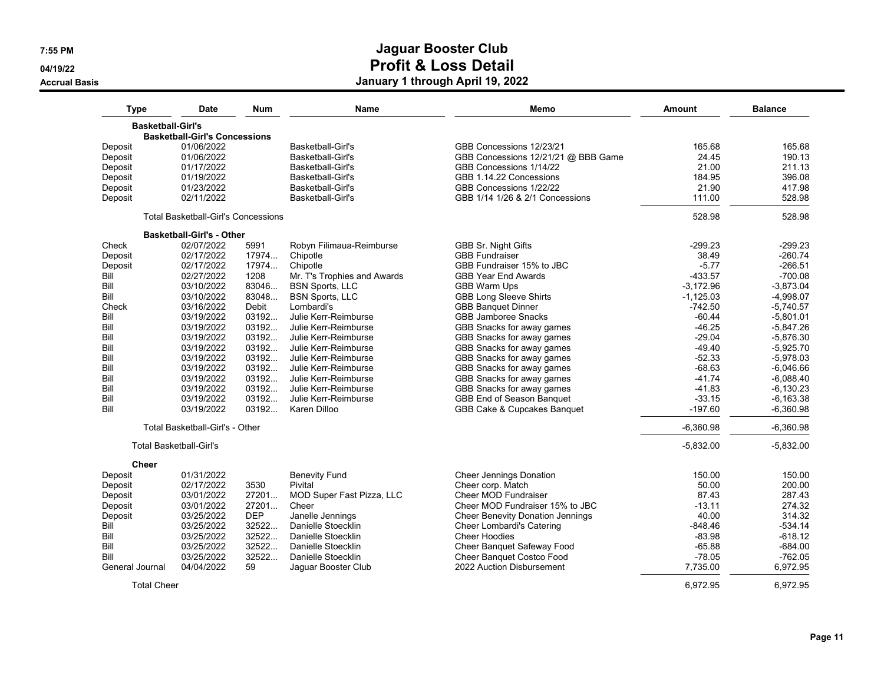**04/19/22**

**Accrual Basis**

| Type                     | Date                                       | <b>Num</b> | <b>Name</b>                 | Memo                                    | Amount      | <b>Balance</b> |
|--------------------------|--------------------------------------------|------------|-----------------------------|-----------------------------------------|-------------|----------------|
| <b>Basketball-Girl's</b> |                                            |            |                             |                                         |             |                |
|                          | <b>Basketball-Girl's Concessions</b>       |            |                             |                                         |             |                |
| Deposit                  | 01/06/2022                                 |            | Basketball-Girl's           | GBB Concessions 12/23/21                | 165.68      | 165.68         |
| Deposit                  | 01/06/2022                                 |            | <b>Basketball-Girl's</b>    | GBB Concessions 12/21/21 @ BBB Game     | 24.45       | 190.13         |
| Deposit                  | 01/17/2022                                 |            | Basketball-Girl's           | GBB Concessions 1/14/22                 | 21.00       | 211.13         |
| Deposit                  | 01/19/2022                                 |            | Basketball-Girl's           | GBB 1.14.22 Concessions                 | 184.95      | 396.08         |
| Deposit                  | 01/23/2022                                 |            | Basketball-Girl's           | GBB Concessions 1/22/22                 | 21.90       | 417.98         |
| Deposit                  | 02/11/2022                                 |            | Basketball-Girl's           | GBB 1/14 1/26 & 2/1 Concessions         | 111.00      | 528.98         |
|                          | <b>Total Basketball-Girl's Concessions</b> |            |                             |                                         | 528.98      | 528.98         |
|                          | <b>Basketball-Girl's - Other</b>           |            |                             |                                         |             |                |
| Check                    | 02/07/2022                                 | 5991       | Robyn Filimaua-Reimburse    | <b>GBB Sr. Night Gifts</b>              | $-299.23$   | $-299.23$      |
| Deposit                  | 02/17/2022                                 | 17974      | Chipotle                    | <b>GBB Fundraiser</b>                   | 38.49       | $-260.74$      |
| Deposit                  | 02/17/2022                                 | 17974      | Chipotle                    | GBB Fundraiser 15% to JBC               | $-5.77$     | $-266.51$      |
| Bill                     | 02/27/2022                                 | 1208       | Mr. T's Trophies and Awards | <b>GBB Year End Awards</b>              | $-433.57$   | $-700.08$      |
| Bill                     | 03/10/2022                                 | 83046      | <b>BSN Sports, LLC</b>      | <b>GBB Warm Ups</b>                     | $-3,172.96$ | $-3,873.04$    |
| Bill                     | 03/10/2022                                 | 83048.     | <b>BSN Sports, LLC</b>      | <b>GBB Long Sleeve Shirts</b>           | $-1,125.03$ | $-4,998.07$    |
| Check                    | 03/16/2022                                 | Debit      | Lombardi's                  | <b>GBB Banquet Dinner</b>               | $-742.50$   | $-5,740.57$    |
| Bill                     | 03/19/2022                                 | 03192      | Julie Kerr-Reimburse        | <b>GBB Jamboree Snacks</b>              | $-60.44$    | $-5,801.01$    |
| Bill                     | 03/19/2022                                 | 03192      | Julie Kerr-Reimburse        | GBB Snacks for away games               | $-46.25$    | $-5,847.26$    |
| Bill                     | 03/19/2022                                 | 03192      | Julie Kerr-Reimburse        | GBB Snacks for away games               | $-29.04$    | $-5,876.30$    |
| Bill                     | 03/19/2022                                 | 03192      | Julie Kerr-Reimburse        | GBB Snacks for away games               | $-49.40$    | $-5,925.70$    |
| Bill                     | 03/19/2022                                 | 03192      | Julie Kerr-Reimburse        | GBB Snacks for away games               | $-52.33$    | $-5.978.03$    |
| Bill                     | 03/19/2022                                 | 03192      | Julie Kerr-Reimburse        | GBB Snacks for away games               | $-68.63$    | $-6,046.66$    |
| Bill                     | 03/19/2022                                 | 03192      | Julie Kerr-Reimburse        | GBB Snacks for away games               | $-41.74$    | $-6,088.40$    |
| Bill                     | 03/19/2022                                 | 03192      | Julie Kerr-Reimburse        | GBB Snacks for away games               | $-41.83$    | $-6,130.23$    |
| Bill                     | 03/19/2022                                 | 03192      | Julie Kerr-Reimburse        | <b>GBB End of Season Banquet</b>        | $-33.15$    | $-6, 163.38$   |
| Bill                     | 03/19/2022                                 | 03192      | Karen Dilloo                | GBB Cake & Cupcakes Banquet             | $-197.60$   | $-6,360.98$    |
|                          | Total Basketball-Girl's - Other            |            |                             |                                         | $-6,360.98$ | $-6,360.98$    |
|                          | <b>Total Basketball-Girl's</b>             |            |                             |                                         | $-5,832.00$ | $-5,832.00$    |
| <b>Cheer</b>             |                                            |            |                             |                                         |             |                |
| Deposit                  | 01/31/2022                                 |            | <b>Benevity Fund</b>        | <b>Cheer Jennings Donation</b>          | 150.00      | 150.00         |
| Deposit                  | 02/17/2022                                 | 3530       | Pivital                     | Cheer corp. Match                       | 50.00       | 200.00         |
| Deposit                  | 03/01/2022                                 | 27201      | MOD Super Fast Pizza, LLC   | <b>Cheer MOD Fundraiser</b>             | 87.43       | 287.43         |
| Deposit                  | 03/01/2022                                 | 27201      | Cheer                       | Cheer MOD Fundraiser 15% to JBC         | $-13.11$    | 274.32         |
| Deposit                  | 03/25/2022                                 | <b>DEP</b> | Janelle Jennings            | <b>Cheer Benevity Donation Jennings</b> | 40.00       | 314.32         |
| Bill                     | 03/25/2022                                 | 32522      | Danielle Stoecklin          | <b>Cheer Lombardi's Catering</b>        | $-848.46$   | $-534.14$      |
| Bill                     | 03/25/2022                                 | 32522      | Danielle Stoecklin          | <b>Cheer Hoodies</b>                    | $-83.98$    | $-618.12$      |
| Bill                     | 03/25/2022                                 | 32522      | Danielle Stoecklin          | Cheer Banquet Safeway Food              | $-65.88$    | $-684.00$      |
| Bill                     | 03/25/2022                                 | 32522      | Danielle Stoecklin          | Cheer Banquet Costco Food               | $-78.05$    | $-762.05$      |
| General Journal          | 04/04/2022                                 | 59         | Jaguar Booster Club         | 2022 Auction Disbursement               | 7,735.00    | 6,972.95       |
| <b>Total Cheer</b>       |                                            |            |                             |                                         | 6,972.95    | 6,972.95       |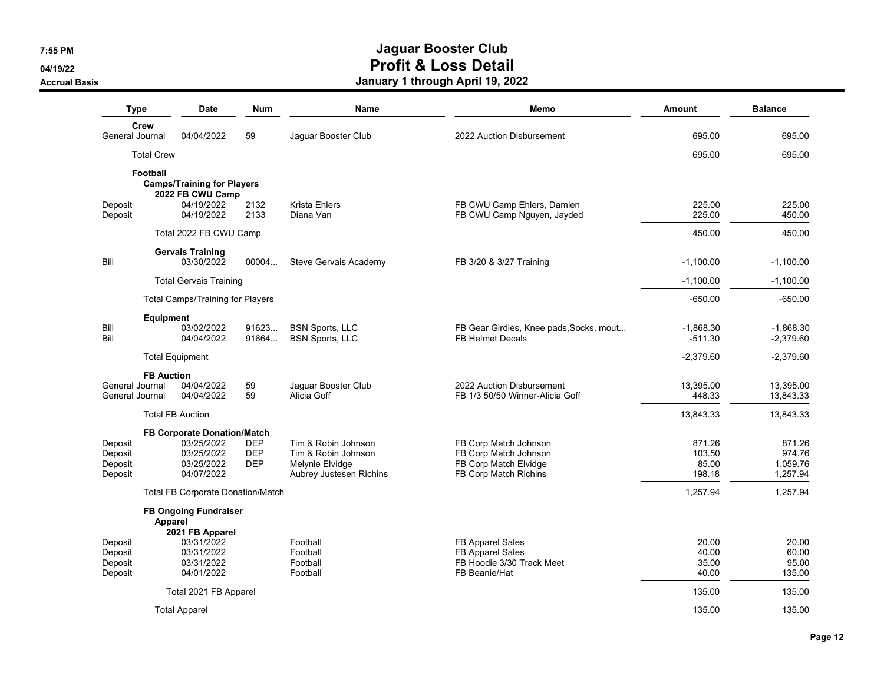**04/19/22**

**Accrual Basis**

| <b>Type</b>                              |                         | Date                                                                                       | <b>Num</b>                             | Name                                                                                     | Memo                                                                                             | Amount                              | <b>Balance</b>                           |
|------------------------------------------|-------------------------|--------------------------------------------------------------------------------------------|----------------------------------------|------------------------------------------------------------------------------------------|--------------------------------------------------------------------------------------------------|-------------------------------------|------------------------------------------|
| Crew                                     |                         |                                                                                            |                                        |                                                                                          |                                                                                                  |                                     |                                          |
| General Journal                          |                         | 04/04/2022                                                                                 | 59                                     | Jaguar Booster Club                                                                      | 2022 Auction Disbursement                                                                        | 695.00                              | 695.00                                   |
|                                          | <b>Total Crew</b>       |                                                                                            |                                        |                                                                                          |                                                                                                  | 695.00                              | 695.00                                   |
|                                          | Football                | <b>Camps/Training for Players</b><br>2022 FB CWU Camp                                      |                                        |                                                                                          |                                                                                                  |                                     |                                          |
| Deposit<br>Deposit                       |                         | 04/19/2022<br>04/19/2022                                                                   | 2132<br>2133                           | Krista Ehlers<br>Diana Van                                                               | FB CWU Camp Ehlers, Damien<br>FB CWU Camp Nguyen, Jayded                                         | 225.00<br>225.00                    | 225.00<br>450.00                         |
|                                          |                         | Total 2022 FB CWU Camp                                                                     |                                        |                                                                                          |                                                                                                  | 450.00                              | 450.00                                   |
| Bill                                     |                         | <b>Gervais Training</b><br>03/30/2022                                                      | 00004                                  | Steve Gervais Academy                                                                    | FB 3/20 & 3/27 Training                                                                          | $-1,100.00$                         | $-1,100.00$                              |
|                                          |                         | <b>Total Gervais Training</b>                                                              |                                        |                                                                                          |                                                                                                  | $-1,100.00$                         | $-1,100.00$                              |
|                                          |                         |                                                                                            |                                        |                                                                                          |                                                                                                  |                                     |                                          |
|                                          |                         | <b>Total Camps/Training for Players</b>                                                    |                                        |                                                                                          |                                                                                                  | $-650.00$                           | $-650.00$                                |
| Bill<br>Bill                             | <b>Equipment</b>        | 03/02/2022<br>04/04/2022                                                                   | 91623<br>91664                         | <b>BSN Sports, LLC</b><br><b>BSN Sports, LLC</b>                                         | FB Gear Girdles, Knee pads, Socks, mout<br><b>FB Helmet Decals</b>                               | $-1,868.30$<br>$-511.30$            | $-1,868.30$<br>$-2,379.60$               |
|                                          | <b>Total Equipment</b>  |                                                                                            |                                        |                                                                                          |                                                                                                  | $-2,379.60$                         | $-2,379.60$                              |
| General Journal<br>General Journal       | <b>FB Auction</b>       | 04/04/2022<br>04/04/2022                                                                   | 59<br>59                               | Jaquar Booster Club<br>Alicia Goff                                                       | 2022 Auction Disbursement<br>FB 1/3 50/50 Winner-Alicia Goff                                     | 13,395.00<br>448.33                 | 13,395.00<br>13,843.33                   |
|                                          | <b>Total FB Auction</b> |                                                                                            |                                        |                                                                                          |                                                                                                  | 13,843.33                           | 13,843.33                                |
| Deposit<br>Deposit<br>Deposit<br>Deposit |                         | <b>FB Corporate Donation/Match</b><br>03/25/2022<br>03/25/2022<br>03/25/2022<br>04/07/2022 | <b>DEP</b><br><b>DEP</b><br><b>DEP</b> | Tim & Robin Johnson<br>Tim & Robin Johnson<br>Melynie Elvidge<br>Aubrey Justesen Richins | FB Corp Match Johnson<br>FB Corp Match Johnson<br>FB Corp Match Elvidge<br>FB Corp Match Richins | 871.26<br>103.50<br>85.00<br>198.18 | 871.26<br>974.76<br>1,059.76<br>1,257.94 |
|                                          |                         | <b>Total FB Corporate Donation/Match</b>                                                   |                                        |                                                                                          |                                                                                                  | 1,257.94                            | 1,257.94                                 |
|                                          | Apparel                 | <b>FB Ongoing Fundraiser</b><br>2021 FB Apparel                                            |                                        |                                                                                          |                                                                                                  |                                     |                                          |
| Deposit<br>Deposit<br>Deposit<br>Deposit |                         | 03/31/2022<br>03/31/2022<br>03/31/2022<br>04/01/2022                                       |                                        | Football<br>Football<br>Football<br>Football                                             | FB Apparel Sales<br><b>FB Apparel Sales</b><br>FB Hoodie 3/30 Track Meet<br>FB Beanie/Hat        | 20.00<br>40.00<br>35.00<br>40.00    | 20.00<br>60.00<br>95.00<br>135.00        |
|                                          |                         | Total 2021 FB Apparel                                                                      |                                        |                                                                                          |                                                                                                  | 135.00                              | 135.00                                   |
|                                          |                         | <b>Total Apparel</b>                                                                       |                                        |                                                                                          |                                                                                                  | 135.00                              | 135.00                                   |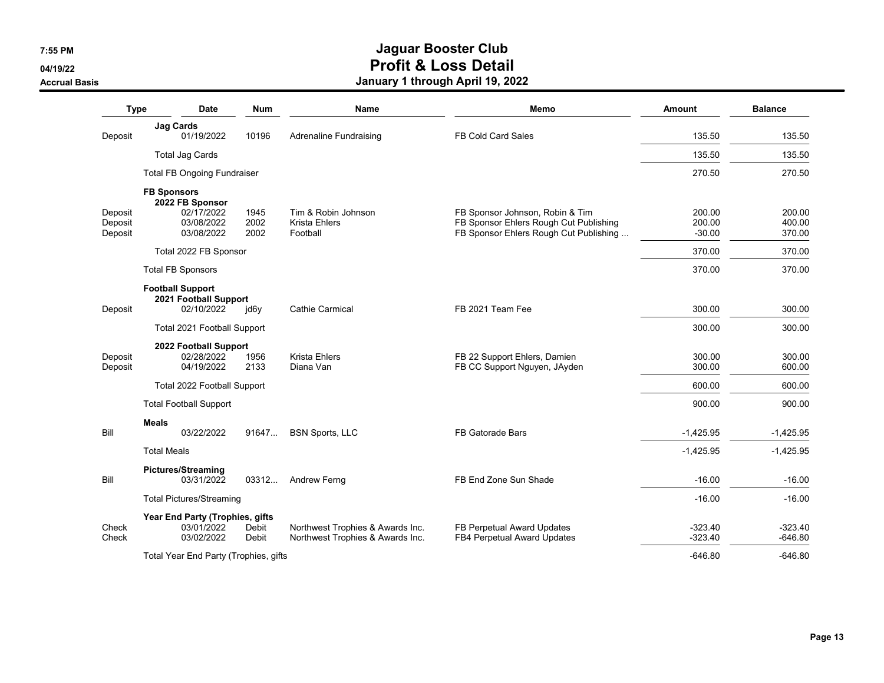**04/19/22**

#### **Accrual Basis**

| <b>Type</b>                   | <b>Date</b>                                                                                   | <b>Num</b>           | <b>Name</b>                                                          | Memo                                                                                                                | <b>Amount</b>                | <b>Balance</b>             |
|-------------------------------|-----------------------------------------------------------------------------------------------|----------------------|----------------------------------------------------------------------|---------------------------------------------------------------------------------------------------------------------|------------------------------|----------------------------|
|                               | <b>Jag Cards</b>                                                                              |                      |                                                                      |                                                                                                                     |                              |                            |
| Deposit                       | 01/19/2022                                                                                    | 10196                | <b>Adrenaline Fundraising</b>                                        | FB Cold Card Sales                                                                                                  | 135.50                       | 135.50                     |
|                               | <b>Total Jag Cards</b>                                                                        |                      |                                                                      |                                                                                                                     | 135.50                       | 135.50                     |
|                               | <b>Total FB Ongoing Fundraiser</b>                                                            |                      |                                                                      |                                                                                                                     | 270.50                       | 270.50                     |
| Deposit<br>Deposit<br>Deposit | <b>FB Sponsors</b><br>2022 FB Sponsor<br>02/17/2022<br>03/08/2022<br>03/08/2022               | 1945<br>2002<br>2002 | Tim & Robin Johnson<br><b>Krista Ehlers</b><br>Football              | FB Sponsor Johnson, Robin & Tim<br>FB Sponsor Ehlers Rough Cut Publishing<br>FB Sponsor Ehlers Rough Cut Publishing | 200.00<br>200.00<br>$-30.00$ | 200.00<br>400.00<br>370.00 |
|                               | Total 2022 FB Sponsor                                                                         |                      |                                                                      |                                                                                                                     | 370.00                       | 370.00                     |
|                               | <b>Total FB Sponsors</b>                                                                      |                      |                                                                      |                                                                                                                     | 370.00                       | 370.00                     |
| Deposit                       | <b>Football Support</b><br>2021 Football Support<br>02/10/2022<br>Total 2021 Football Support | jd6y                 | Cathie Carmical                                                      | FB 2021 Team Fee                                                                                                    | 300.00<br>300.00             | 300.00<br>300.00           |
| Deposit<br>Deposit            | 2022 Football Support<br>02/28/2022<br>04/19/2022                                             | 1956<br>2133         | <b>Krista Ehlers</b><br>Diana Van                                    | FB 22 Support Ehlers, Damien<br>FB CC Support Nguyen, JAyden                                                        | 300.00<br>300.00             | 300.00<br>600.00           |
|                               | Total 2022 Football Support                                                                   |                      |                                                                      |                                                                                                                     | 600.00                       | 600.00                     |
|                               | <b>Total Football Support</b>                                                                 |                      |                                                                      |                                                                                                                     | 900.00                       | 900.00                     |
|                               | <b>Meals</b>                                                                                  |                      |                                                                      |                                                                                                                     |                              |                            |
| Bill                          | 03/22/2022                                                                                    | 91647                | <b>BSN Sports, LLC</b>                                               | FB Gatorade Bars                                                                                                    | $-1,425.95$                  | $-1,425.95$                |
|                               | <b>Total Meals</b>                                                                            |                      |                                                                      |                                                                                                                     | $-1,425.95$                  | $-1,425.95$                |
| Bill                          | <b>Pictures/Streaming</b><br>03/31/2022                                                       | 03312                | Andrew Ferng                                                         | FB End Zone Sun Shade                                                                                               | $-16.00$                     | $-16.00$                   |
|                               | <b>Total Pictures/Streaming</b>                                                               |                      |                                                                      |                                                                                                                     | $-16.00$                     | $-16.00$                   |
| Check<br>Check                | Year End Party (Trophies, gifts<br>03/01/2022<br>03/02/2022                                   | Debit<br>Debit       | Northwest Trophies & Awards Inc.<br>Northwest Trophies & Awards Inc. | FB Perpetual Award Updates<br>FB4 Perpetual Award Updates                                                           | $-323.40$<br>$-323.40$       | $-323.40$<br>$-646.80$     |
|                               | Total Year End Party (Trophies, gifts                                                         |                      |                                                                      |                                                                                                                     | $-646.80$                    | $-646.80$                  |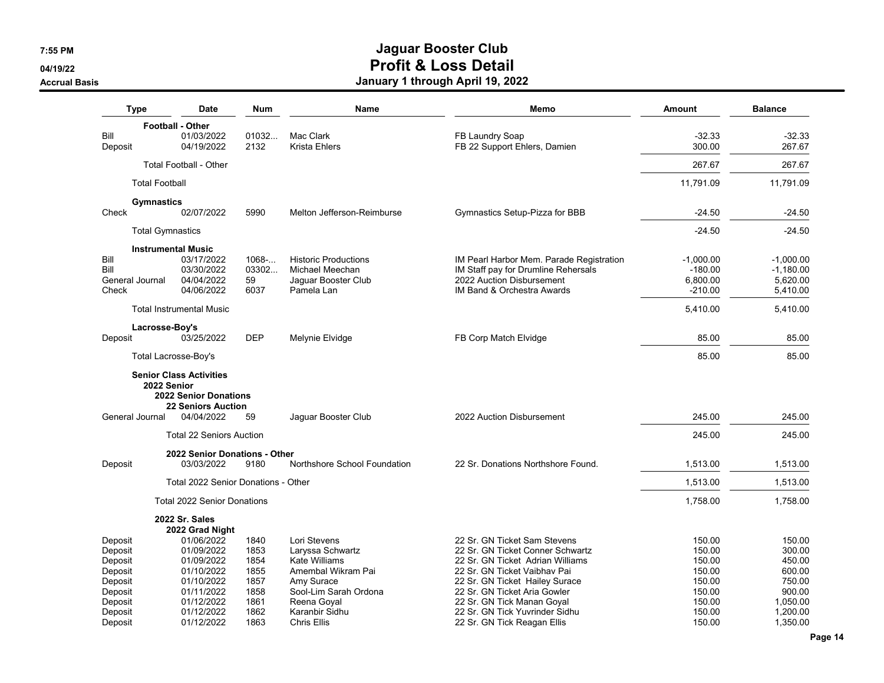**04/19/22**

#### **Accrual Basis**

|                          | <b>Type</b>               | <b>Date</b>                                                             | <b>Num</b>    | Name                              | Memo                                                    | Amount                | <b>Balance</b>       |
|--------------------------|---------------------------|-------------------------------------------------------------------------|---------------|-----------------------------------|---------------------------------------------------------|-----------------------|----------------------|
|                          | <b>Football - Other</b>   |                                                                         |               |                                   |                                                         |                       |                      |
| Bill<br>Deposit          |                           | 01/03/2022<br>04/19/2022                                                | 01032<br>2132 | Mac Clark<br><b>Krista Ehlers</b> | FB Laundry Soap<br>FB 22 Support Ehlers, Damien         | $-32.33$<br>300.00    | $-32.33$<br>267.67   |
|                          |                           | <b>Total Football - Other</b>                                           |               |                                   |                                                         | 267.67                | 267.67               |
|                          | <b>Total Football</b>     |                                                                         |               |                                   |                                                         | 11,791.09             |                      |
|                          |                           |                                                                         |               |                                   |                                                         |                       | 11,791.09            |
| Check                    | <b>Gymnastics</b>         | 02/07/2022                                                              | 5990          | Melton Jefferson-Reimburse        | Gymnastics Setup-Pizza for BBB                          | $-24.50$              | $-24.50$             |
|                          | <b>Total Gymnastics</b>   |                                                                         |               |                                   |                                                         | $-24.50$              | $-24.50$             |
|                          | <b>Instrumental Music</b> |                                                                         |               |                                   |                                                         |                       |                      |
| Bill                     |                           | 03/17/2022                                                              | 1068          | <b>Historic Productions</b>       | IM Pearl Harbor Mem. Parade Registration                | $-1.000.00$           | $-1,000.00$          |
| Bill                     |                           | 03/30/2022                                                              | 03302         | Michael Meechan                   | IM Staff pay for Drumline Rehersals                     | $-180.00$             | $-1,180.00$          |
| General Journal<br>Check |                           | 04/04/2022<br>04/06/2022                                                | 59<br>6037    | Jaguar Booster Club<br>Pamela Lan | 2022 Auction Disbursement<br>IM Band & Orchestra Awards | 6,800.00<br>$-210.00$ | 5,620.00<br>5,410.00 |
|                          |                           |                                                                         |               |                                   |                                                         |                       |                      |
|                          |                           | <b>Total Instrumental Music</b>                                         |               |                                   |                                                         | 5,410.00              | 5,410.00             |
| Deposit                  | Lacrosse-Boy's            | 03/25/2022                                                              | <b>DEP</b>    | Melynie Elvidge                   | FB Corp Match Elvidge                                   | 85.00                 | 85.00                |
|                          | Total Lacrosse-Boy's      |                                                                         |               |                                   |                                                         | 85.00                 | 85.00                |
| General Journal          | 2022 Senior               | <b>2022 Senior Donations</b><br><b>22 Seniors Auction</b><br>04/04/2022 | 59            | Jaguar Booster Club               | 2022 Auction Disbursement                               | 245.00                | 245.00               |
|                          |                           |                                                                         |               |                                   |                                                         |                       |                      |
|                          |                           | <b>Total 22 Seniors Auction</b>                                         |               |                                   |                                                         | 245.00                | 245.00               |
| Deposit                  |                           | 2022 Senior Donations - Other<br>03/03/2022                             | 9180          | Northshore School Foundation      | 22 Sr. Donations Northshore Found.                      | 1.513.00              | 1,513.00             |
|                          |                           | Total 2022 Senior Donations - Other                                     |               |                                   |                                                         | 1.513.00              | 1.513.00             |
|                          |                           | <b>Total 2022 Senior Donations</b>                                      |               |                                   |                                                         | 1.758.00              | 1,758.00             |
|                          |                           | 2022 Sr. Sales                                                          |               |                                   |                                                         |                       |                      |
|                          |                           | 2022 Grad Night<br>01/06/2022                                           | 1840          | Lori Stevens                      | 22 Sr. GN Ticket Sam Stevens                            | 150.00                | 150.00               |
| Deposit<br>Deposit       |                           | 01/09/2022                                                              | 1853          | Laryssa Schwartz                  | 22 Sr. GN Ticket Conner Schwartz                        | 150.00                | 300.00               |
| Deposit                  |                           | 01/09/2022                                                              | 1854          | <b>Kate Williams</b>              | 22 Sr. GN Ticket Adrian Williams                        | 150.00                | 450.00               |
| Deposit                  |                           | 01/10/2022                                                              | 1855          | Amembal Wikram Pai                | 22 Sr. GN Ticket Vaibhav Pai                            | 150.00                | 600.00               |
| Deposit                  |                           | 01/10/2022                                                              | 1857          | Amy Surace                        | 22 Sr. GN Ticket Hailey Surace                          | 150.00                | 750.00               |
| Deposit                  |                           | 01/11/2022                                                              | 1858          | Sool-Lim Sarah Ordona             | 22 Sr. GN Ticket Aria Gowler                            | 150.00                | 900.00               |
| Deposit                  |                           | 01/12/2022                                                              | 1861          | Reena Goyal                       | 22 Sr. GN Tick Manan Goyal                              | 150.00                | 1,050.00             |
| Deposit                  |                           | 01/12/2022                                                              | 1862          | Karanbir Sidhu                    | 22 Sr. GN Tick Yuvrinder Sidhu                          | 150.00                | 1,200.00             |
| Deposit                  |                           | 01/12/2022                                                              | 1863          | Chris Ellis                       | 22 Sr. GN Tick Reagan Ellis                             | 150.00                | 1,350.00             |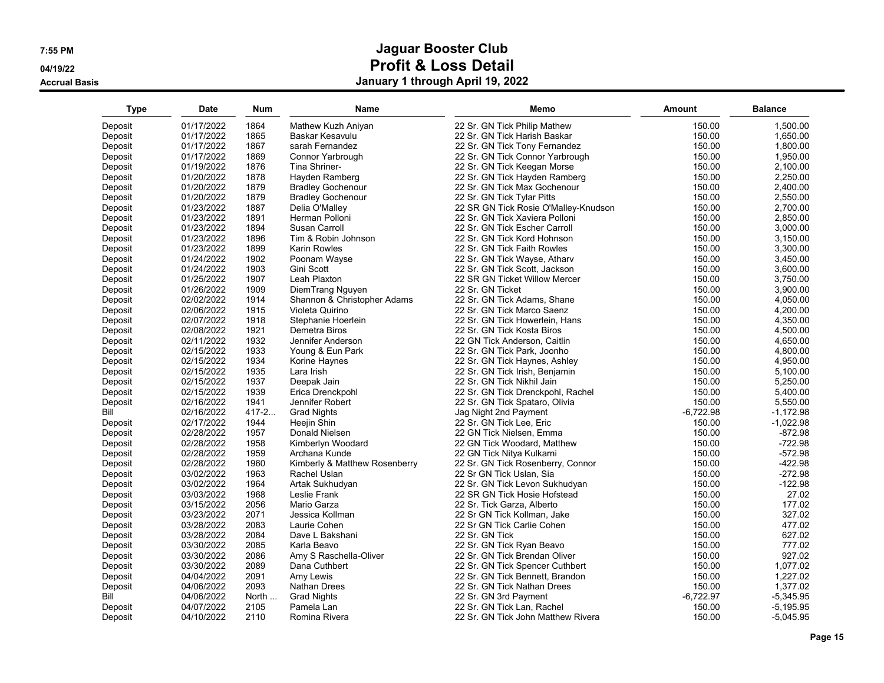**04/19/22**

**Accrual Basis**

| <b>Type</b> | <b>Date</b> | Num       | Name                          | Memo                                 | Amount      | <b>Balance</b> |
|-------------|-------------|-----------|-------------------------------|--------------------------------------|-------------|----------------|
| Deposit     | 01/17/2022  | 1864      | Mathew Kuzh Aniyan            | 22 Sr. GN Tick Philip Mathew         | 150.00      | 1,500.00       |
| Deposit     | 01/17/2022  | 1865      | Baskar Kesavulu               | 22 Sr. GN Tick Harish Baskar         | 150.00      | 1,650.00       |
| Deposit     | 01/17/2022  | 1867      | sarah Fernandez               | 22 Sr. GN Tick Tony Fernandez        | 150.00      | 1.800.00       |
| Deposit     | 01/17/2022  | 1869      | Connor Yarbrough              | 22 Sr. GN Tick Connor Yarbrough      | 150.00      | 1,950.00       |
| Deposit     | 01/19/2022  | 1876      | Tina Shriner-                 | 22 Sr. GN Tick Keegan Morse          | 150.00      | 2,100.00       |
| Deposit     | 01/20/2022  | 1878      | Hayden Ramberg                | 22 Sr. GN Tick Hayden Ramberg        | 150.00      | 2,250.00       |
| Deposit     | 01/20/2022  | 1879      | <b>Bradley Gochenour</b>      | 22 Sr. GN Tick Max Gochenour         | 150.00      | 2,400.00       |
| Deposit     | 01/20/2022  | 1879      | <b>Bradley Gochenour</b>      | 22 Sr. GN Tick Tylar Pitts           | 150.00      | 2,550.00       |
| Deposit     | 01/23/2022  | 1887      | Delia O'Malley                | 22 SR GN Tick Rosie O'Malley-Knudson | 150.00      | 2,700.00       |
| Deposit     | 01/23/2022  | 1891      | Herman Polloni                | 22 Sr. GN Tick Xaviera Polloni       | 150.00      | 2.850.00       |
| Deposit     | 01/23/2022  | 1894      | Susan Carroll                 | 22 Sr. GN Tick Escher Carroll        | 150.00      | 3,000.00       |
| Deposit     | 01/23/2022  | 1896      | Tim & Robin Johnson           | 22 Sr. GN Tick Kord Hohnson          | 150.00      | 3,150.00       |
| Deposit     | 01/23/2022  | 1899      | <b>Karin Rowles</b>           | 22 Sr. GN Tick Faith Rowles          | 150.00      | 3,300.00       |
| Deposit     | 01/24/2022  | 1902      | Poonam Wayse                  | 22 Sr. GN Tick Wayse, Atharv         | 150.00      | 3,450.00       |
| Deposit     | 01/24/2022  | 1903      | Gini Scott                    | 22 Sr. GN Tick Scott, Jackson        | 150.00      | 3,600.00       |
| Deposit     | 01/25/2022  | 1907      | Leah Plaxton                  | 22 SR GN Ticket Willow Mercer        | 150.00      | 3,750.00       |
| Deposit     | 01/26/2022  | 1909      | DiemTrang Nguyen              | 22 Sr. GN Ticket                     | 150.00      | 3,900.00       |
| Deposit     | 02/02/2022  | 1914      | Shannon & Christopher Adams   | 22 Sr. GN Tick Adams, Shane          | 150.00      | 4,050.00       |
| Deposit     | 02/06/2022  | 1915      | Violeta Quirino               | 22 Sr. GN Tick Marco Saenz           | 150.00      | 4,200.00       |
| Deposit     | 02/07/2022  | 1918      | Stephanie Hoerlein            | 22 Sr. GN Tick Howerlein, Hans       | 150.00      | 4,350.00       |
| Deposit     | 02/08/2022  | 1921      | Demetra Biros                 | 22 Sr. GN Tick Kosta Biros           | 150.00      | 4,500.00       |
| Deposit     | 02/11/2022  | 1932      | Jennifer Anderson             | 22 GN Tick Anderson, Caitlin         | 150.00      | 4,650.00       |
| Deposit     | 02/15/2022  | 1933      | Young & Eun Park              | 22 Sr. GN Tick Park, Joonho          | 150.00      | 4,800.00       |
| Deposit     | 02/15/2022  | 1934      | Korine Haynes                 | 22 Sr. GN Tick Haynes, Ashley        | 150.00      | 4,950.00       |
| Deposit     | 02/15/2022  | 1935      | Lara Irish                    | 22 Sr. GN Tick Irish, Benjamin       | 150.00      | 5,100.00       |
| Deposit     | 02/15/2022  | 1937      | Deepak Jain                   | 22 Sr. GN Tick Nikhil Jain           | 150.00      | 5,250.00       |
| Deposit     | 02/15/2022  | 1939      | Erica Drenckpohl              | 22 Sr. GN Tick Drenckpohl, Rachel    | 150.00      | 5,400.00       |
| Deposit     | 02/16/2022  | 1941      | Jennifer Robert               | 22 Sr. GN Tick Spataro, Olivia       | 150.00      | 5,550.00       |
| Bill        | 02/16/2022  | $417 - 2$ | <b>Grad Nights</b>            | Jag Night 2nd Payment                | $-6,722.98$ | $-1,172.98$    |
| Deposit     | 02/17/2022  | 1944      | Heejin Shin                   | 22 Sr. GN Tick Lee, Eric             | 150.00      | $-1,022.98$    |
| Deposit     | 02/28/2022  | 1957      | Donald Nielsen                | 22 GN Tick Nielsen, Emma             | 150.00      | $-872.98$      |
| Deposit     | 02/28/2022  | 1958      | Kimberlyn Woodard             | 22 GN Tick Woodard, Matthew          | 150.00      | $-722.98$      |
| Deposit     | 02/28/2022  | 1959      | Archana Kunde                 | 22 GN Tick Nitya Kulkarni            | 150.00      | $-572.98$      |
| Deposit     | 02/28/2022  | 1960      | Kimberly & Matthew Rosenberry | 22 Sr. GN Tick Rosenberry, Connor    | 150.00      | $-422.98$      |
| Deposit     | 03/02/2022  | 1963      | Rachel Uslan                  | 22 Sr GN Tick Uslan, Sia             | 150.00      | $-272.98$      |
| Deposit     | 03/02/2022  | 1964      | Artak Sukhudyan               | 22 Sr. GN Tick Levon Sukhudyan       | 150.00      | $-122.98$      |
| Deposit     | 03/03/2022  | 1968      | Leslie Frank                  | 22 SR GN Tick Hosie Hofstead         | 150.00      | 27.02          |
| Deposit     | 03/15/2022  | 2056      | Mario Garza                   | 22 Sr. Tick Garza, Alberto           | 150.00      | 177.02         |
| Deposit     | 03/23/2022  | 2071      | Jessica Kollman               | 22 Sr GN Tick Kollman, Jake          | 150.00      | 327.02         |
| Deposit     | 03/28/2022  | 2083      | Laurie Cohen                  | 22 Sr GN Tick Carlie Cohen           | 150.00      | 477.02         |
| Deposit     | 03/28/2022  | 2084      | Dave L Bakshani               | 22 Sr. GN Tick                       | 150.00      | 627.02         |
| Deposit     | 03/30/2022  | 2085      | Karla Beavo                   | 22 Sr. GN Tick Ryan Beavo            | 150.00      | 777.02         |
| Deposit     | 03/30/2022  | 2086      | Amy S Raschella-Oliver        | 22 Sr. GN Tick Brendan Oliver        | 150.00      | 927.02         |
| Deposit     | 03/30/2022  | 2089      | Dana Cuthbert                 | 22 Sr. GN Tick Spencer Cuthbert      | 150.00      | 1,077.02       |
| Deposit     | 04/04/2022  | 2091      | Amy Lewis                     | 22 Sr. GN Tick Bennett, Brandon      | 150.00      | 1,227.02       |
| Deposit     | 04/06/2022  | 2093      | Nathan Drees                  | 22 Sr. GN Tick Nathan Drees          | 150.00      | 1,377.02       |
| Bill        | 04/06/2022  | North     | <b>Grad Nights</b>            | 22 Sr. GN 3rd Payment                | $-6,722.97$ | $-5,345.95$    |
| Deposit     | 04/07/2022  | 2105      | Pamela Lan                    | 22 Sr. GN Tick Lan, Rachel           | 150.00      | $-5,195.95$    |
| Deposit     | 04/10/2022  | 2110      | Romina Rivera                 | 22 Sr. GN Tick John Matthew Rivera   | 150.00      | $-5.045.95$    |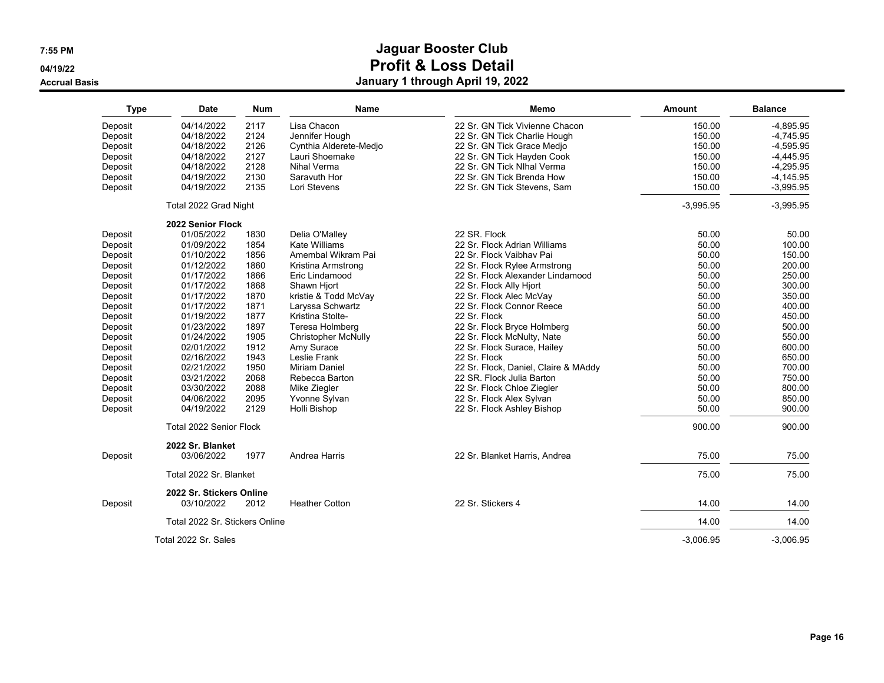**04/19/22**

**Accrual Basis**

| <b>Type</b> | <b>Date</b>                            | <b>Num</b> | <b>Name</b>                | Memo                                 | Amount      | <b>Balance</b> |
|-------------|----------------------------------------|------------|----------------------------|--------------------------------------|-------------|----------------|
| Deposit     | 04/14/2022                             | 2117       | Lisa Chacon                | 22 Sr. GN Tick Vivienne Chacon       | 150.00      | $-4,895.95$    |
| Deposit     | 04/18/2022                             | 2124       | Jennifer Hough             | 22 Sr. GN Tick Charlie Hough         | 150.00      | $-4,745.95$    |
| Deposit     | 04/18/2022                             | 2126       | Cynthia Alderete-Medjo     | 22 Sr. GN Tick Grace Medjo           | 150.00      | $-4,595.95$    |
| Deposit     | 04/18/2022                             | 2127       | Lauri Shoemake             | 22 Sr. GN Tick Hayden Cook           | 150.00      | $-4.445.95$    |
| Deposit     | 04/18/2022                             | 2128       | Nihal Verma                | 22 Sr. GN Tick NIhal Verma           | 150.00      | $-4,295.95$    |
| Deposit     | 04/19/2022                             | 2130       | Saravuth Hor               | 22 Sr. GN Tick Brenda How            | 150.00      | $-4,145.95$    |
| Deposit     | 04/19/2022                             | 2135       | Lori Stevens               | 22 Sr. GN Tick Stevens, Sam          | 150.00      | $-3,995.95$    |
|             | Total 2022 Grad Night                  |            |                            |                                      | $-3,995.95$ | $-3,995.95$    |
|             | 2022 Senior Flock                      |            |                            |                                      |             |                |
| Deposit     | 01/05/2022                             | 1830       | Delia O'Malley             | 22 SR. Flock                         | 50.00       | 50.00          |
| Deposit     | 01/09/2022                             | 1854       | <b>Kate Williams</b>       | 22 Sr. Flock Adrian Williams         | 50.00       | 100.00         |
| Deposit     | 01/10/2022                             | 1856       | Amembal Wikram Pai         | 22 Sr. Flock Vaibhav Pai             | 50.00       | 150.00         |
| Deposit     | 01/12/2022                             | 1860       | Kristina Armstrong         | 22 Sr. Flock Rylee Armstrong         | 50.00       | 200.00         |
| Deposit     | 01/17/2022                             | 1866       | Eric Lindamood             | 22 Sr. Flock Alexander Lindamood     | 50.00       | 250.00         |
| Deposit     | 01/17/2022                             | 1868       | Shawn Hjort                | 22 Sr. Flock Ally Hjort              | 50.00       | 300.00         |
| Deposit     | 01/17/2022                             | 1870       | kristie & Todd McVay       | 22 Sr. Flock Alec McVay              | 50.00       | 350.00         |
| Deposit     | 01/17/2022                             | 1871       | Laryssa Schwartz           | 22 Sr. Flock Connor Reece            | 50.00       | 400.00         |
| Deposit     | 01/19/2022                             | 1877       | Kristina Stolte-           | 22 Sr. Flock                         | 50.00       | 450.00         |
| Deposit     | 01/23/2022                             | 1897       | Teresa Holmberg            | 22 Sr. Flock Bryce Holmberg          | 50.00       | 500.00         |
| Deposit     | 01/24/2022                             | 1905       | <b>Christopher McNully</b> | 22 Sr. Flock McNulty, Nate           | 50.00       | 550.00         |
| Deposit     | 02/01/2022                             | 1912       | Amy Surace                 | 22 Sr. Flock Surace, Hailey          | 50.00       | 600.00         |
| Deposit     | 02/16/2022                             | 1943       | Leslie Frank               | 22 Sr. Flock                         | 50.00       | 650.00         |
| Deposit     | 02/21/2022                             | 1950       | Miriam Daniel              | 22 Sr. Flock, Daniel, Claire & MAddy | 50.00       | 700.00         |
| Deposit     | 03/21/2022                             | 2068       | Rebecca Barton             | 22 SR. Flock Julia Barton            | 50.00       | 750.00         |
| Deposit     | 03/30/2022                             | 2088       | Mike Ziegler               | 22 Sr. Flock Chloe Ziegler           | 50.00       | 800.00         |
| Deposit     | 04/06/2022                             | 2095       | Yvonne Sylvan              | 22 Sr. Flock Alex Sylvan             | 50.00       | 850.00         |
| Deposit     | 04/19/2022                             | 2129       | Holli Bishop               | 22 Sr. Flock Ashley Bishop           | 50.00       | 900.00         |
|             | Total 2022 Senior Flock                |            |                            |                                      | 900.00      | 900.00         |
|             | 2022 Sr. Blanket                       |            |                            |                                      |             |                |
| Deposit     | 03/06/2022                             | 1977       | Andrea Harris              | 22 Sr. Blanket Harris, Andrea        | 75.00       | 75.00          |
|             | Total 2022 Sr. Blanket                 |            |                            |                                      | 75.00       | 75.00          |
| Deposit     | 2022 Sr. Stickers Online<br>03/10/2022 | 2012       | <b>Heather Cotton</b>      | 22 Sr. Stickers 4                    | 14.00       | 14.00          |
|             |                                        |            |                            |                                      |             |                |
|             | Total 2022 Sr. Stickers Online         |            |                            |                                      | 14.00       | 14.00          |
|             | Total 2022 Sr. Sales                   |            |                            |                                      | $-3,006.95$ | $-3,006.95$    |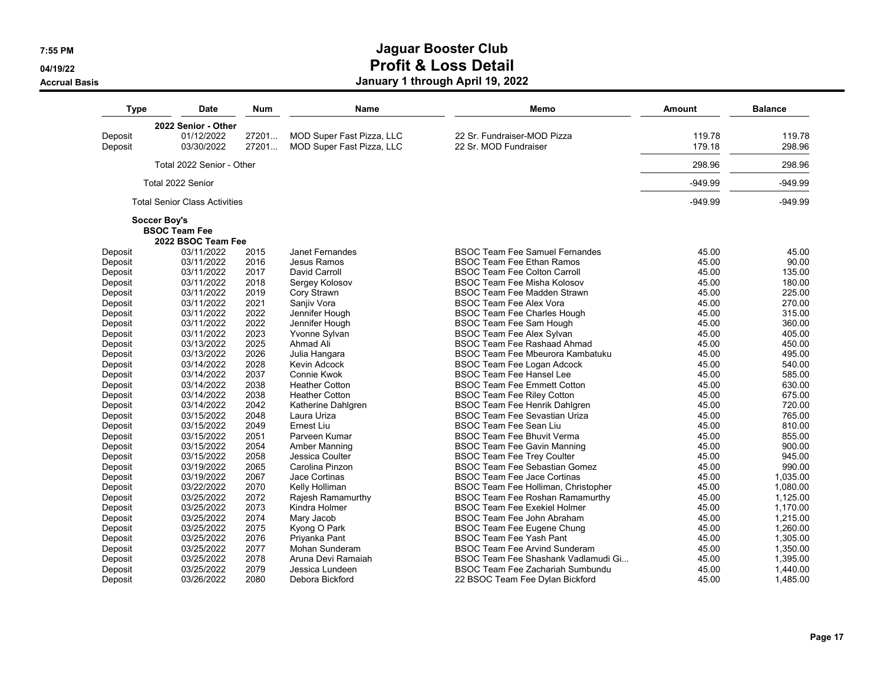**04/19/22**

#### **Accrual Basis**

| <b>Type</b>  | Date                                 | <b>Num</b> | Name                             | Memo                                    | Amount    | <b>Balance</b> |
|--------------|--------------------------------------|------------|----------------------------------|-----------------------------------------|-----------|----------------|
|              | 2022 Senior - Other                  |            |                                  |                                         |           |                |
| Deposit      | 01/12/2022                           | 27201      | MOD Super Fast Pizza, LLC        | 22 Sr. Fundraiser-MOD Pizza             | 119.78    | 119.78         |
| Deposit      | 03/30/2022                           | 27201      | <b>MOD Super Fast Pizza, LLC</b> | 22 Sr. MOD Fundraiser                   | 179.18    | 298.96         |
|              | Total 2022 Senior - Other            |            |                                  |                                         | 298.96    | 298.96         |
|              | Total 2022 Senior                    |            |                                  |                                         | $-949.99$ | $-949.99$      |
|              | <b>Total Senior Class Activities</b> |            |                                  |                                         | $-949.99$ | $-949.99$      |
| Soccer Boy's |                                      |            |                                  |                                         |           |                |
|              | <b>BSOC Team Fee</b>                 |            |                                  |                                         |           |                |
|              | 2022 BSOC Team Fee                   |            |                                  |                                         |           |                |
| Deposit      | 03/11/2022                           | 2015       | <b>Janet Fernandes</b>           | <b>BSOC Team Fee Samuel Fernandes</b>   | 45.00     | 45.00          |
| Deposit      | 03/11/2022                           | 2016       | Jesus Ramos                      | <b>BSOC Team Fee Ethan Ramos</b>        | 45.00     | 90.00          |
| Deposit      | 03/11/2022                           | 2017       | David Carroll                    | <b>BSOC Team Fee Colton Carroll</b>     | 45.00     | 135.00         |
| Deposit      | 03/11/2022                           | 2018       | Sergey Kolosov                   | <b>BSOC Team Fee Misha Kolosov</b>      | 45.00     | 180.00         |
| Deposit      | 03/11/2022                           | 2019       | Cory Strawn                      | <b>BSOC Team Fee Madden Strawn</b>      | 45.00     | 225.00         |
| Deposit      | 03/11/2022                           | 2021       | Sanjiv Vora                      | <b>BSOC Team Fee Alex Vora</b>          | 45.00     | 270.00         |
| Deposit      | 03/11/2022                           | 2022       | Jennifer Hough                   | <b>BSOC Team Fee Charles Hough</b>      | 45.00     | 315.00         |
| Deposit      | 03/11/2022                           | 2022       | Jennifer Hough                   | BSOC Team Fee Sam Hough                 | 45.00     | 360.00         |
| Deposit      | 03/11/2022                           | 2023       | Yvonne Sylvan                    | BSOC Team Fee Alex Sylvan               | 45.00     | 405.00         |
| Deposit      | 03/13/2022                           | 2025       | Ahmad Ali                        | <b>BSOC Team Fee Rashaad Ahmad</b>      | 45.00     | 450.00         |
| Deposit      | 03/13/2022                           | 2026       | Julia Hangara                    | <b>BSOC Team Fee Mbeurora Kambatuku</b> | 45.00     | 495.00         |
| Deposit      | 03/14/2022                           | 2028       | Kevin Adcock                     | <b>BSOC Team Fee Logan Adcock</b>       | 45.00     | 540.00         |
| Deposit      | 03/14/2022                           | 2037       | Connie Kwok                      | <b>BSOC Team Fee Hansel Lee</b>         | 45.00     | 585.00         |
| Deposit      | 03/14/2022                           | 2038       | <b>Heather Cotton</b>            | <b>BSOC Team Fee Emmett Cotton</b>      | 45.00     | 630.00         |
| Deposit      | 03/14/2022                           | 2038       | <b>Heather Cotton</b>            | <b>BSOC Team Fee Riley Cotton</b>       | 45.00     | 675.00         |
| Deposit      | 03/14/2022                           | 2042       | Katherine Dahlgren               | <b>BSOC Team Fee Henrik Dahlgren</b>    | 45.00     | 720.00         |
| Deposit      | 03/15/2022                           | 2048       | Laura Uriza                      | <b>BSOC Team Fee Sevastian Uriza</b>    | 45.00     | 765.00         |
| Deposit      | 03/15/2022                           | 2049       | Ernest Liu                       | <b>BSOC Team Fee Sean Liu</b>           | 45.00     | 810.00         |
| Deposit      | 03/15/2022                           | 2051       | Parveen Kumar                    | <b>BSOC Team Fee Bhuvit Verma</b>       | 45.00     | 855.00         |
| Deposit      | 03/15/2022                           | 2054       | Amber Manning                    | <b>BSOC Team Fee Gavin Manning</b>      | 45.00     | 900.00         |
| Deposit      | 03/15/2022                           | 2058       | Jessica Coulter                  | <b>BSOC Team Fee Trey Coulter</b>       | 45.00     | 945.00         |
| Deposit      | 03/19/2022                           | 2065       | Carolina Pinzon                  | <b>BSOC Team Fee Sebastian Gomez</b>    | 45.00     | 990.00         |
| Deposit      | 03/19/2022                           | 2067       | Jace Cortinas                    | <b>BSOC Team Fee Jace Cortinas</b>      | 45.00     | 1,035.00       |
| Deposit      | 03/22/2022                           | 2070       | Kelly Holliman                   | BSOC Team Fee Holliman, Christopher     | 45.00     | 1,080.00       |
| Deposit      | 03/25/2022                           | 2072       | Rajesh Ramamurthy                | <b>BSOC Team Fee Roshan Ramamurthy</b>  | 45.00     | 1,125.00       |
| Deposit      | 03/25/2022                           | 2073       | Kindra Holmer                    | <b>BSOC Team Fee Exekiel Holmer</b>     | 45.00     | 1,170.00       |
| Deposit      | 03/25/2022                           | 2074       | Mary Jacob                       | BSOC Team Fee John Abraham              | 45.00     | 1,215.00       |
| Deposit      | 03/25/2022                           | 2075       | Kyong O Park                     | BSOC Team Fee Eugene Chung              | 45.00     | 1,260.00       |
| Deposit      | 03/25/2022                           | 2076       | Priyanka Pant                    | <b>BSOC Team Fee Yash Pant</b>          | 45.00     | 1,305.00       |
| Deposit      | 03/25/2022                           | 2077       | Mohan Sunderam                   | <b>BSOC Team Fee Arvind Sunderam</b>    | 45.00     | 1,350.00       |
| Deposit      | 03/25/2022                           | 2078       | Aruna Devi Ramaiah               | BSOC Team Fee Shashank Vadlamudi Gi     | 45.00     | 1,395.00       |
| Deposit      | 03/25/2022                           | 2079       | Jessica Lundeen                  | <b>BSOC Team Fee Zachariah Sumbundu</b> | 45.00     | 1,440.00       |
| Deposit      | 03/26/2022                           | 2080       | Debora Bickford                  | 22 BSOC Team Fee Dylan Bickford         | 45.00     | 1,485.00       |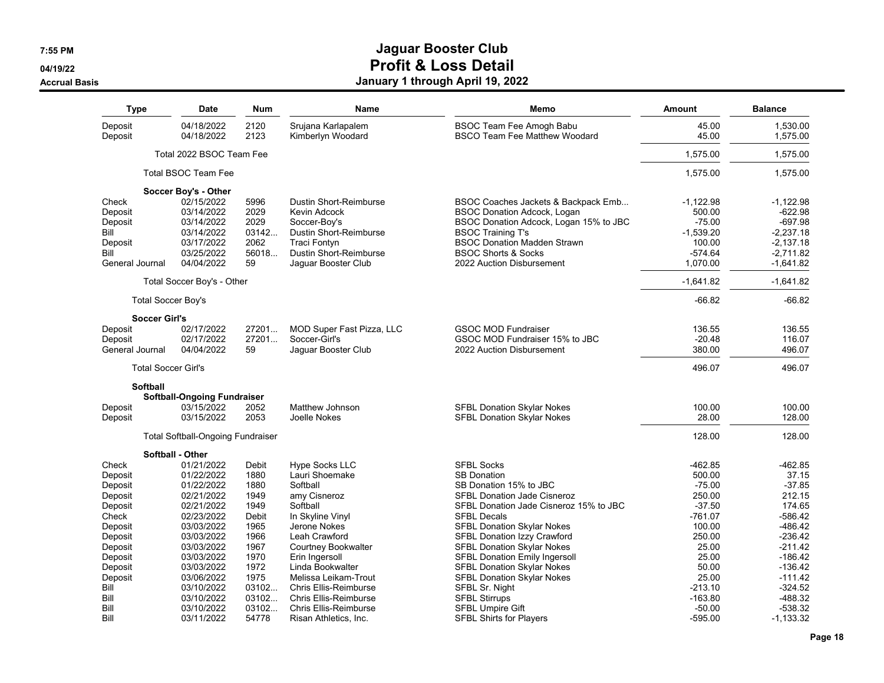**04/19/22**

#### **Accrual Basis**

| Type                       | Date                                     | Num          | Name                                    | Memo                                                             | <b>Amount</b>  | <b>Balance</b>       |
|----------------------------|------------------------------------------|--------------|-----------------------------------------|------------------------------------------------------------------|----------------|----------------------|
| Deposit<br>Deposit         | 04/18/2022<br>04/18/2022                 | 2120<br>2123 | Srujana Karlapalem<br>Kimberlyn Woodard | BSOC Team Fee Amogh Babu<br><b>BSCO Team Fee Matthew Woodard</b> | 45.00<br>45.00 | 1,530.00<br>1,575.00 |
|                            | Total 2022 BSOC Team Fee                 |              |                                         |                                                                  | 1,575.00       | 1,575.00             |
|                            | <b>Total BSOC Team Fee</b>               |              |                                         |                                                                  | 1,575.00       | 1,575.00             |
|                            | Soccer Boy's - Other                     |              |                                         |                                                                  |                |                      |
| Check                      | 02/15/2022                               | 5996         | Dustin Short-Reimburse                  | BSOC Coaches Jackets & Backpack Emb                              | $-1,122.98$    | $-1,122.98$          |
| Deposit                    | 03/14/2022                               | 2029         | Kevin Adcock                            | <b>BSOC Donation Adcock, Logan</b>                               | 500.00         | $-622.98$            |
| Deposit                    | 03/14/2022                               | 2029         | Soccer-Boy's                            | BSOC Donation Adcock, Logan 15% to JBC                           | $-75.00$       | $-697.98$            |
| Bill                       | 03/14/2022                               | 03142        | Dustin Short-Reimburse                  | <b>BSOC Training T's</b>                                         | $-1,539.20$    | $-2,237.18$          |
| Deposit                    | 03/17/2022                               | 2062         | <b>Traci Fontyn</b>                     | <b>BSOC Donation Madden Strawn</b>                               | 100.00         | $-2,137.18$          |
| Bill                       | 03/25/2022                               | 56018        | Dustin Short-Reimburse                  | <b>BSOC Shorts &amp; Socks</b>                                   | $-574.64$      | $-2.711.82$          |
| General Journal            | 04/04/2022                               | 59           | Jaguar Booster Club                     | 2022 Auction Disbursement                                        | 1,070.00       | $-1,641.82$          |
|                            | Total Soccer Boy's - Other               |              |                                         |                                                                  | $-1,641.82$    | $-1,641.82$          |
| <b>Total Soccer Boy's</b>  |                                          |              |                                         |                                                                  | $-66.82$       | $-66.82$             |
| <b>Soccer Girl's</b>       |                                          |              |                                         |                                                                  |                |                      |
| Deposit                    | 02/17/2022                               | 27201        | MOD Super Fast Pizza, LLC               | <b>GSOC MOD Fundraiser</b>                                       | 136.55         | 136.55               |
| Deposit                    | 02/17/2022                               | 27201        | Soccer-Girl's                           | GSOC MOD Fundraiser 15% to JBC                                   | $-20.48$       | 116.07               |
| General Journal            | 04/04/2022                               | 59           | Jaquar Booster Club                     | 2022 Auction Disbursement                                        | 380.00         | 496.07               |
| <b>Total Soccer Girl's</b> |                                          |              |                                         |                                                                  | 496.07         | 496.07               |
| Softball                   |                                          |              |                                         |                                                                  |                |                      |
|                            | <b>Softball-Ongoing Fundraiser</b>       |              |                                         |                                                                  |                |                      |
| Deposit                    | 03/15/2022                               | 2052         | Matthew Johnson                         | <b>SFBL Donation Skylar Nokes</b>                                | 100.00         | 100.00               |
| Deposit                    | 03/15/2022                               | 2053         | Joelle Nokes                            | <b>SFBL Donation Skylar Nokes</b>                                | 28.00          | 128.00               |
|                            | <b>Total Softball-Ongoing Fundraiser</b> |              |                                         |                                                                  | 128.00         | 128.00               |
|                            | Softball - Other                         |              |                                         |                                                                  |                |                      |
| Check                      | 01/21/2022                               | Debit        | Hype Socks LLC                          | <b>SFBL Socks</b>                                                | -462.85        | $-462.85$            |
| Deposit                    | 01/22/2022                               | 1880         | Lauri Shoemake                          | <b>SB Donation</b>                                               | 500.00         | 37.15                |
| Deposit                    | 01/22/2022                               | 1880         | Softball                                | SB Donation 15% to JBC                                           | $-75.00$       | $-37.85$             |
| Deposit                    | 02/21/2022                               | 1949         | amy Cisneroz                            | <b>SFBL Donation Jade Cisneroz</b>                               | 250.00         | 212.15               |
| Deposit                    | 02/21/2022                               | 1949         | Softball                                | SFBL Donation Jade Cisneroz 15% to JBC                           | $-37.50$       | 174.65               |
| Check                      | 02/23/2022                               | Debit        | In Skyline Vinyl                        | <b>SFBL Decals</b>                                               | -761.07        | $-586.42$            |
| Deposit                    | 03/03/2022                               | 1965         | Jerone Nokes                            | SFBL Donation Skylar Nokes                                       | 100.00         | $-486.42$            |
| Deposit                    | 03/03/2022                               | 1966         | Leah Crawford                           | SFBL Donation Izzy Crawford                                      | 250.00         | $-236.42$            |
| Deposit                    | 03/03/2022                               | 1967         | Courtney Bookwalter                     | <b>SFBL Donation Skylar Nokes</b>                                | 25.00          | $-211.42$            |
| Deposit                    | 03/03/2022                               | 1970         | Erin Ingersoll                          | <b>SFBL Donation Emily Ingersoll</b>                             | 25.00          | $-186.42$            |
| Deposit                    | 03/03/2022                               | 1972         | Linda Bookwalter                        | <b>SFBL Donation Skylar Nokes</b>                                | 50.00          | $-136.42$            |
| Deposit                    | 03/06/2022                               | 1975         | Melissa Leikam-Trout                    | SFBL Donation Skylar Nokes                                       | 25.00          | $-111.42$            |
| Bill                       | 03/10/2022                               | 03102        | <b>Chris Ellis-Reimburse</b>            | SFBL Sr. Night                                                   | $-213.10$      | $-324.52$            |
| Bill                       | 03/10/2022                               | 03102        | <b>Chris Ellis-Reimburse</b>            | <b>SFBL Stirrups</b>                                             | $-163.80$      | $-488.32$            |
| Bill                       | 03/10/2022                               | 03102        | <b>Chris Ellis-Reimburse</b>            | <b>SFBL Umpire Gift</b>                                          | $-50.00$       | $-538.32$            |
| Bill                       | 03/11/2022                               | 54778        | Risan Athletics, Inc.                   | <b>SFBL Shirts for Players</b>                                   | -595.00        | $-1,133.32$          |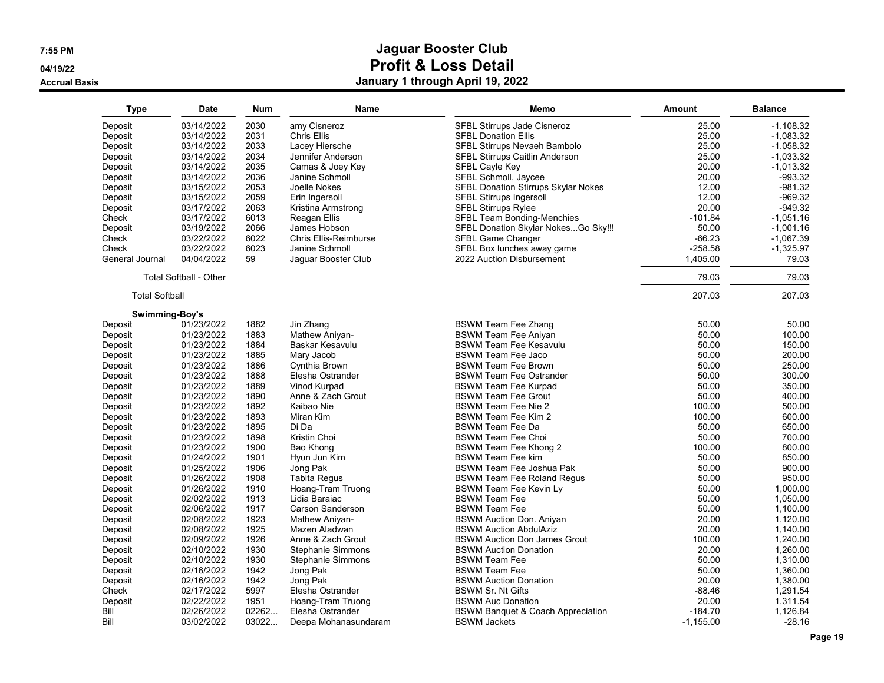**04/19/22**

#### **Accrual Basis**

| <b>Type</b>               | Date                          | <b>Num</b> | <b>Name</b>                  | Memo                                         | Amount      | <b>Balance</b> |
|---------------------------|-------------------------------|------------|------------------------------|----------------------------------------------|-------------|----------------|
| Deposit                   | 03/14/2022                    | 2030       | amy Cisneroz                 | SFBL Stirrups Jade Cisneroz                  | 25.00       | $-1,108.32$    |
| Deposit                   | 03/14/2022                    | 2031       | Chris Ellis                  | <b>SFBL Donation Ellis</b>                   | 25.00       | $-1,083.32$    |
| Deposit                   | 03/14/2022                    | 2033       | Lacey Hiersche               | SFBL Stirrups Nevaeh Bambolo                 | 25.00       | $-1,058.32$    |
| Deposit                   | 03/14/2022                    | 2034       | Jennifer Anderson            | SFBL Stirrups Caitlin Anderson               | 25.00       | $-1,033.32$    |
| Deposit                   | 03/14/2022                    | 2035       | Camas & Joey Key             | SFBL Cayle Key                               | 20.00       | $-1,013.32$    |
| Deposit                   | 03/14/2022                    | 2036       | Janine Schmoll               | SFBL Schmoll, Jaycee                         | 20.00       | $-993.32$      |
| Deposit                   | 03/15/2022                    | 2053       | Joelle Nokes                 | SFBL Donation Stirrups Skylar Nokes          | 12.00       | $-981.32$      |
| Deposit                   | 03/15/2022                    | 2059       | Erin Ingersoll               | SFBL Stirrups Ingersoll                      | 12.00       | $-969.32$      |
| Deposit                   | 03/17/2022                    | 2063       | Kristina Armstrong           | <b>SFBL Stirrups Rylee</b>                   | 20.00       | $-949.32$      |
| Check                     | 03/17/2022                    | 6013       | Reagan Ellis                 | SFBL Team Bonding-Menchies                   | $-101.84$   | $-1,051.16$    |
| Deposit                   | 03/19/2022                    | 2066       | James Hobson                 | SFBL Donation Skylar NokesGo Sky!!!          | 50.00       | $-1,001.16$    |
| Check                     | 03/22/2022                    | 6022       | <b>Chris Ellis-Reimburse</b> | SFBL Game Changer                            | $-66.23$    | $-1,067.39$    |
| Check                     | 03/22/2022                    | 6023       | Janine Schmoll               | SFBL Box lunches away game                   | $-258.58$   | $-1,325.97$    |
| General Journal           | 04/04/2022                    | 59         | Jaquar Booster Club          | 2022 Auction Disbursement                    | 1,405.00    | 79.03          |
|                           | <b>Total Softball - Other</b> |            |                              |                                              | 79.03       | 79.03          |
| <b>Total Softball</b>     |                               |            |                              |                                              | 207.03      | 207.03         |
|                           |                               |            |                              |                                              |             |                |
| Swimming-Boy's<br>Deposit | 01/23/2022                    | 1882       | Jin Zhang                    | <b>BSWM Team Fee Zhang</b>                   | 50.00       | 50.00          |
| Deposit                   | 01/23/2022                    | 1883       | Mathew Aniyan-               | <b>BSWM Team Fee Aniyan</b>                  | 50.00       | 100.00         |
| Deposit                   | 01/23/2022                    | 1884       | Baskar Kesavulu              | <b>BSWM Team Fee Kesavulu</b>                | 50.00       | 150.00         |
| Deposit                   | 01/23/2022                    | 1885       | Mary Jacob                   | <b>BSWM Team Fee Jaco</b>                    | 50.00       | 200.00         |
| Deposit                   | 01/23/2022                    | 1886       | Cynthia Brown                | <b>BSWM Team Fee Brown</b>                   | 50.00       | 250.00         |
| Deposit                   | 01/23/2022                    | 1888       | Elesha Ostrander             | <b>BSWM Team Fee Ostrander</b>               | 50.00       | 300.00         |
| Deposit                   | 01/23/2022                    | 1889       | Vinod Kurpad                 | <b>BSWM Team Fee Kurpad</b>                  | 50.00       | 350.00         |
| Deposit                   | 01/23/2022                    | 1890       | Anne & Zach Grout            | <b>BSWM Team Fee Grout</b>                   | 50.00       | 400.00         |
| Deposit                   | 01/23/2022                    | 1892       | Kaibao Nie                   | <b>BSWM Team Fee Nie 2</b>                   | 100.00      | 500.00         |
|                           | 01/23/2022                    | 1893       | Miran Kim                    | <b>BSWM Team Fee Kim 2</b>                   | 100.00      | 600.00         |
| Deposit                   |                               |            |                              |                                              |             |                |
| Deposit                   | 01/23/2022                    | 1895       | Di Da                        | <b>BSWM Team Fee Da</b>                      | 50.00       | 650.00         |
| Deposit                   | 01/23/2022                    | 1898       | Kristin Choi                 | <b>BSWM Team Fee Choi</b>                    | 50.00       | 700.00         |
| Deposit                   | 01/23/2022                    | 1900       | Bao Khong                    | BSWM Team Fee Khong 2                        | 100.00      | 800.00         |
| Deposit                   | 01/24/2022                    | 1901       | Hyun Jun Kim                 | <b>BSWM Team Fee kim</b>                     | 50.00       | 850.00         |
| Deposit                   | 01/25/2022                    | 1906       | Jong Pak                     | <b>BSWM Team Fee Joshua Pak</b>              | 50.00       | 900.00         |
| Deposit                   | 01/26/2022                    | 1908       | <b>Tabita Regus</b>          | <b>BSWM Team Fee Roland Regus</b>            | 50.00       | 950.00         |
| Deposit                   | 01/26/2022                    | 1910       | Hoang-Tram Truong            | BSWM Team Fee Kevin Ly                       | 50.00       | 1,000.00       |
| Deposit                   | 02/02/2022                    | 1913       | Lidia Baraiac                | <b>BSWM Team Fee</b>                         | 50.00       | 1,050.00       |
| Deposit                   | 02/06/2022                    | 1917       | <b>Carson Sanderson</b>      | <b>BSWM Team Fee</b>                         | 50.00       | 1,100.00       |
| Deposit                   | 02/08/2022                    | 1923       | Mathew Aniyan-               | <b>BSWM Auction Don. Aniyan</b>              | 20.00       | 1,120.00       |
| Deposit                   | 02/08/2022                    | 1925       | Mazen Aladwan                | <b>BSWM Auction AbdulAziz</b>                | 20.00       | 1,140.00       |
| Deposit                   | 02/09/2022                    | 1926       | Anne & Zach Grout            | <b>BSWM Auction Don James Grout</b>          | 100.00      | 1,240.00       |
| Deposit                   | 02/10/2022                    | 1930       | Stephanie Simmons            | <b>BSWM Auction Donation</b>                 | 20.00       | 1,260.00       |
| Deposit                   | 02/10/2022                    | 1930       | Stephanie Simmons            | <b>BSWM Team Fee</b>                         | 50.00       | 1,310.00       |
| Deposit                   | 02/16/2022                    | 1942       | Jong Pak                     | <b>BSWM Team Fee</b>                         | 50.00       | 1,360.00       |
| Deposit                   | 02/16/2022                    | 1942       | Jong Pak                     | <b>BSWM Auction Donation</b>                 | 20.00       | 1,380.00       |
| Check                     | 02/17/2022                    | 5997       | Elesha Ostrander             | <b>BSWM Sr. Nt Gifts</b>                     | $-88.46$    | 1,291.54       |
| Deposit                   | 02/22/2022                    | 1951       | Hoang-Tram Truong            | <b>BSWM Auc Donation</b>                     | 20.00       | 1,311.54       |
| Bill                      | 02/26/2022                    | 02262      | Elesha Ostrander             | <b>BSWM Banquet &amp; Coach Appreciation</b> | $-184.70$   | 1,126.84       |
| Bill                      | 03/02/2022                    | 03022.     | Deepa Mohanasundaram         | <b>BSWM Jackets</b>                          | $-1,155.00$ | $-28.16$       |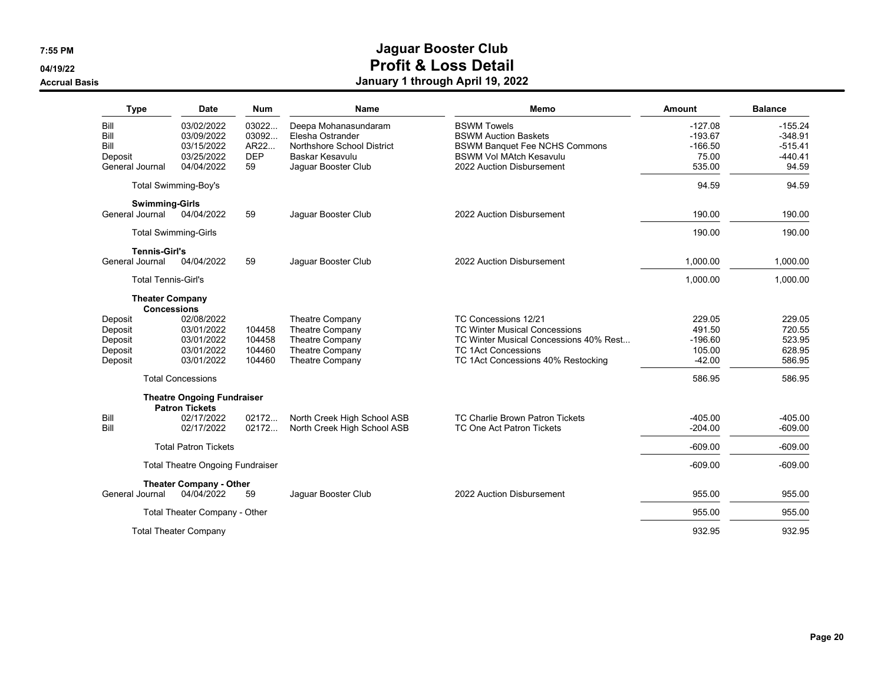**04/19/22**

#### **Accrual Basis**

| <b>Type</b>                             | <b>Date</b>                                  | <b>Num</b> | <b>Name</b>                 | Memo                                   | Amount    | <b>Balance</b> |
|-----------------------------------------|----------------------------------------------|------------|-----------------------------|----------------------------------------|-----------|----------------|
| Bill                                    | 03/02/2022                                   | 03022      | Deepa Mohanasundaram        | <b>BSWM Towels</b>                     | $-127.08$ | $-155.24$      |
| Bill                                    | 03/09/2022                                   | 03092      | Elesha Ostrander            | <b>BSWM Auction Baskets</b>            | $-193.67$ | $-348.91$      |
| Bill                                    | 03/15/2022                                   | AR22       | Northshore School District  | <b>BSWM Banquet Fee NCHS Commons</b>   | $-166.50$ | $-515.41$      |
| Deposit                                 | 03/25/2022                                   | <b>DEP</b> | Baskar Kesavulu             | <b>BSWM Vol MAtch Kesavulu</b>         | 75.00     | $-440.41$      |
| General Journal                         | 04/04/2022                                   | 59         | Jaguar Booster Club         | 2022 Auction Disbursement              | 535.00    | 94.59          |
|                                         | Total Swimming-Boy's                         |            |                             |                                        | 94.59     | 94.59          |
| <b>Swimming-Girls</b>                   |                                              |            |                             |                                        |           |                |
| General Journal                         | 04/04/2022                                   | 59         | Jaquar Booster Club         | 2022 Auction Disbursement              | 190.00    | 190.00         |
|                                         | <b>Total Swimming-Girls</b>                  |            |                             |                                        | 190.00    | 190.00         |
| <b>Tennis-Girl's</b><br>General Journal | 04/04/2022                                   | 59         | Jaguar Booster Club         | 2022 Auction Disbursement              | 1,000.00  | 1,000.00       |
|                                         |                                              |            |                             |                                        |           |                |
|                                         | <b>Total Tennis-Girl's</b>                   |            |                             |                                        | 1,000.00  | 1.000.00       |
|                                         | <b>Theater Company</b><br><b>Concessions</b> |            |                             |                                        |           |                |
| Deposit                                 | 02/08/2022                                   |            | Theatre Company             | TC Concessions 12/21                   | 229.05    | 229.05         |
| Deposit                                 | 03/01/2022                                   | 104458     | <b>Theatre Company</b>      | <b>TC Winter Musical Concessions</b>   | 491.50    | 720.55         |
| Deposit                                 | 03/01/2022                                   | 104458     | <b>Theatre Company</b>      | TC Winter Musical Concessions 40% Rest | $-196.60$ | 523.95         |
| Deposit                                 | 03/01/2022                                   | 104460     | Theatre Company             | <b>TC 1Act Concessions</b>             | 105.00    | 628.95         |
| Deposit                                 | 03/01/2022                                   | 104460     | <b>Theatre Company</b>      | TC 1Act Concessions 40% Restocking     | $-42.00$  | 586.95         |
|                                         | <b>Total Concessions</b>                     |            |                             |                                        | 586.95    | 586.95         |
|                                         | <b>Theatre Ongoing Fundraiser</b>            |            |                             |                                        |           |                |
| Bill                                    | <b>Patron Tickets</b><br>02/17/2022          | 02172      | North Creek High School ASB | TC Charlie Brown Patron Tickets        | $-405.00$ | $-405.00$      |
| Bill                                    | 02/17/2022                                   | 02172      | North Creek High School ASB | TC One Act Patron Tickets              | $-204.00$ | $-609.00$      |
|                                         | <b>Total Patron Tickets</b>                  |            |                             |                                        | $-609.00$ | $-609.00$      |
|                                         | <b>Total Theatre Ongoing Fundraiser</b>      |            |                             |                                        | $-609.00$ | $-609.00$      |
|                                         | <b>Theater Company - Other</b>               |            |                             |                                        |           |                |
| General Journal                         | 04/04/2022                                   | 59         | Jaguar Booster Club         | 2022 Auction Disbursement              | 955.00    | 955.00         |
|                                         | Total Theater Company - Other                |            |                             |                                        | 955.00    | 955.00         |
|                                         | <b>Total Theater Company</b>                 |            |                             |                                        | 932.95    | 932.95         |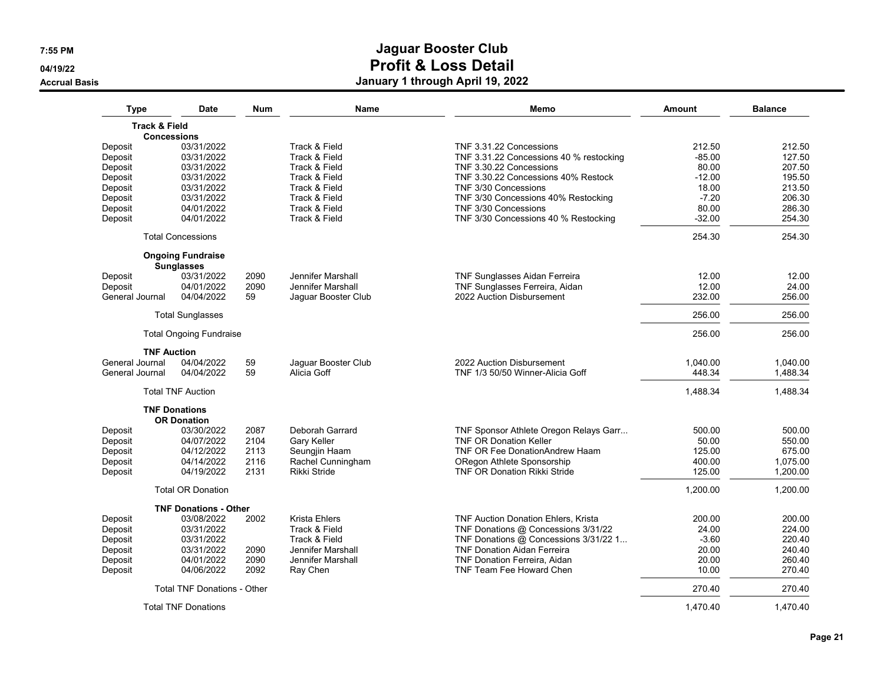**04/19/22**

#### **Accrual Basis**

| Type                     | Date                               | <b>Num</b> | Name                 | Memo                                    | Amount   | <b>Balance</b> |
|--------------------------|------------------------------------|------------|----------------------|-----------------------------------------|----------|----------------|
| <b>Track &amp; Field</b> |                                    |            |                      |                                         |          |                |
|                          | <b>Concessions</b>                 |            |                      |                                         |          |                |
| Deposit                  | 03/31/2022                         |            | Track & Field        | TNF 3.31.22 Concessions                 | 212.50   | 212.50         |
| Deposit                  | 03/31/2022                         |            | Track & Field        | TNF 3.31.22 Concessions 40 % restocking | $-85.00$ | 127.50         |
| Deposit                  | 03/31/2022                         |            | Track & Field        | TNF 3.30.22 Concessions                 | 80.00    | 207.50         |
| Deposit                  | 03/31/2022                         |            | Track & Field        | TNF 3.30.22 Concessions 40% Restock     | $-12.00$ | 195.50         |
| Deposit                  | 03/31/2022                         |            | Track & Field        | TNF 3/30 Concessions                    | 18.00    | 213.50         |
| Deposit                  | 03/31/2022                         |            | Track & Field        | TNF 3/30 Concessions 40% Restocking     | $-7.20$  | 206.30         |
| Deposit                  | 04/01/2022                         |            | Track & Field        | TNF 3/30 Concessions                    | 80.00    | 286.30         |
| Deposit                  | 04/01/2022                         |            | Track & Field        | TNF 3/30 Concessions 40 % Restocking    | $-32.00$ | 254.30         |
|                          | <b>Total Concessions</b>           |            |                      |                                         | 254.30   | 254.30         |
|                          | <b>Ongoing Fundraise</b>           |            |                      |                                         |          |                |
|                          | <b>Sunglasses</b>                  |            |                      |                                         |          |                |
| Deposit                  | 03/31/2022                         | 2090       | Jennifer Marshall    | TNF Sunglasses Aidan Ferreira           | 12.00    | 12.00          |
| Deposit                  | 04/01/2022                         | 2090       | Jennifer Marshall    | TNF Sunglasses Ferreira, Aidan          | 12.00    | 24.00          |
| General Journal          | 04/04/2022                         | 59         | Jaguar Booster Club  | 2022 Auction Disbursement               | 232.00   | 256.00         |
|                          | <b>Total Sunglasses</b>            |            |                      |                                         | 256.00   | 256.00         |
|                          | <b>Total Ongoing Fundraise</b>     |            |                      |                                         | 256.00   | 256.00         |
| <b>TNF Auction</b>       |                                    |            |                      |                                         |          |                |
| General Journal          | 04/04/2022                         | 59         | Jaquar Booster Club  | 2022 Auction Disbursement               | 1,040.00 | 1.040.00       |
| General Journal          | 04/04/2022                         | 59         | Alicia Goff          | TNF 1/3 50/50 Winner-Alicia Goff        | 448.34   | 1,488.34       |
|                          | <b>Total TNF Auction</b>           |            |                      |                                         | 1,488.34 | 1,488.34       |
|                          | <b>TNF Donations</b>               |            |                      |                                         |          |                |
|                          | <b>OR Donation</b>                 |            |                      |                                         |          |                |
| Deposit                  | 03/30/2022                         | 2087       | Deborah Garrard      | TNF Sponsor Athlete Oregon Relays Garr  | 500.00   | 500.00         |
| Deposit                  | 04/07/2022                         | 2104       | Gary Keller          | <b>TNF OR Donation Keller</b>           | 50.00    | 550.00         |
| Deposit                  | 04/12/2022                         | 2113       | Seungjin Haam        | TNF OR Fee DonationAndrew Haam          | 125.00   | 675.00         |
| Deposit                  | 04/14/2022                         | 2116       | Rachel Cunningham    | ORegon Athlete Sponsorship              | 400.00   | 1,075.00       |
| Deposit                  | 04/19/2022                         | 2131       | Rikki Stride         | <b>TNF OR Donation Rikki Stride</b>     | 125.00   | 1,200.00       |
|                          | <b>Total OR Donation</b>           |            |                      |                                         | 1,200.00 | 1,200.00       |
|                          | <b>TNF Donations - Other</b>       |            |                      |                                         |          |                |
| Deposit                  | 03/08/2022                         | 2002       | <b>Krista Ehlers</b> | TNF Auction Donation Ehlers, Krista     | 200.00   | 200.00         |
| Deposit                  | 03/31/2022                         |            | Track & Field        | TNF Donations @ Concessions 3/31/22     | 24.00    | 224.00         |
| Deposit                  | 03/31/2022                         |            | Track & Field        | TNF Donations @ Concessions 3/31/22 1   | $-3.60$  | 220.40         |
| Deposit                  | 03/31/2022                         | 2090       | Jennifer Marshall    | <b>TNF Donation Aidan Ferreira</b>      | 20.00    | 240.40         |
| Deposit                  | 04/01/2022                         | 2090       | Jennifer Marshall    | TNF Donation Ferreira, Aidan            | 20.00    | 260.40         |
| Deposit                  | 04/06/2022                         | 2092       | Ray Chen             | TNF Team Fee Howard Chen                | 10.00    | 270.40         |
|                          |                                    |            |                      |                                         |          |                |
|                          | <b>Total TNF Donations - Other</b> |            |                      |                                         | 270.40   | 270.40         |
|                          | <b>Total TNF Donations</b>         |            |                      |                                         | 1.470.40 | 1.470.40       |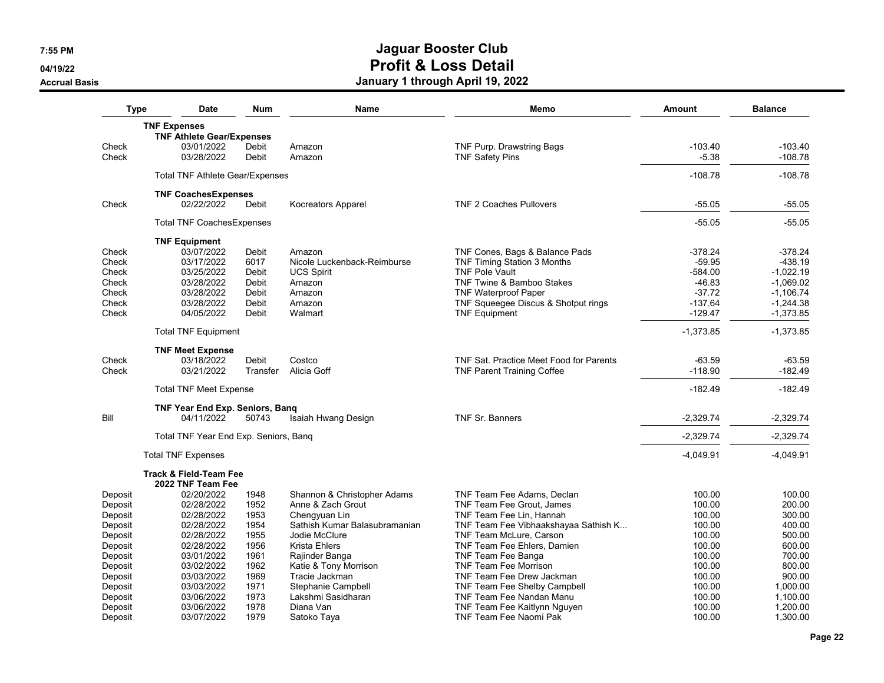**04/19/22**

**Accrual Basis**

| <b>Type</b> | Date                                   | <b>Num</b> | Name                          | Memo                                    | Amount      | <b>Balance</b> |
|-------------|----------------------------------------|------------|-------------------------------|-----------------------------------------|-------------|----------------|
|             | <b>TNF Expenses</b>                    |            |                               |                                         |             |                |
|             | <b>TNF Athlete Gear/Expenses</b>       |            |                               |                                         |             |                |
| Check       | 03/01/2022                             | Debit      | Amazon                        | TNF Purp. Drawstring Bags               | $-103.40$   | $-103.40$      |
| Check       | 03/28/2022                             | Debit      | Amazon                        | <b>TNF Safety Pins</b>                  | $-5.38$     | $-108.78$      |
|             | <b>Total TNF Athlete Gear/Expenses</b> |            |                               |                                         | $-108.78$   | $-108.78$      |
|             | <b>TNF CoachesExpenses</b>             |            |                               |                                         |             |                |
| Check       | 02/22/2022                             | Debit      | <b>Kocreators Apparel</b>     | <b>TNF 2 Coaches Pullovers</b>          | $-55.05$    | -55.05         |
|             | <b>Total TNF CoachesExpenses</b>       |            |                               |                                         | $-55.05$    | $-55.05$       |
|             | <b>TNF Equipment</b>                   |            |                               |                                         |             |                |
| Check       | 03/07/2022                             | Debit      | Amazon                        | TNF Cones, Bags & Balance Pads          | $-378.24$   | $-378.24$      |
| Check       | 03/17/2022                             | 6017       | Nicole Luckenback-Reimburse   | TNF Timing Station 3 Months             | $-59.95$    | $-438.19$      |
| Check       | 03/25/2022                             | Debit      | <b>UCS Spirit</b>             | <b>TNF Pole Vault</b>                   | $-584.00$   | $-1,022.19$    |
| Check       | 03/28/2022                             | Debit      | Amazon                        | <b>TNF Twine &amp; Bamboo Stakes</b>    | $-46.83$    | $-1,069.02$    |
| Check       | 03/28/2022                             | Debit      | Amazon                        | <b>TNF Waterproof Paper</b>             | $-37.72$    | $-1,106.74$    |
| Check       | 03/28/2022                             | Debit      | Amazon                        | TNF Squeegee Discus & Shotput rings     | $-137.64$   | $-1,244.38$    |
| Check       | 04/05/2022                             | Debit      | Walmart                       | <b>TNF Equipment</b>                    | $-129.47$   | $-1,373.85$    |
|             | <b>Total TNF Equipment</b>             |            |                               |                                         | $-1,373.85$ | $-1,373.85$    |
|             | <b>TNF Meet Expense</b>                |            |                               |                                         |             |                |
| Check       | 03/18/2022                             | Debit      | Costco                        | TNF Sat. Practice Meet Food for Parents | $-63.59$    | $-63.59$       |
| Check       | 03/21/2022                             | Transfer   | Alicia Goff                   | <b>TNF Parent Training Coffee</b>       | $-118.90$   | $-182.49$      |
|             | <b>Total TNF Meet Expense</b>          |            |                               |                                         | $-182.49$   | $-182.49$      |
|             | <b>TNF Year End Exp. Seniors, Bang</b> |            |                               |                                         |             |                |
| Bill        | 04/11/2022                             | 50743      | Isaiah Hwang Design           | TNF Sr. Banners                         | $-2,329.74$ | $-2,329.74$    |
|             | Total TNF Year End Exp. Seniors, Bang  |            |                               |                                         | $-2.329.74$ | $-2,329.74$    |
|             | <b>Total TNF Expenses</b>              |            |                               |                                         | -4,049.91   | $-4,049.91$    |
|             | <b>Track &amp; Field-Team Fee</b>      |            |                               |                                         |             |                |
| Deposit     | 2022 TNF Team Fee<br>02/20/2022        | 1948       | Shannon & Christopher Adams   | TNF Team Fee Adams, Declan              | 100.00      | 100.00         |
|             |                                        |            |                               |                                         |             |                |
| Deposit     | 02/28/2022                             | 1952       | Anne & Zach Grout             | <b>TNF Team Fee Grout, James</b>        | 100.00      | 200.00         |
| Deposit     | 02/28/2022                             | 1953       | Chengyuan Lin                 | TNF Team Fee Lin, Hannah                | 100.00      | 300.00         |
| Deposit     | 02/28/2022                             | 1954       | Sathish Kumar Balasubramanian | TNF Team Fee Vibhaakshayaa Sathish K    | 100.00      | 400.00         |
| Deposit     | 02/28/2022                             | 1955       | Jodie McClure                 | TNF Team McLure, Carson                 | 100.00      | 500.00         |
| Deposit     | 02/28/2022                             | 1956       | <b>Krista Ehlers</b>          | TNF Team Fee Ehlers, Damien             | 100.00      | 600.00         |
| Deposit     | 03/01/2022                             | 1961       | Rajinder Banga                | TNF Team Fee Banga                      | 100.00      | 700.00         |
| Deposit     | 03/02/2022                             | 1962       | Katie & Tony Morrison         | <b>TNF Team Fee Morrison</b>            | 100.00      | 800.00         |
| Deposit     | 03/03/2022                             | 1969       | Tracie Jackman                | TNF Team Fee Drew Jackman               | 100.00      | 900.00         |
| Deposit     | 03/03/2022                             | 1971       | Stephanie Campbell            | TNF Team Fee Shelby Campbell            | 100.00      | 1,000.00       |
| Deposit     | 03/06/2022                             | 1973       | Lakshmi Sasidharan            | TNF Team Fee Nandan Manu                | 100.00      | 1,100.00       |
| Deposit     | 03/06/2022                             | 1978       | Diana Van                     | TNF Team Fee Kaitlynn Nguyen            | 100.00      | 1,200.00       |
| Deposit     | 03/07/2022                             | 1979       | Satoko Tava                   | TNF Team Fee Naomi Pak                  | 100.00      | 1,300.00       |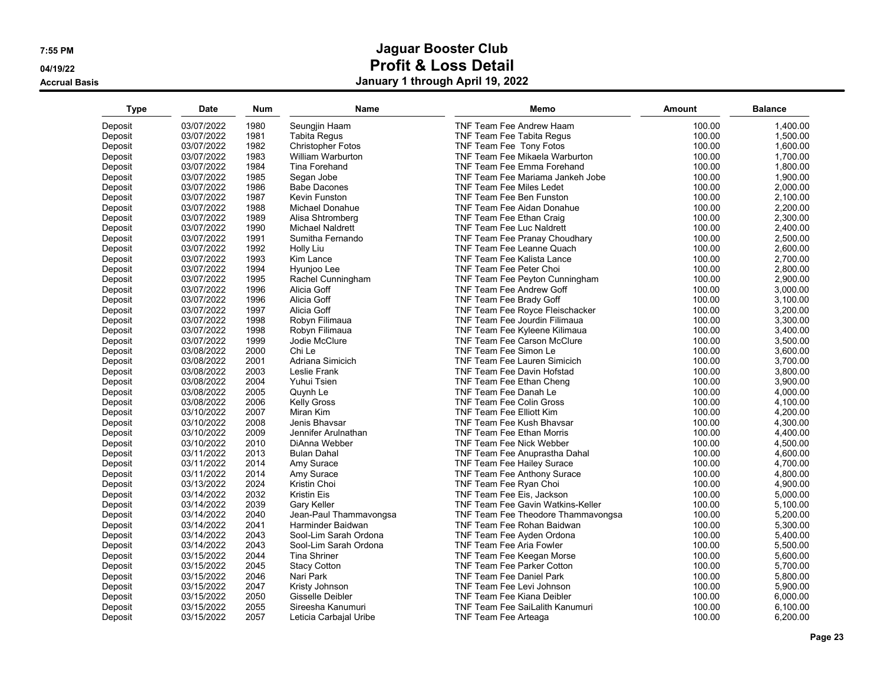**04/19/22**

**Accrual Basis**

| <b>Type</b> | <b>Date</b> | <b>Num</b> | Name                     | Memo                                     | Amount | <b>Balance</b> |
|-------------|-------------|------------|--------------------------|------------------------------------------|--------|----------------|
| Deposit     | 03/07/2022  | 1980       | Seungjin Haam            | TNF Team Fee Andrew Haam                 | 100.00 | 1,400.00       |
| Deposit     | 03/07/2022  | 1981       | <b>Tabita Regus</b>      | <b>TNF Team Fee Tabita Requs</b>         | 100.00 | 1,500.00       |
| Deposit     | 03/07/2022  | 1982       | <b>Christopher Fotos</b> | TNF Team Fee Tony Fotos                  | 100.00 | 1,600.00       |
| Deposit     | 03/07/2022  | 1983       | William Warburton        | TNF Team Fee Mikaela Warburton           | 100.00 | 1,700.00       |
| Deposit     | 03/07/2022  | 1984       | Tina Forehand            | TNF Team Fee Emma Forehand               | 100.00 | 1,800.00       |
| Deposit     | 03/07/2022  | 1985       | Segan Jobe               | TNF Team Fee Mariama Jankeh Jobe         | 100.00 | 1,900.00       |
| Deposit     | 03/07/2022  | 1986       | <b>Babe Dacones</b>      | <b>TNF Team Fee Miles Ledet</b>          | 100.00 | 2,000.00       |
| Deposit     | 03/07/2022  | 1987       | Kevin Funston            | TNF Team Fee Ben Funston                 | 100.00 | 2,100.00       |
| Deposit     | 03/07/2022  | 1988       | Michael Donahue          | TNF Team Fee Aidan Donahue               | 100.00 | 2,200.00       |
| Deposit     | 03/07/2022  | 1989       | Alisa Shtromberg         | TNF Team Fee Ethan Craig                 | 100.00 | 2,300.00       |
| Deposit     | 03/07/2022  | 1990       | <b>Michael Naldrett</b>  | TNF Team Fee Luc Naldrett                | 100.00 | 2,400.00       |
| Deposit     | 03/07/2022  | 1991       | Sumitha Fernando         | TNF Team Fee Pranay Choudhary            | 100.00 | 2,500.00       |
| Deposit     | 03/07/2022  | 1992       | Holly Liu                | TNF Team Fee Leanne Quach                | 100.00 | 2,600.00       |
| Deposit     | 03/07/2022  | 1993       | Kim Lance                | <b>TNF Team Fee Kalista Lance</b>        | 100.00 | 2,700.00       |
| Deposit     | 03/07/2022  | 1994       | Hyunjoo Lee              | TNF Team Fee Peter Choi                  | 100.00 | 2,800.00       |
| Deposit     | 03/07/2022  | 1995       | Rachel Cunningham        | TNF Team Fee Peyton Cunningham           | 100.00 | 2,900.00       |
| Deposit     | 03/07/2022  | 1996       | Alicia Goff              | TNF Team Fee Andrew Goff                 | 100.00 | 3,000.00       |
| Deposit     | 03/07/2022  | 1996       | Alicia Goff              | TNF Team Fee Brady Goff                  | 100.00 | 3,100.00       |
| Deposit     | 03/07/2022  | 1997       | Alicia Goff              | TNF Team Fee Royce Fleischacker          | 100.00 | 3,200.00       |
| Deposit     | 03/07/2022  | 1998       | Robyn Filimaua           | <b>TNF Team Fee Jourdin Filimaua</b>     | 100.00 | 3.300.00       |
| Deposit     | 03/07/2022  | 1998       | Robyn Filimaua           | TNF Team Fee Kyleene Kilimaua            | 100.00 | 3,400.00       |
| Deposit     | 03/07/2022  | 1999       | Jodie McClure            | <b>TNF Team Fee Carson McClure</b>       | 100.00 | 3,500.00       |
| Deposit     | 03/08/2022  | 2000       | Chi Le                   | TNF Team Fee Simon Le                    | 100.00 | 3,600.00       |
| Deposit     | 03/08/2022  | 2001       | Adriana Simicich         | <b>TNF Team Fee Lauren Simicich</b>      | 100.00 | 3,700.00       |
| Deposit     | 03/08/2022  | 2003       | Leslie Frank             | TNF Team Fee Davin Hofstad               | 100.00 | 3,800.00       |
| Deposit     | 03/08/2022  | 2004       | Yuhui Tsien              | TNF Team Fee Ethan Cheng                 | 100.00 | 3,900.00       |
| Deposit     | 03/08/2022  | 2005       | Quynh Le                 | TNF Team Fee Danah Le                    | 100.00 | 4,000.00       |
| Deposit     | 03/08/2022  | 2006       | <b>Kelly Gross</b>       | <b>TNF Team Fee Colin Gross</b>          | 100.00 | 4,100.00       |
| Deposit     | 03/10/2022  | 2007       | Miran Kim                | <b>TNF Team Fee Elliott Kim</b>          | 100.00 | 4,200.00       |
| Deposit     | 03/10/2022  | 2008       | Jenis Bhavsar            | <b>TNF Team Fee Kush Bhavsar</b>         | 100.00 | 4,300.00       |
| Deposit     | 03/10/2022  | 2009       | Jennifer Arulnathan      | <b>TNF Team Fee Ethan Morris</b>         | 100.00 | 4,400.00       |
| Deposit     | 03/10/2022  | 2010       | DiAnna Webber            | <b>TNF Team Fee Nick Webber</b>          | 100.00 | 4,500.00       |
| Deposit     | 03/11/2022  | 2013       | <b>Bulan Dahal</b>       | TNF Team Fee Anuprastha Dahal            | 100.00 | 4,600.00       |
| Deposit     | 03/11/2022  | 2014       | Amy Surace               | <b>TNF Team Fee Hailey Surace</b>        | 100.00 | 4,700.00       |
| Deposit     | 03/11/2022  | 2014       | Amy Surace               | TNF Team Fee Anthony Surace              | 100.00 | 4,800.00       |
| Deposit     | 03/13/2022  | 2024       | Kristin Choi             | TNF Team Fee Ryan Choi                   | 100.00 | 4,900.00       |
| Deposit     | 03/14/2022  | 2032       | <b>Kristin Eis</b>       | TNF Team Fee Eis, Jackson                | 100.00 | 5.000.00       |
| Deposit     | 03/14/2022  | 2039       | Gary Keller              | <b>TNF Team Fee Gavin Watkins-Keller</b> | 100.00 | 5,100.00       |
| Deposit     | 03/14/2022  | 2040       | Jean-Paul Thammavongsa   | TNF Team Fee Theodore Thammavongsa       | 100.00 | 5,200.00       |
| Deposit     | 03/14/2022  | 2041       | Harminder Baidwan        | TNF Team Fee Rohan Baidwan               | 100.00 | 5,300.00       |
| Deposit     | 03/14/2022  | 2043       | Sool-Lim Sarah Ordona    | TNF Team Fee Ayden Ordona                | 100.00 | 5,400.00       |
| Deposit     | 03/14/2022  | 2043       | Sool-Lim Sarah Ordona    | <b>TNF Team Fee Aria Fowler</b>          | 100.00 | 5,500.00       |
| Deposit     | 03/15/2022  | 2044       | <b>Tina Shriner</b>      | TNF Team Fee Keegan Morse                | 100.00 | 5,600.00       |
| Deposit     | 03/15/2022  | 2045       | <b>Stacy Cotton</b>      | <b>TNF Team Fee Parker Cotton</b>        | 100.00 | 5,700.00       |
| Deposit     | 03/15/2022  | 2046       | Nari Park                | <b>TNF Team Fee Daniel Park</b>          | 100.00 | 5,800.00       |
| Deposit     | 03/15/2022  | 2047       | Kristy Johnson           | TNF Team Fee Levi Johnson                | 100.00 | 5,900.00       |
| Deposit     | 03/15/2022  | 2050       | Gisselle Deibler         | <b>TNF Team Fee Kiana Deibler</b>        | 100.00 | 6,000.00       |
| Deposit     | 03/15/2022  | 2055       | Sireesha Kanumuri        | <b>TNF Team Fee SaiLalith Kanumuri</b>   | 100.00 | 6,100.00       |
| Deposit     | 03/15/2022  | 2057       | Leticia Carbajal Uribe   | TNF Team Fee Arteaga                     | 100.00 | 6.200.00       |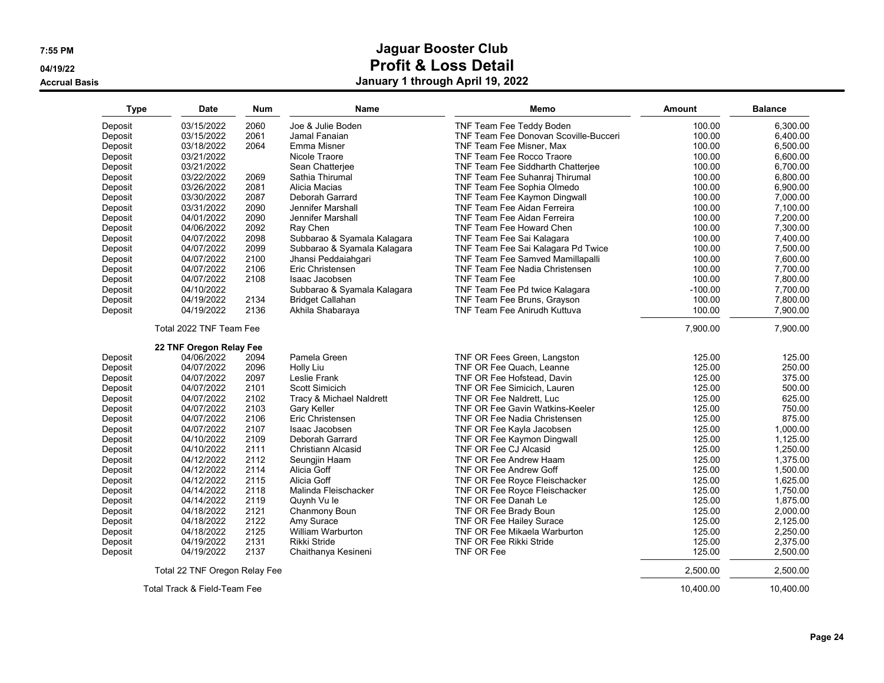**04/19/22**

**Accrual Basis**

| <b>Type</b>        | Date                          | Num          | Name                                | Memo                                         | Amount           | <b>Balance</b>       |
|--------------------|-------------------------------|--------------|-------------------------------------|----------------------------------------------|------------------|----------------------|
| Deposit            | 03/15/2022                    | 2060         | Joe & Julie Boden                   | TNF Team Fee Teddy Boden                     | 100.00           | 6,300.00             |
| Deposit            | 03/15/2022                    | 2061         | Jamal Fanaian                       | <b>TNF Team Fee Donovan Scoville-Bucceri</b> | 100.00           | 6.400.00             |
| Deposit            | 03/18/2022                    | 2064         | Emma Misner                         | TNF Team Fee Misner, Max                     | 100.00           | 6.500.00             |
| Deposit            | 03/21/2022                    |              | Nicole Traore                       | TNF Team Fee Rocco Traore                    | 100.00           | 6.600.00             |
| Deposit            | 03/21/2022                    |              | Sean Chatterjee                     | TNF Team Fee Siddharth Chatterjee            | 100.00           | 6,700.00             |
| Deposit            | 03/22/2022                    | 2069         | Sathia Thirumal                     | TNF Team Fee Suhanraj Thirumal               | 100.00           | 6,800.00             |
| Deposit            | 03/26/2022                    | 2081         | Alicia Macias                       | TNF Team Fee Sophia Olmedo                   | 100.00           | 6,900.00             |
| Deposit            | 03/30/2022                    | 2087         | Deborah Garrard                     | TNF Team Fee Kaymon Dingwall                 | 100.00           | 7.000.00             |
| Deposit            | 03/31/2022                    | 2090         | Jennifer Marshall                   | TNF Team Fee Aidan Ferreira                  | 100.00           | 7,100.00             |
| Deposit            | 04/01/2022                    | 2090         | Jennifer Marshall                   | TNF Team Fee Aidan Ferreira                  | 100.00           | 7.200.00             |
| Deposit            | 04/06/2022                    | 2092         | Ray Chen                            | TNF Team Fee Howard Chen                     | 100.00           | 7,300.00             |
| Deposit            | 04/07/2022                    | 2098         | Subbarao & Syamala Kalagara         | TNF Team Fee Sai Kalagara                    | 100.00           | 7,400.00             |
| Deposit            | 04/07/2022                    | 2099         | Subbarao & Syamala Kalagara         | TNF Team Fee Sai Kalagara Pd Twice           | 100.00           | 7,500.00             |
| Deposit            | 04/07/2022                    | 2100         | Jhansi Peddaiahqari                 | TNF Team Fee Samved Mamillapalli             | 100.00           | 7,600.00             |
| Deposit            | 04/07/2022                    | 2106         | Eric Christensen                    | TNF Team Fee Nadia Christensen               | 100.00           | 7,700.00             |
| Deposit            | 04/07/2022                    | 2108         | Isaac Jacobsen                      | <b>TNF Team Fee</b>                          | 100.00           | 7.800.00             |
| Deposit            | 04/10/2022                    |              | Subbarao & Syamala Kalagara         | TNF Team Fee Pd twice Kalagara               | $-100.00$        | 7,700.00             |
| Deposit            | 04/19/2022                    | 2134         | <b>Bridget Callahan</b>             | TNF Team Fee Bruns, Grayson                  | 100.00           | 7.800.00             |
| Deposit            | 04/19/2022                    | 2136         | Akhila Shabaraya                    | <b>TNF Team Fee Anirudh Kuttuva</b>          | 100.00           | 7,900.00             |
|                    | Total 2022 TNF Team Fee       |              |                                     |                                              | 7,900.00         | 7.900.00             |
|                    | 22 TNF Oregon Relay Fee       |              |                                     |                                              |                  |                      |
| Deposit            | 04/06/2022                    | 2094         | Pamela Green                        | TNF OR Fees Green, Langston                  | 125.00           | 125.00               |
| Deposit            | 04/07/2022                    | 2096         | Holly Liu                           | TNF OR Fee Quach, Leanne                     | 125.00           | 250.00               |
| Deposit            | 04/07/2022                    | 2097         | Leslie Frank                        | TNF OR Fee Hofstead, Davin                   | 125.00           | 375.00               |
| Deposit            | 04/07/2022                    | 2101         | Scott Simicich                      | TNF OR Fee Simicich, Lauren                  | 125.00           | 500.00               |
| Deposit            | 04/07/2022                    | 2102         | Tracy & Michael Naldrett            | TNF OR Fee Naldrett, Luc                     | 125.00           | 625.00               |
| Deposit            | 04/07/2022                    | 2103         | <b>Gary Keller</b>                  | <b>TNF OR Fee Gavin Watkins-Keeler</b>       | 125.00           | 750.00               |
| Deposit            | 04/07/2022                    | 2106         | Eric Christensen                    | TNF OR Fee Nadia Christensen                 | 125.00           | 875.00               |
| Deposit            | 04/07/2022                    | 2107         | Isaac Jacobsen                      | TNF OR Fee Kayla Jacobsen                    | 125.00           | 1.000.00             |
| Deposit            | 04/10/2022                    | 2109         | Deborah Garrard                     | TNF OR Fee Kaymon Dingwall                   | 125.00           | 1.125.00             |
| Deposit            | 04/10/2022                    | 2111         | Christiann Alcasid                  | TNF OR Fee CJ Alcasid                        | 125.00           | 1,250.00             |
| Deposit            | 04/12/2022                    | 2112         | Seungjin Haam                       | TNF OR Fee Andrew Haam                       | 125.00           | 1,375.00             |
| Deposit            | 04/12/2022                    | 2114         | Alicia Goff                         | TNF OR Fee Andrew Goff                       | 125.00           | 1,500.00             |
| Deposit            | 04/12/2022                    | 2115         | Alicia Goff                         | TNF OR Fee Royce Fleischacker                | 125.00           | 1,625.00             |
| Deposit            | 04/14/2022                    | 2118         | Malinda Fleischacker                | TNF OR Fee Royce Fleischacker                | 125.00           | 1,750.00             |
| Deposit            | 04/14/2022                    | 2119         | Quynh Vu le                         | TNF OR Fee Danah Le                          | 125.00           | 1,875.00             |
| Deposit            | 04/18/2022                    | 2121         | Chanmony Boun                       | TNF OR Fee Brady Boun                        | 125.00           | 2.000.00             |
| Deposit            | 04/18/2022                    | 2122         | Amy Surace                          | TNF OR Fee Hailey Surace                     | 125.00           | 2,125.00             |
| Deposit            | 04/18/2022                    | 2125         | <b>William Warburton</b>            | TNF OR Fee Mikaela Warburton                 | 125.00           | 2,250.00             |
| Deposit<br>Deposit | 04/19/2022<br>04/19/2022      | 2131<br>2137 | Rikki Stride<br>Chaithanya Kesineni | <b>TNF OR Fee Rikki Stride</b><br>TNF OR Fee | 125.00<br>125.00 | 2,375.00<br>2,500.00 |
|                    | Total 22 TNF Oregon Relay Fee |              |                                     |                                              | 2.500.00         | 2.500.00             |
|                    | Total Track & Field-Team Fee  |              |                                     |                                              | 10,400.00        | 10.400.00            |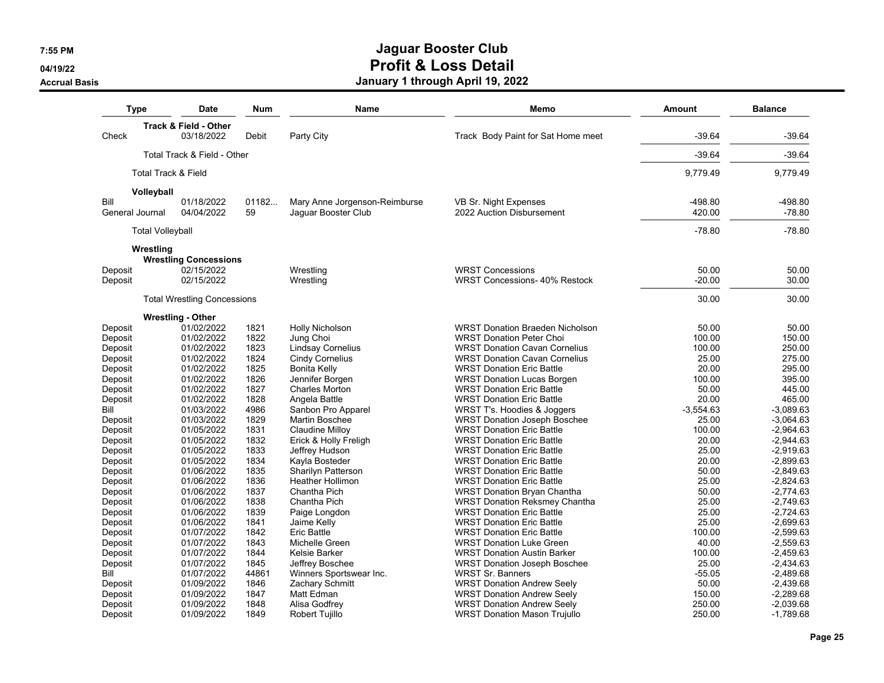**04/19/22**

**Accrual Basis**

|                    | Type                           | <b>Date</b>                                    | Num          | <b>Name</b>                             | Memo                                                                 | Amount          | <b>Balance</b>             |
|--------------------|--------------------------------|------------------------------------------------|--------------|-----------------------------------------|----------------------------------------------------------------------|-----------------|----------------------------|
| Check              |                                | <b>Track &amp; Field - Other</b><br>03/18/2022 | Debit        | Party City                              | Track Body Paint for Sat Home meet                                   | $-39.64$        | $-39.64$                   |
|                    |                                |                                                |              |                                         |                                                                      |                 |                            |
|                    |                                | Total Track & Field - Other                    |              |                                         |                                                                      | $-39.64$        | $-39.64$                   |
|                    | <b>Total Track &amp; Field</b> |                                                |              |                                         |                                                                      | 9,779.49        | 9,779.49                   |
|                    | Volleyball                     |                                                |              |                                         |                                                                      |                 |                            |
| Bill               |                                | 01/18/2022                                     | 01182        | Mary Anne Jorgenson-Reimburse           | VB Sr. Night Expenses                                                | $-498.80$       | $-498.80$                  |
|                    | General Journal                | 04/04/2022                                     | 59           | Jaquar Booster Club                     | 2022 Auction Disbursement                                            | 420.00          | $-78.80$                   |
|                    | <b>Total Volleyball</b>        |                                                |              |                                         |                                                                      | $-78.80$        | $-78.80$                   |
|                    | Wrestling                      |                                                |              |                                         |                                                                      |                 |                            |
| Deposit            |                                | <b>Wrestling Concessions</b><br>02/15/2022     |              |                                         | <b>WRST Concessions</b>                                              | 50.00           | 50.00                      |
| Deposit            |                                | 02/15/2022                                     |              | Wrestling<br>Wrestling                  | <b>WRST Concessions-40% Restock</b>                                  | $-20.00$        | 30.00                      |
|                    |                                |                                                |              |                                         |                                                                      |                 |                            |
|                    |                                | <b>Total Wrestling Concessions</b>             |              |                                         |                                                                      | 30.00           | 30.00                      |
|                    |                                | <b>Wrestling - Other</b>                       |              |                                         |                                                                      |                 |                            |
| Deposit            |                                | 01/02/2022                                     | 1821         | Holly Nicholson                         | <b>WRST Donation Braeden Nicholson</b>                               | 50.00           | 50.00                      |
| Deposit            |                                | 01/02/2022                                     | 1822         | Jung Choi                               | <b>WRST Donation Peter Choi</b>                                      | 100.00          | 150.00                     |
| Deposit            |                                | 01/02/2022                                     | 1823         | Lindsay Cornelius                       | <b>WRST Donation Cavan Cornelius</b>                                 | 100.00          | 250.00                     |
| Deposit            |                                | 01/02/2022                                     | 1824         | Cindy Cornelius                         | <b>WRST Donation Cavan Cornelius</b>                                 | 25.00           | 275.00                     |
| Deposit            |                                | 01/02/2022                                     | 1825         | <b>Bonita Kelly</b>                     | <b>WRST Donation Eric Battle</b>                                     | 20.00           | 295.00                     |
| Deposit            |                                | 01/02/2022                                     | 1826         | Jennifer Borgen                         | <b>WRST Donation Lucas Borgen</b>                                    | 100.00          | 395.00                     |
| Deposit            |                                | 01/02/2022                                     | 1827         | <b>Charles Morton</b>                   | <b>WRST Donation Eric Battle</b>                                     | 50.00           | 445.00                     |
| Deposit            |                                | 01/02/2022                                     | 1828         | Angela Battle                           | <b>WRST Donation Eric Battle</b>                                     | 20.00           | 465.00                     |
| Bill               |                                | 01/03/2022                                     | 4986         | Sanbon Pro Apparel                      | WRST T's. Hoodies & Joggers                                          | $-3,554.63$     | $-3,089.63$                |
| Deposit            |                                | 01/03/2022                                     | 1829<br>1831 | Martin Boschee                          | <b>WRST Donation Joseph Boschee</b>                                  | 25.00<br>100.00 | $-3,064.63$                |
| Deposit            |                                | 01/05/2022<br>01/05/2022                       | 1832         | Claudine Milloy                         | <b>WRST Donation Eric Battle</b>                                     | 20.00           | $-2,964.63$<br>$-2,944.63$ |
| Deposit<br>Deposit |                                | 01/05/2022                                     | 1833         | Erick & Holly Freligh<br>Jeffrey Hudson | <b>WRST Donation Eric Battle</b><br><b>WRST Donation Eric Battle</b> | 25.00           | $-2,919.63$                |
| Deposit            |                                | 01/05/2022                                     | 1834         | Kayla Bosteder                          | <b>WRST Donation Eric Battle</b>                                     | 20.00           | $-2,899.63$                |
| Deposit            |                                | 01/06/2022                                     | 1835         | Sharilyn Patterson                      | <b>WRST Donation Eric Battle</b>                                     | 50.00           | $-2,849.63$                |
| Deposit            |                                | 01/06/2022                                     | 1836         | <b>Heather Hollimon</b>                 | <b>WRST Donation Eric Battle</b>                                     | 25.00           | $-2.824.63$                |
| Deposit            |                                | 01/06/2022                                     | 1837         | Chantha Pich                            | <b>WRST Donation Bryan Chantha</b>                                   | 50.00           | $-2,774.63$                |
| Deposit            |                                | 01/06/2022                                     | 1838         | Chantha Pich                            | <b>WRST Donation Reksmey Chantha</b>                                 | 25.00           | $-2,749.63$                |
| Deposit            |                                | 01/06/2022                                     | 1839         | Paige Longdon                           | <b>WRST Donation Eric Battle</b>                                     | 25.00           | $-2,724.63$                |
| Deposit            |                                | 01/06/2022                                     | 1841         | Jaime Kelly                             | <b>WRST Donation Eric Battle</b>                                     | 25.00           | $-2,699.63$                |
| Deposit            |                                | 01/07/2022                                     | 1842         | <b>Eric Battle</b>                      | <b>WRST Donation Eric Battle</b>                                     | 100.00          | $-2,599.63$                |
| Deposit            |                                | 01/07/2022                                     | 1843         | Michelle Green                          | <b>WRST Donation Luke Green</b>                                      | 40.00           | $-2.559.63$                |
| Deposit            |                                | 01/07/2022                                     | 1844         | Kelsie Barker                           | <b>WRST Donation Austin Barker</b>                                   | 100.00          | $-2,459.63$                |
| Deposit            |                                | 01/07/2022                                     | 1845         | Jeffrey Boschee                         | <b>WRST Donation Joseph Boschee</b>                                  | 25.00           | $-2,434.63$                |
| Bill               |                                | 01/07/2022                                     | 44861        | Winners Sportswear Inc.                 | WRST Sr. Banners                                                     | $-55.05$        | $-2,489.68$                |
| Deposit            |                                | 01/09/2022                                     | 1846         | Zachary Schmitt                         | <b>WRST Donation Andrew Seely</b>                                    | 50.00           | $-2,439.68$                |
| Deposit            |                                | 01/09/2022                                     | 1847         | Matt Edman                              | <b>WRST Donation Andrew Seely</b>                                    | 150.00          | $-2,289.68$                |
| Deposit            |                                | 01/09/2022                                     | 1848         | Alisa Godfrey                           | <b>WRST Donation Andrew Seely</b>                                    | 250.00          | $-2,039.68$                |
| Deposit            |                                | 01/09/2022                                     | 1849         | Robert Tujillo                          | <b>WRST Donation Mason Trujullo</b>                                  | 250.00          | $-1,789.68$                |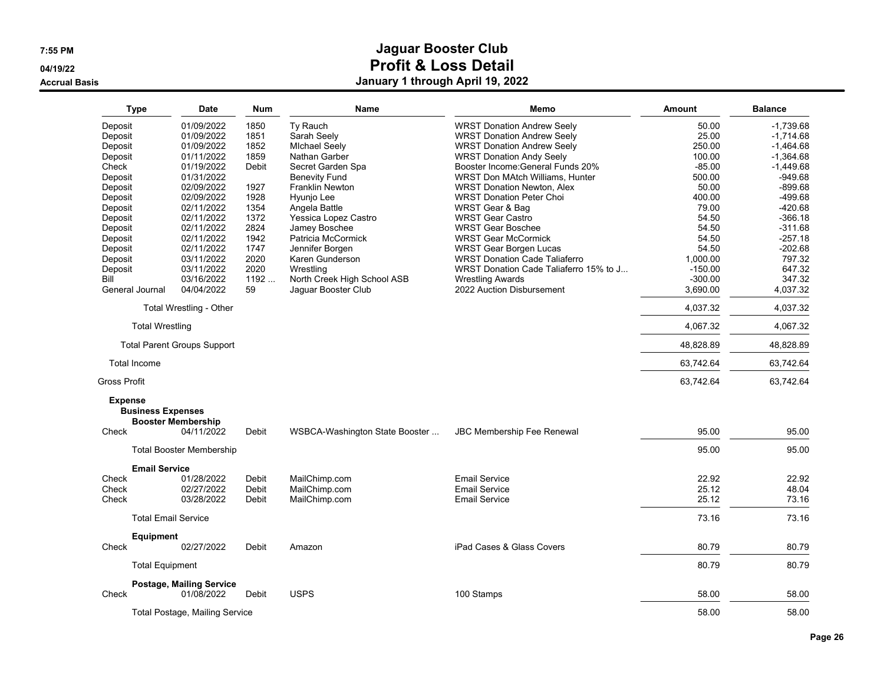**04/19/22**

**Accrual Basis**

| Type                                                | <b>Date</b>                             | Num   | Name                           | Memo                                   | <b>Amount</b> | <b>Balance</b> |
|-----------------------------------------------------|-----------------------------------------|-------|--------------------------------|----------------------------------------|---------------|----------------|
| Deposit                                             | 01/09/2022                              | 1850  | Ty Rauch                       | <b>WRST Donation Andrew Seely</b>      | 50.00         | $-1.739.68$    |
| Deposit                                             | 01/09/2022                              | 1851  | Sarah Seely                    | <b>WRST Donation Andrew Seely</b>      | 25.00         | $-1,714.68$    |
| Deposit                                             | 01/09/2022                              | 1852  | <b>Michael Seely</b>           | <b>WRST Donation Andrew Seely</b>      | 250.00        | $-1,464.68$    |
| Deposit                                             | 01/11/2022                              | 1859  | Nathan Garber                  | <b>WRST Donation Andy Seely</b>        | 100.00        | $-1,364.68$    |
| Check                                               | 01/19/2022                              | Debit | Secret Garden Spa              | Booster Income: General Funds 20%      | $-85.00$      | $-1,449.68$    |
| Deposit                                             | 01/31/2022                              |       | <b>Benevity Fund</b>           | WRST Don MAtch Williams, Hunter        | 500.00        | $-949.68$      |
| Deposit                                             | 02/09/2022                              | 1927  | <b>Franklin Newton</b>         | <b>WRST Donation Newton, Alex</b>      | 50.00         | $-899.68$      |
| Deposit                                             | 02/09/2022                              | 1928  | Hyunio Lee                     | <b>WRST Donation Peter Choi</b>        | 400.00        | $-499.68$      |
| Deposit                                             | 02/11/2022                              | 1354  | Angela Battle                  | WRST Gear & Bag                        | 79.00         | $-420.68$      |
| Deposit                                             | 02/11/2022                              | 1372  | Yessica Lopez Castro           | <b>WRST Gear Castro</b>                | 54.50         | $-366.18$      |
| Deposit                                             | 02/11/2022                              | 2824  | Jamey Boschee                  | <b>WRST Gear Boschee</b>               | 54.50         | $-311.68$      |
| Deposit                                             | 02/11/2022                              | 1942  | Patricia McCormick             | <b>WRST Gear McCormick</b>             | 54.50         | $-257.18$      |
| Deposit                                             | 02/11/2022                              | 1747  | Jennifer Borgen                | <b>WRST Gear Borgen Lucas</b>          | 54.50         | $-202.68$      |
| Deposit                                             | 03/11/2022                              | 2020  | Karen Gunderson                | <b>WRST Donation Cade Taliaferro</b>   | 1.000.00      | 797.32         |
| Deposit                                             | 03/11/2022                              | 2020  | Wrestling                      | WRST Donation Cade Taliaferro 15% to J | $-150.00$     | 647.32         |
| Bill                                                | 03/16/2022                              | 1192  | North Creek High School ASB    | <b>Wrestling Awards</b>                | $-300.00$     | 347.32         |
| General Journal                                     | 04/04/2022                              | 59    | Jaquar Booster Club            | 2022 Auction Disbursement              | 3,690.00      | 4,037.32       |
|                                                     | Total Wrestling - Other                 |       |                                |                                        | 4,037.32      | 4.037.32       |
| <b>Total Wrestling</b>                              |                                         |       |                                |                                        | 4,067.32      | 4,067.32       |
|                                                     | <b>Total Parent Groups Support</b>      |       |                                |                                        | 48,828.89     | 48,828.89      |
| <b>Total Income</b>                                 |                                         |       |                                |                                        | 63,742.64     | 63,742.64      |
| <b>Gross Profit</b>                                 |                                         |       |                                |                                        | 63,742.64     | 63,742.64      |
| <b>Expense</b><br><b>Business Expenses</b><br>Check | <b>Booster Membership</b><br>04/11/2022 | Debit | WSBCA-Washington State Booster | <b>JBC Membership Fee Renewal</b>      | 95.00         | 95.00          |
|                                                     | <b>Total Booster Membership</b>         |       |                                |                                        | 95.00         | 95.00          |
| <b>Email Service</b>                                |                                         |       |                                |                                        |               |                |
| Check                                               | 01/28/2022                              | Debit | MailChimp.com                  | <b>Email Service</b>                   | 22.92         | 22.92          |
| Check                                               | 02/27/2022                              | Debit | MailChimp.com                  | <b>Email Service</b>                   | 25.12         | 48.04          |
| Check                                               | 03/28/2022                              | Debit | MailChimp.com                  | <b>Email Service</b>                   | 25.12         | 73.16          |
|                                                     | <b>Total Email Service</b>              |       |                                |                                        | 73.16         | 73.16          |
| <b>Equipment</b>                                    |                                         |       |                                |                                        |               |                |
| Check                                               | 02/27/2022                              | Debit | Amazon                         | iPad Cases & Glass Covers              | 80.79         | 80.79          |
| <b>Total Equipment</b>                              |                                         |       |                                |                                        | 80.79         | 80.79          |
|                                                     | <b>Postage, Mailing Service</b>         |       |                                |                                        |               |                |
| Check                                               | 01/08/2022                              | Debit | <b>USPS</b>                    | 100 Stamps                             | 58.00         | 58.00          |
|                                                     | Total Postage, Mailing Service          |       |                                |                                        | 58.00         | 58.00          |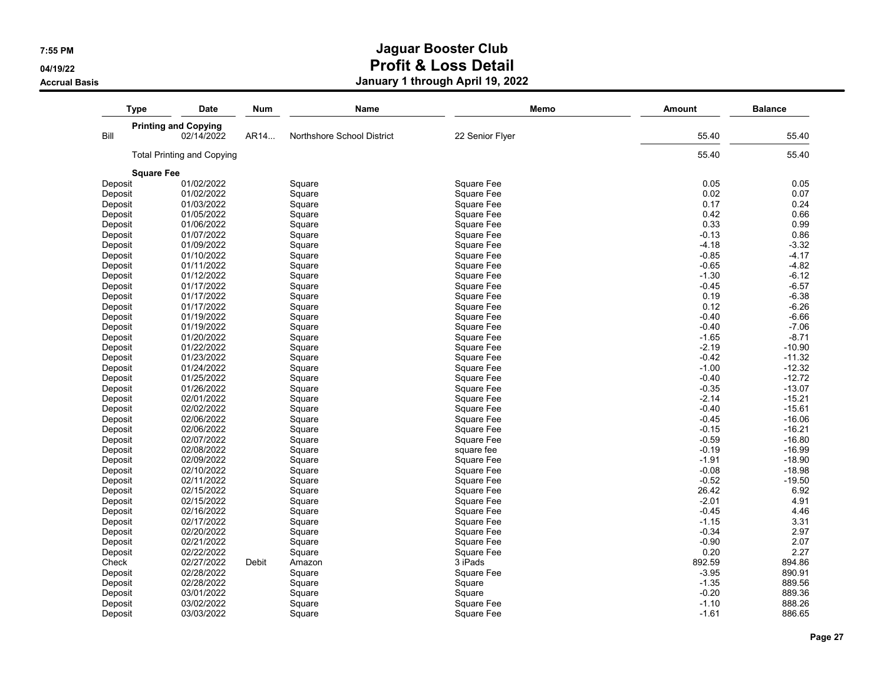**04/19/22**

**Accrual Basis**

| <b>Printing and Copying</b><br>Bill<br><b>Total Printing and Copying</b><br><b>Square Fee</b><br>01/02/2022<br>Deposit<br>Deposit<br>Deposit<br>Deposit<br>Deposit<br>Deposit<br>Deposit<br>Deposit<br>Deposit<br>Deposit<br>Deposit<br>Deposit<br>Deposit<br>Deposit<br>Deposit<br>Deposit<br>Deposit<br>Deposit<br>Deposit<br>Deposit<br>Deposit | 02/14/2022 | AR14  |                            |                 |         |          |
|----------------------------------------------------------------------------------------------------------------------------------------------------------------------------------------------------------------------------------------------------------------------------------------------------------------------------------------------------|------------|-------|----------------------------|-----------------|---------|----------|
|                                                                                                                                                                                                                                                                                                                                                    |            |       |                            |                 |         |          |
|                                                                                                                                                                                                                                                                                                                                                    |            |       | Northshore School District | 22 Senior Flyer | 55.40   | 55.40    |
|                                                                                                                                                                                                                                                                                                                                                    |            |       |                            |                 | 55.40   | 55.40    |
|                                                                                                                                                                                                                                                                                                                                                    |            |       |                            |                 |         |          |
|                                                                                                                                                                                                                                                                                                                                                    |            |       | Square                     | Square Fee      | 0.05    | 0.05     |
|                                                                                                                                                                                                                                                                                                                                                    | 01/02/2022 |       | Square                     | Square Fee      | 0.02    | 0.07     |
|                                                                                                                                                                                                                                                                                                                                                    | 01/03/2022 |       | Square                     | Square Fee      | 0.17    | 0.24     |
|                                                                                                                                                                                                                                                                                                                                                    | 01/05/2022 |       | Square                     | Square Fee      | 0.42    | 0.66     |
|                                                                                                                                                                                                                                                                                                                                                    | 01/06/2022 |       | Square                     | Square Fee      | 0.33    | 0.99     |
|                                                                                                                                                                                                                                                                                                                                                    | 01/07/2022 |       | Square                     | Square Fee      | $-0.13$ | 0.86     |
|                                                                                                                                                                                                                                                                                                                                                    | 01/09/2022 |       | Square                     | Square Fee      | $-4.18$ | $-3.32$  |
|                                                                                                                                                                                                                                                                                                                                                    | 01/10/2022 |       | Square                     | Square Fee      | $-0.85$ | $-4.17$  |
|                                                                                                                                                                                                                                                                                                                                                    | 01/11/2022 |       | Square                     | Square Fee      | $-0.65$ | $-4.82$  |
|                                                                                                                                                                                                                                                                                                                                                    | 01/12/2022 |       | Square                     | Square Fee      | $-1.30$ | $-6.12$  |
|                                                                                                                                                                                                                                                                                                                                                    | 01/17/2022 |       | Square                     | Square Fee      | $-0.45$ | $-6.57$  |
|                                                                                                                                                                                                                                                                                                                                                    | 01/17/2022 |       | Square                     | Square Fee      | 0.19    | $-6.38$  |
|                                                                                                                                                                                                                                                                                                                                                    | 01/17/2022 |       | Square                     | Square Fee      | 0.12    | $-6.26$  |
|                                                                                                                                                                                                                                                                                                                                                    | 01/19/2022 |       | Square                     | Square Fee      | $-0.40$ | $-6.66$  |
|                                                                                                                                                                                                                                                                                                                                                    | 01/19/2022 |       | Square                     | Square Fee      | $-0.40$ | $-7.06$  |
|                                                                                                                                                                                                                                                                                                                                                    | 01/20/2022 |       | Square                     | Square Fee      | $-1.65$ | $-8.71$  |
|                                                                                                                                                                                                                                                                                                                                                    | 01/22/2022 |       | Square                     | Square Fee      | $-2.19$ | $-10.90$ |
|                                                                                                                                                                                                                                                                                                                                                    | 01/23/2022 |       | Square                     | Square Fee      | $-0.42$ | $-11.32$ |
|                                                                                                                                                                                                                                                                                                                                                    | 01/24/2022 |       | Square                     | Square Fee      | $-1.00$ | $-12.32$ |
|                                                                                                                                                                                                                                                                                                                                                    | 01/25/2022 |       | Square                     | Square Fee      | $-0.40$ | $-12.72$ |
|                                                                                                                                                                                                                                                                                                                                                    | 01/26/2022 |       | Square                     | Square Fee      | $-0.35$ | $-13.07$ |
| Deposit                                                                                                                                                                                                                                                                                                                                            | 02/01/2022 |       | Square                     | Square Fee      | $-2.14$ | $-15.21$ |
| Deposit                                                                                                                                                                                                                                                                                                                                            | 02/02/2022 |       | Square                     | Square Fee      | $-0.40$ | $-15.61$ |
| Deposit                                                                                                                                                                                                                                                                                                                                            | 02/06/2022 |       | Square                     | Square Fee      | $-0.45$ | $-16.06$ |
| Deposit                                                                                                                                                                                                                                                                                                                                            | 02/06/2022 |       | Square                     | Square Fee      | $-0.15$ | $-16.21$ |
| Deposit                                                                                                                                                                                                                                                                                                                                            | 02/07/2022 |       | Square                     | Square Fee      | $-0.59$ | $-16.80$ |
| Deposit                                                                                                                                                                                                                                                                                                                                            | 02/08/2022 |       | Square                     | square fee      | $-0.19$ | $-16.99$ |
| Deposit                                                                                                                                                                                                                                                                                                                                            | 02/09/2022 |       | Square                     | Square Fee      | $-1.91$ | $-18.90$ |
| Deposit                                                                                                                                                                                                                                                                                                                                            | 02/10/2022 |       | Square                     | Square Fee      | $-0.08$ | $-18.98$ |
| Deposit                                                                                                                                                                                                                                                                                                                                            | 02/11/2022 |       | Square                     | Square Fee      | $-0.52$ | $-19.50$ |
| Deposit                                                                                                                                                                                                                                                                                                                                            | 02/15/2022 |       | Square                     | Square Fee      | 26.42   | 6.92     |
| Deposit                                                                                                                                                                                                                                                                                                                                            | 02/15/2022 |       | Square                     | Square Fee      | $-2.01$ | 4.91     |
| Deposit                                                                                                                                                                                                                                                                                                                                            | 02/16/2022 |       | Square                     | Square Fee      | $-0.45$ | 4.46     |
| Deposit                                                                                                                                                                                                                                                                                                                                            | 02/17/2022 |       | Square                     | Square Fee      | $-1.15$ | 3.31     |
| Deposit                                                                                                                                                                                                                                                                                                                                            | 02/20/2022 |       | Square                     | Square Fee      | $-0.34$ | 2.97     |
| Deposit                                                                                                                                                                                                                                                                                                                                            | 02/21/2022 |       | Square                     | Square Fee      | $-0.90$ | 2.07     |
| Deposit                                                                                                                                                                                                                                                                                                                                            | 02/22/2022 |       | Square                     | Square Fee      | 0.20    | 2.27     |
| Check                                                                                                                                                                                                                                                                                                                                              | 02/27/2022 | Debit | Amazon                     | 3 iPads         | 892.59  | 894.86   |
| Deposit                                                                                                                                                                                                                                                                                                                                            | 02/28/2022 |       | Square                     | Square Fee      | $-3.95$ | 890.91   |
| Deposit                                                                                                                                                                                                                                                                                                                                            | 02/28/2022 |       | Square                     | Square          | $-1.35$ | 889.56   |
| Deposit                                                                                                                                                                                                                                                                                                                                            | 03/01/2022 |       | Square                     | Square          | $-0.20$ | 889.36   |
| Deposit                                                                                                                                                                                                                                                                                                                                            | 03/02/2022 |       | Square                     | Square Fee      | $-1.10$ | 888.26   |
| Deposit                                                                                                                                                                                                                                                                                                                                            | 03/03/2022 |       | Square                     | Square Fee      | $-1.61$ | 886.65   |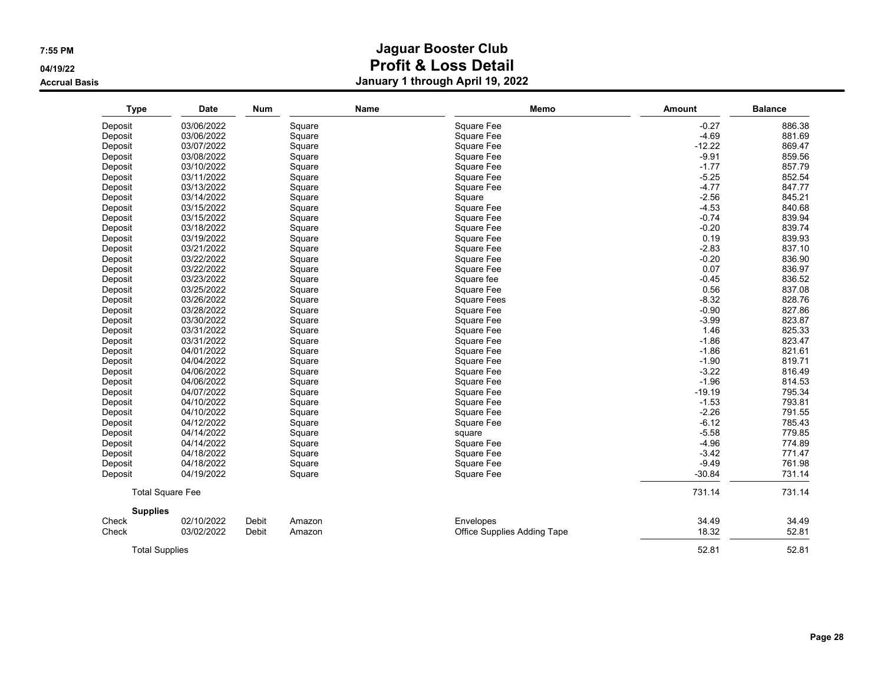**04/19/22**

**Accrual Basis**

| <b>Type</b>           | <b>Date</b>             | <b>Num</b> | Name   | Memo                        | Amount   | <b>Balance</b> |
|-----------------------|-------------------------|------------|--------|-----------------------------|----------|----------------|
| Deposit               | 03/06/2022              |            | Square | Square Fee                  | $-0.27$  | 886.38         |
| Deposit               | 03/06/2022              |            | Square | Square Fee                  | $-4.69$  | 881.69         |
| Deposit               | 03/07/2022              |            | Square | Square Fee                  | $-12.22$ | 869.47         |
| Deposit               | 03/08/2022              |            | Square | Square Fee                  | $-9.91$  | 859.56         |
| Deposit               | 03/10/2022              |            | Square | Square Fee                  | $-1.77$  | 857.79         |
| Deposit               | 03/11/2022              |            | Square | Square Fee                  | $-5.25$  | 852.54         |
| Deposit               | 03/13/2022              |            | Square | Square Fee                  | $-4.77$  | 847.77         |
| Deposit               | 03/14/2022              |            | Square | Square                      | $-2.56$  | 845.21         |
| Deposit               | 03/15/2022              |            | Square | Square Fee                  | $-4.53$  | 840.68         |
| Deposit               | 03/15/2022              |            | Square | Square Fee                  | $-0.74$  | 839.94         |
| Deposit               | 03/18/2022              |            | Square | Square Fee                  | $-0.20$  | 839.74         |
| Deposit               | 03/19/2022              |            | Square | Square Fee                  | 0.19     | 839.93         |
| Deposit               | 03/21/2022              |            | Square | Square Fee                  | $-2.83$  | 837.10         |
| Deposit               | 03/22/2022              |            | Square | Square Fee                  | $-0.20$  | 836.90         |
| Deposit               | 03/22/2022              |            | Square | Square Fee                  | 0.07     | 836.97         |
| Deposit               | 03/23/2022              |            | Square | Square fee                  | $-0.45$  | 836.52         |
| Deposit               | 03/25/2022              |            | Square | Square Fee                  | 0.56     | 837.08         |
| Deposit               | 03/26/2022              |            | Square | <b>Square Fees</b>          | $-8.32$  | 828.76         |
| Deposit               | 03/28/2022              |            | Square | Square Fee                  | $-0.90$  | 827.86         |
| Deposit               | 03/30/2022              |            | Square | Square Fee                  | $-3.99$  | 823.87         |
| Deposit               | 03/31/2022              |            | Square | Square Fee                  | 1.46     | 825.33         |
| Deposit               | 03/31/2022              |            | Square | Square Fee                  | $-1.86$  | 823.47         |
| Deposit               | 04/01/2022              |            | Square | Square Fee                  | $-1.86$  | 821.61         |
| Deposit               | 04/04/2022              |            | Square | Square Fee                  | $-1.90$  | 819.71         |
| Deposit               | 04/06/2022              |            | Square | Square Fee                  | $-3.22$  | 816.49         |
| Deposit               | 04/06/2022              |            | Square | Square Fee                  | $-1.96$  | 814.53         |
| Deposit               | 04/07/2022              |            | Square | Square Fee                  | $-19.19$ | 795.34         |
| Deposit               | 04/10/2022              |            | Square | Square Fee                  | $-1.53$  | 793.81         |
| Deposit               | 04/10/2022              |            | Square | Square Fee                  | $-2.26$  | 791.55         |
| Deposit               | 04/12/2022              |            | Square | Square Fee                  | $-6.12$  | 785.43         |
| Deposit               | 04/14/2022              |            | Square | square                      | $-5.58$  | 779.85         |
| Deposit               | 04/14/2022              |            | Square | Square Fee                  | $-4.96$  | 774.89         |
| Deposit               | 04/18/2022              |            | Square | Square Fee                  | $-3.42$  | 771.47         |
| Deposit               | 04/18/2022              |            | Square | Square Fee                  | $-9.49$  | 761.98         |
| Deposit               | 04/19/2022              |            | Square | Square Fee                  | $-30.84$ | 731.14         |
|                       | <b>Total Square Fee</b> |            |        |                             | 731.14   | 731.14         |
| <b>Supplies</b>       |                         |            |        |                             |          |                |
| Check                 | 02/10/2022              | Debit      | Amazon | Envelopes                   | 34.49    | 34.49          |
| Check                 | 03/02/2022              | Debit      | Amazon | Office Supplies Adding Tape | 18.32    | 52.81          |
| <b>Total Supplies</b> |                         |            |        |                             | 52.81    | 52.81          |